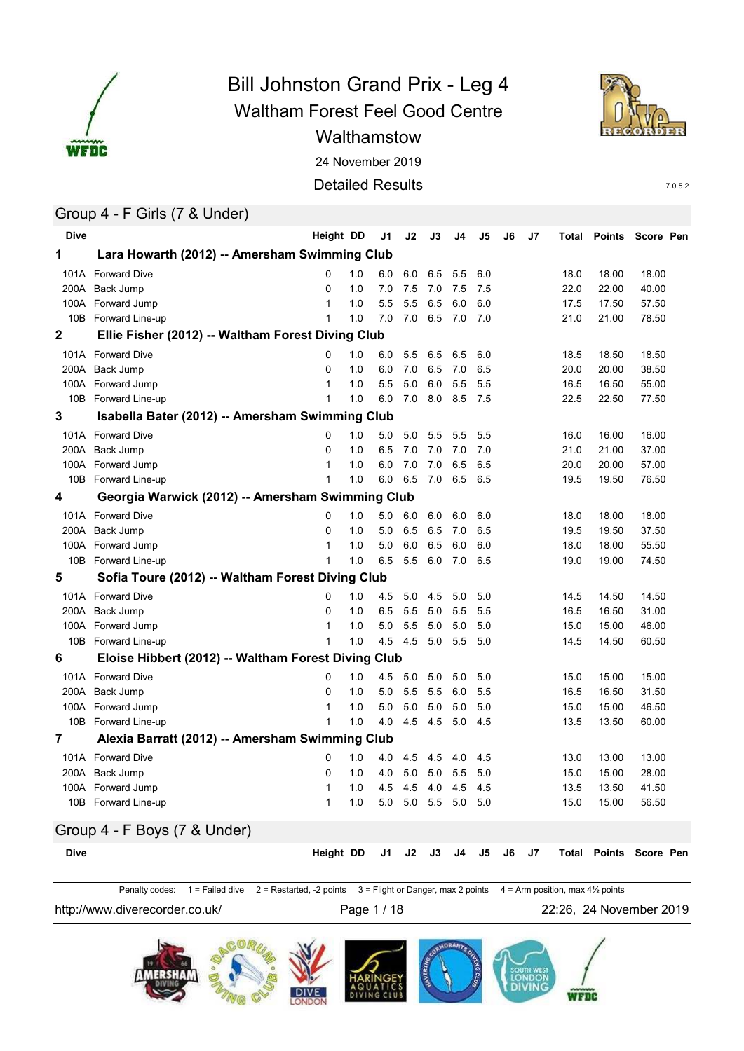

# Waltham Forest Feel Good Centre 24 November 2019 Bill Johnston Grand Prix - Leg 4 Walthamstow





7.0.5.2

### Group 4 - F Girls (7 & Under)

| <b>Dive</b> |                                                     | Height DD      |     | J <sub>1</sub> | J2  | J3  | J4  | J5  | J6 | J <sub>7</sub> | Total | <b>Points</b>                 | Score Pen |  |
|-------------|-----------------------------------------------------|----------------|-----|----------------|-----|-----|-----|-----|----|----------------|-------|-------------------------------|-----------|--|
| 1           | Lara Howarth (2012) -- Amersham Swimming Club       |                |     |                |     |     |     |     |    |                |       |                               |           |  |
|             | 101A Forward Dive                                   | 0              | 1.0 | 6.0            | 6.0 | 6.5 | 5.5 | 6.0 |    |                | 18.0  | 18.00                         | 18.00     |  |
|             | 200A Back Jump                                      | 0              | 1.0 | 7.0            | 7.5 | 7.0 | 7.5 | 7.5 |    |                | 22.0  | 22.00                         | 40.00     |  |
|             | 100A Forward Jump                                   | 1              | 1.0 | 5.5            | 5.5 | 6.5 | 6.0 | 6.0 |    |                | 17.5  | 17.50                         | 57.50     |  |
|             | 10B Forward Line-up                                 | $\mathbf{1}$   | 1.0 | 7.0            | 7.0 | 6.5 | 7.0 | 7.0 |    |                | 21.0  | 21.00                         | 78.50     |  |
| $\mathbf 2$ | Ellie Fisher (2012) -- Waltham Forest Diving Club   |                |     |                |     |     |     |     |    |                |       |                               |           |  |
|             | 101A Forward Dive                                   | 0              | 1.0 | 6.0            | 5.5 | 6.5 | 6.5 | 6.0 |    |                | 18.5  | 18.50                         | 18.50     |  |
|             | 200A Back Jump                                      | $\Omega$       | 1.0 | 6.0            | 7.0 | 6.5 | 7.0 | 6.5 |    |                | 20.0  | 20.00                         | 38.50     |  |
|             | 100A Forward Jump                                   | $\mathbf{1}$   | 1.0 | 5.5            | 5.0 | 6.0 | 5.5 | 5.5 |    |                | 16.5  | 16.50                         | 55.00     |  |
|             | 10B Forward Line-up                                 | $\mathbf{1}$   | 1.0 | 6.0            | 7.0 | 8.0 | 8.5 | 7.5 |    |                | 22.5  | 22.50                         | 77.50     |  |
| 3           | Isabella Bater (2012) -- Amersham Swimming Club     |                |     |                |     |     |     |     |    |                |       |                               |           |  |
|             | 101A Forward Dive                                   | 0              | 1.0 | 5.0            | 5.0 | 5.5 | 5.5 | 5.5 |    |                | 16.0  | 16.00                         | 16.00     |  |
| 200A        | Back Jump                                           | $\Omega$       | 1.0 | 6.5            | 7.0 | 7.0 | 7.0 | 7.0 |    |                | 21.0  | 21.00                         | 37.00     |  |
|             | 100A Forward Jump                                   | $\mathbf{1}$   | 1.0 | 6.0            | 7.0 | 7.0 | 6.5 | 6.5 |    |                | 20.0  | 20.00                         | 57.00     |  |
|             | 10B Forward Line-up                                 | $\mathbf{1}$   | 1.0 | 6.0            | 6.5 | 7.0 | 6.5 | 6.5 |    |                | 19.5  | 19.50                         | 76.50     |  |
| 4           | Georgia Warwick (2012) -- Amersham Swimming Club    |                |     |                |     |     |     |     |    |                |       |                               |           |  |
|             | 101A Forward Dive                                   | $\Omega$       | 1.0 | 5.0            | 6.0 | 6.0 | 6.0 | 6.0 |    |                | 18.0  | 18.00                         | 18.00     |  |
| 200A        | Back Jump                                           | $\Omega$       | 1.0 | 5.0            | 6.5 | 6.5 | 7.0 | 6.5 |    |                | 19.5  | 19.50                         | 37.50     |  |
|             | 100A Forward Jump                                   | $\mathbf{1}$   | 1.0 | 5.0            | 6.0 | 6.5 | 6.0 | 6.0 |    |                | 18.0  | 18.00                         | 55.50     |  |
|             | 10B Forward Line-up                                 | $\mathbf{1}$   | 1.0 | 6.5            | 5.5 | 6.0 | 7.0 | 6.5 |    |                | 19.0  | 19.00                         | 74.50     |  |
| 5           | Sofia Toure (2012) -- Waltham Forest Diving Club    |                |     |                |     |     |     |     |    |                |       |                               |           |  |
|             | 101A Forward Dive                                   | 0              | 1.0 | 4.5            | 5.0 | 4.5 | 5.0 | 5.0 |    |                | 14.5  | 14.50                         | 14.50     |  |
|             | 200A Back Jump                                      | 0              | 1.0 | 6.5            | 5.5 | 5.0 | 5.5 | 5.5 |    |                | 16.5  | 16.50                         | 31.00     |  |
|             | 100A Forward Jump                                   | $\mathbf{1}$   | 1.0 | 5.0            | 5.5 | 5.0 | 5.0 | 5.0 |    |                | 15.0  | 15.00                         | 46.00     |  |
|             | 10B Forward Line-up                                 | $\mathbf 1$    | 1.0 | 4.5            | 4.5 | 5.0 | 5.5 | 5.0 |    |                | 14.5  | 14.50                         | 60.50     |  |
| 6           | Eloise Hibbert (2012) -- Waltham Forest Diving Club |                |     |                |     |     |     |     |    |                |       |                               |           |  |
|             | 101A Forward Dive                                   | 0              | 1.0 | 4.5            | 5.0 | 5.0 | 5.0 | 5.0 |    |                | 15.0  | 15.00                         | 15.00     |  |
| 200A        | Back Jump                                           | $\mathbf 0$    | 1.0 | 5.0            | 5.5 | 5.5 | 6.0 | 5.5 |    |                | 16.5  | 16.50                         | 31.50     |  |
|             | 100A Forward Jump                                   | $\mathbf{1}$   | 1.0 | 5.0            | 5.0 | 5.0 | 5.0 | 5.0 |    |                | 15.0  | 15.00                         | 46.50     |  |
| 10B         | Forward Line-up                                     | $\overline{1}$ | 1.0 | 4.0            | 4.5 | 4.5 | 5.0 | 4.5 |    |                | 13.5  | 13.50                         | 60.00     |  |
| 7           | Alexia Barratt (2012) -- Amersham Swimming Club     |                |     |                |     |     |     |     |    |                |       |                               |           |  |
|             | 101A Forward Dive                                   | 0              | 1.0 | 4.0            | 4.5 | 4.5 | 4.0 | 4.5 |    |                | 13.0  | 13.00                         | 13.00     |  |
| 200A        | Back Jump                                           | 0              | 1.0 | 4.0            | 5.0 | 5.0 | 5.5 | 5.0 |    |                | 15.0  | 15.00                         | 28.00     |  |
| 100A        | Forward Jump                                        | $\mathbf{1}$   | 1.0 | 4.5            | 4.5 | 4.0 | 4.5 | 4.5 |    |                | 13.5  | 13.50                         | 41.50     |  |
|             | 10B Forward Line-up                                 | $\mathbf{1}$   | 1.0 | 5.0            | 5.0 | 5.5 | 5.0 | 5.0 |    |                | 15.0  | 15.00                         | 56.50     |  |
|             | Group 4 - F Boys (7 & Under)                        |                |     |                |     |     |     |     |    |                |       |                               |           |  |
| <b>Dive</b> |                                                     | Height DD      |     | J1             | J2  | J3  | J4  | J5  | J6 | J7             |       | <b>Total Points Score Pen</b> |           |  |
|             |                                                     |                |     |                |     |     |     |     |    |                |       |                               |           |  |

Penalty codes: 1 = Failed dive 2 = Restarted, -2 points 3 = Flight or Danger, max 2 points 4 = Arm position, max 41/2 points

http://www.diverecorder.co.uk/ Page 1 / 18 22:26, 24 November 2019

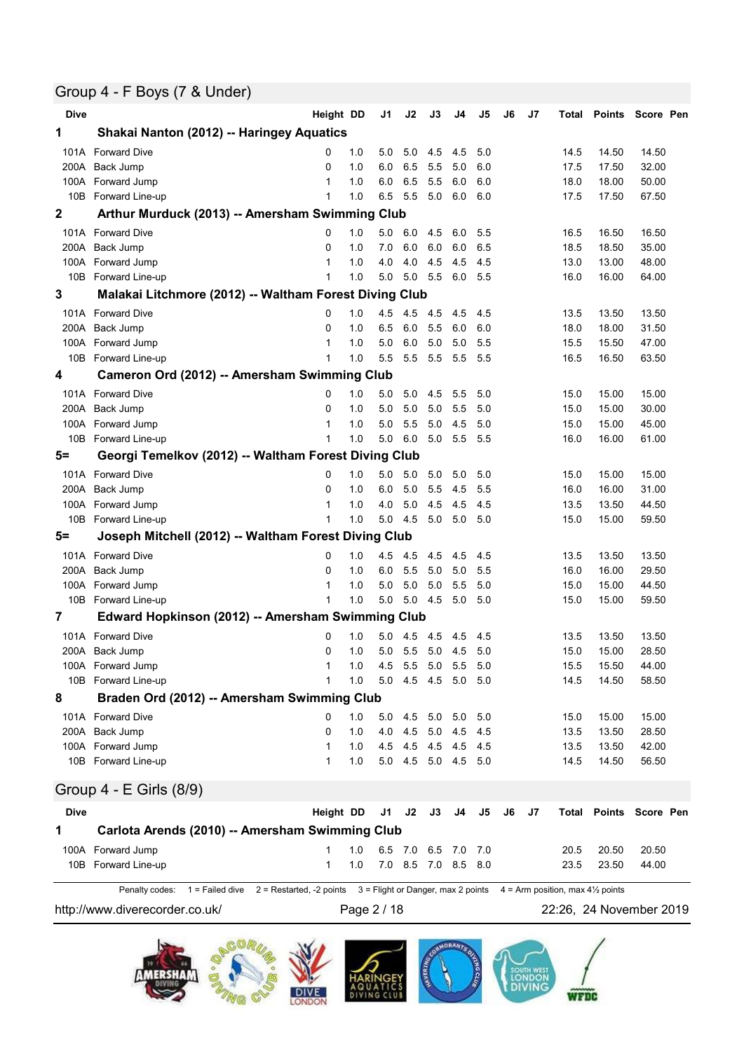### Group 4 - F Boys (7 & Under)

| <b>Dive</b> |                                                                                                                                 | Height DD      |     | J1  | J2              | J3    | J4                  | J5  | J6 | J7 | Total |       | Points Score Pen              |
|-------------|---------------------------------------------------------------------------------------------------------------------------------|----------------|-----|-----|-----------------|-------|---------------------|-----|----|----|-------|-------|-------------------------------|
| 1           | Shakai Nanton (2012) -- Haringey Aquatics                                                                                       |                |     |     |                 |       |                     |     |    |    |       |       |                               |
| 101A        | <b>Forward Dive</b>                                                                                                             | 0              | 1.0 | 5.0 | 5.0             | 4.5   | 4.5                 | 5.0 |    |    | 14.5  | 14.50 | 14.50                         |
| 200A        | Back Jump                                                                                                                       | 0              | 1.0 | 6.0 | 6.5             | 5.5   | 5.0                 | 6.0 |    |    | 17.5  | 17.50 | 32.00                         |
|             | 100A Forward Jump                                                                                                               | 1              | 1.0 | 6.0 | 6.5             | 5.5   | 6.0                 | 6.0 |    |    | 18.0  | 18.00 | 50.00                         |
|             | 10B Forward Line-up                                                                                                             | 1              | 1.0 | 6.5 | 5.5             | 5.0   | 6.0                 | 6.0 |    |    | 17.5  | 17.50 | 67.50                         |
| 2           | Arthur Murduck (2013) -- Amersham Swimming Club                                                                                 |                |     |     |                 |       |                     |     |    |    |       |       |                               |
|             | 101A Forward Dive                                                                                                               | 0              | 1.0 | 5.0 | 6.0             | 4.5   | 6.0                 | 5.5 |    |    | 16.5  | 16.50 | 16.50                         |
|             | 200A Back Jump                                                                                                                  | 0              | 1.0 | 7.0 | 6.0             | 6.0   | 6.0                 | 6.5 |    |    | 18.5  | 18.50 | 35.00                         |
|             | 100A Forward Jump                                                                                                               | 1              | 1.0 | 4.0 | 4.0             | 4.5   | 4.5                 | 4.5 |    |    | 13.0  | 13.00 | 48.00                         |
|             | 10B Forward Line-up                                                                                                             | $\mathbf 1$    | 1.0 | 5.0 | 5.0 5.5         |       | 6.0                 | 5.5 |    |    | 16.0  | 16.00 | 64.00                         |
| 3           | Malakai Litchmore (2012) -- Waltham Forest Diving Club                                                                          |                |     |     |                 |       |                     |     |    |    |       |       |                               |
|             | 101A Forward Dive                                                                                                               | 0              | 1.0 | 4.5 | 4.5             | - 4.5 | 4.5                 | 4.5 |    |    | 13.5  | 13.50 | 13.50                         |
|             | 200A Back Jump                                                                                                                  | $\Omega$       | 1.0 | 6.5 | 6.0             | 5.5   | 6.0                 | 6.0 |    |    | 18.0  | 18.00 | 31.50                         |
|             | 100A Forward Jump                                                                                                               | 1              | 1.0 | 5.0 | 6.0             | 5.0   | 5.0                 | 5.5 |    |    | 15.5  | 15.50 | 47.00                         |
| 10B         | Forward Line-up                                                                                                                 | 1              | 1.0 | 5.5 | 5.5             | 5.5   | 5.5                 | 5.5 |    |    | 16.5  | 16.50 | 63.50                         |
| 4           | Cameron Ord (2012) -- Amersham Swimming Club                                                                                    |                |     |     |                 |       |                     |     |    |    |       |       |                               |
|             | 101A Forward Dive                                                                                                               | 0              | 1.0 | 5.0 | 5.0             | 4.5   | 5.5                 | 5.0 |    |    | 15.0  | 15.00 | 15.00                         |
| 200A        | Back Jump                                                                                                                       | 0              | 1.0 | 5.0 | 5.0             | 5.0   | 5.5                 | 5.0 |    |    | 15.0  | 15.00 | 30.00                         |
| 100A        | Forward Jump                                                                                                                    | 1              | 1.0 | 5.0 | 5.5             | 5.0   | 4.5                 | 5.0 |    |    | 15.0  | 15.00 | 45.00                         |
|             | 10B Forward Line-up                                                                                                             | 1              | 1.0 | 5.0 | 6.0             | 5.0   | 5.5                 | 5.5 |    |    | 16.0  | 16.00 | 61.00                         |
| $5=$        | Georgi Temelkov (2012) -- Waltham Forest Diving Club                                                                            |                |     |     |                 |       |                     |     |    |    |       |       |                               |
|             | 101A Forward Dive                                                                                                               | 0              | 1.0 | 5.0 | 5.0             | 5.0   | 5.0                 | 5.0 |    |    | 15.0  | 15.00 | 15.00                         |
|             | 200A Back Jump                                                                                                                  | 0              | 1.0 | 6.0 | 5.0             | 5.5   | 4.5                 | 5.5 |    |    | 16.0  | 16.00 | 31.00                         |
|             | 100A Forward Jump                                                                                                               | 1              | 1.0 | 4.0 | 5.0             | 4.5   | 4.5                 | 4.5 |    |    | 13.5  | 13.50 | 44.50                         |
| 10B         | Forward Line-up                                                                                                                 | 1              | 1.0 | 5.0 | 4.5             | 5.0   | 5.0                 | 5.0 |    |    | 15.0  | 15.00 | 59.50                         |
| $5=$        | Joseph Mitchell (2012) -- Waltham Forest Diving Club                                                                            |                |     |     |                 |       |                     |     |    |    |       |       |                               |
| 101A        | <b>Forward Dive</b>                                                                                                             | 0              | 1.0 | 4.5 | 4.5             | 4.5   | 4.5                 | 4.5 |    |    | 13.5  | 13.50 | 13.50                         |
| 200A        | Back Jump                                                                                                                       | 0              | 1.0 | 6.0 | 5.5             | 5.0   | 5.0                 | 5.5 |    |    | 16.0  | 16.00 | 29.50                         |
|             | 100A Forward Jump                                                                                                               | 1              | 1.0 | 5.0 | 5.0             | 5.0   | 5.5                 | 5.0 |    |    | 15.0  | 15.00 | 44.50                         |
|             | 10B Forward Line-up                                                                                                             | 1              | 1.0 | 5.0 | 5.0             | 4.5   | 5.0                 | 5.0 |    |    | 15.0  | 15.00 | 59.50                         |
| 7           | Edward Hopkinson (2012) -- Amersham Swimming Club                                                                               |                |     |     |                 |       |                     |     |    |    |       |       |                               |
|             | 101A Forward Dive                                                                                                               | 0              | 1.0 |     | 5.0 4.5 4.5     |       | 4.5                 | 4.5 |    |    | 13.5  | 13.50 | 13.50                         |
|             | 200A Back Jump                                                                                                                  | 0              | 1.0 |     | 5.0 5.5 5.0 4.5 |       |                     | 5.0 |    |    | 15.0  | 15.00 | 28.50                         |
|             | 100A Forward Jump                                                                                                               | $\overline{A}$ | 1.0 |     |                 |       | 4.5 5.5 5.0 5.5 5.0 |     |    |    | 15.5  | 15.50 | 44.00                         |
|             | 10B Forward Line-up                                                                                                             | 1              | 1.0 |     |                 |       | 5.0 4.5 4.5 5.0 5.0 |     |    |    | 14.5  | 14.50 | 58.50                         |
| 8           | Braden Ord (2012) -- Amersham Swimming Club                                                                                     |                |     |     |                 |       |                     |     |    |    |       |       |                               |
|             | 101A Forward Dive                                                                                                               | 0              | 1.0 | 5.0 | 4.5             | 5.0   | 5.0                 | 5.0 |    |    | 15.0  | 15.00 | 15.00                         |
|             | 200A Back Jump                                                                                                                  | 0              | 1.0 | 4.0 |                 |       | 4.5 5.0 4.5         | 4.5 |    |    | 13.5  | 13.50 | 28.50                         |
|             | 100A Forward Jump                                                                                                               | $\mathbf 1$    | 1.0 | 4.5 |                 |       | 4.5 4.5 4.5         | 4.5 |    |    | 13.5  | 13.50 | 42.00                         |
|             | 10B Forward Line-up                                                                                                             | $\mathbf{1}$   | 1.0 |     |                 |       | 5.0 4.5 5.0 4.5 5.0 |     |    |    | 14.5  | 14.50 | 56.50                         |
|             | Group 4 - E Girls (8/9)                                                                                                         |                |     |     |                 |       |                     |     |    |    |       |       |                               |
| <b>Dive</b> |                                                                                                                                 | Height DD      |     | J1  | J2              | J3    | J4                  | J5  | J6 | J7 |       |       | <b>Total Points Score Pen</b> |
| 1           | Carlota Arends (2010) -- Amersham Swimming Club                                                                                 |                |     |     |                 |       |                     |     |    |    |       |       |                               |
|             | 100A Forward Jump                                                                                                               | 1              | 1.0 |     |                 |       | 6.5 7.0 6.5 7.0 7.0 |     |    |    | 20.5  | 20.50 | 20.50                         |
|             | 10B Forward Line-up                                                                                                             | 1              | 1.0 |     |                 |       | 7.0 8.5 7.0 8.5 8.0 |     |    |    | 23.5  | 23.50 | 44.00                         |
|             | 1 = Failed dive 2 = Restarted, -2 points 3 = Flight or Danger, max 2 points 4 = Arm position, max 41/2 points<br>Penalty codes: |                |     |     |                 |       |                     |     |    |    |       |       |                               |

http://www.diverecorder.co.uk/ Page 2 / 18 22:26, 24 November 2019

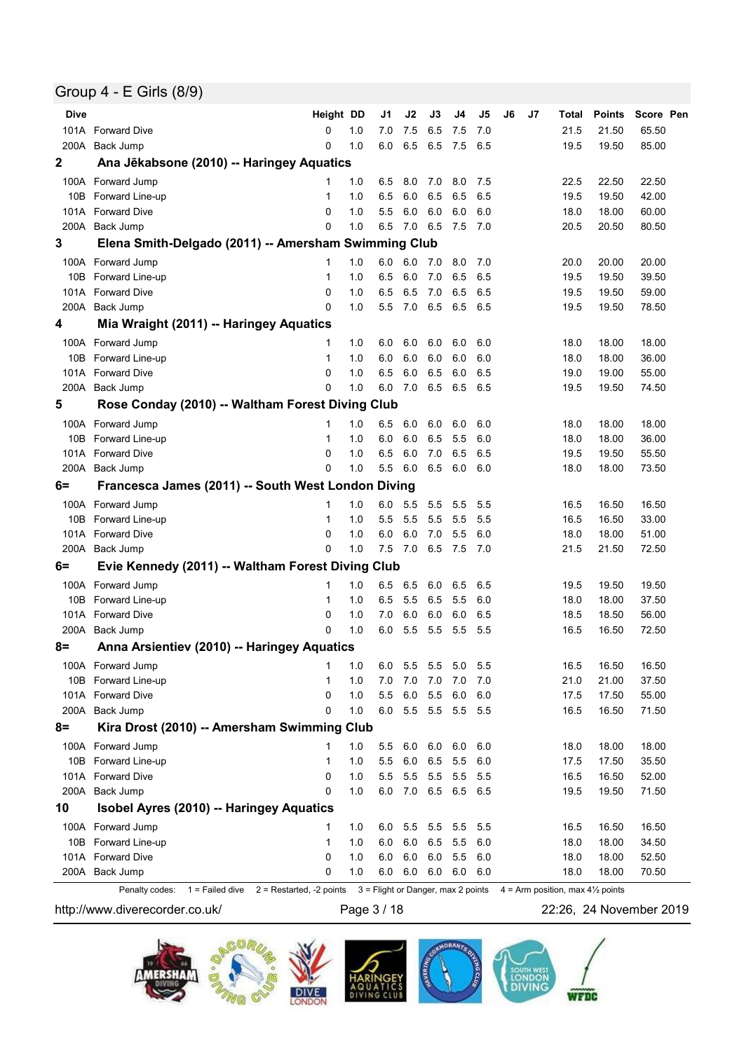### Group 4 - E Girls (8/9)

| <b>Dive</b> |                                                      | Height DD |       | J1      | J2      | J3      | J4      | J5  | J6 | J7 | Total | <b>Points</b> | Score Pen |
|-------------|------------------------------------------------------|-----------|-------|---------|---------|---------|---------|-----|----|----|-------|---------------|-----------|
|             | 101A Forward Dive                                    | 0         | 1.0   | 7.0     | 7.5     | 6.5     | 7.5     | 7.0 |    |    | 21.5  | 21.50         | 65.50     |
| 200A        | Back Jump                                            | 0         | 1.0   | 6.0     | 6.5     | 6.5     | 7.5     | 6.5 |    |    | 19.5  | 19.50         | 85.00     |
| 2           | Ana Jēkabsone (2010) -- Haringey Aquatics            |           |       |         |         |         |         |     |    |    |       |               |           |
|             | 100A Forward Jump                                    | 1         | 1.0   | 6.5     | 8.0     | 7.0     | 8.0     | 7.5 |    |    | 22.5  | 22.50         | 22.50     |
|             | 10B Forward Line-up                                  | 1         | 1.0   | 6.5     | 6.0     | 6.5     | 6.5     | 6.5 |    |    | 19.5  | 19.50         | 42.00     |
|             | 101A Forward Dive                                    | 0         | 1.0   | 5.5     | 6.0     | 6.0     | 6.0     | 6.0 |    |    | 18.0  | 18.00         | 60.00     |
|             | 200A Back Jump                                       | 0         | 1.0   | 6.5     | 7.0 6.5 |         | 7.5     | 7.0 |    |    | 20.5  | 20.50         | 80.50     |
| 3           | Elena Smith-Delgado (2011) -- Amersham Swimming Club |           |       |         |         |         |         |     |    |    |       |               |           |
|             | 100A Forward Jump                                    | 1         | 1.0   | 6.0     | 6.0     | - 7.0   | 8.0     | 7.0 |    |    | 20.0  | 20.00         | 20.00     |
|             | 10B Forward Line-up                                  | 1         | 1.0   | 6.5     | 6.0     | 7.0     | 6.5     | 6.5 |    |    | 19.5  | 19.50         | 39.50     |
|             | 101A Forward Dive                                    | 0         | 1.0   | 6.5     | 6.5     | 7.0     | 6.5     | 6.5 |    |    | 19.5  | 19.50         | 59.00     |
|             | 200A Back Jump                                       | 0         | 1.0   | 5.5     | 7.0     | 6.5     | 6.5     | 6.5 |    |    | 19.5  | 19.50         | 78.50     |
| 4           | Mia Wraight (2011) -- Haringey Aquatics              |           |       |         |         |         |         |     |    |    |       |               |           |
|             | 100A Forward Jump                                    | 1         | 1.0   | 6.0     | 6.0     | 6.0     | 6.0     | 6.0 |    |    | 18.0  | 18.00         | 18.00     |
|             | 10B Forward Line-up                                  | 1         | 1.0   | 6.0     | 6.0     | 6.0     | 6.0     | 6.0 |    |    | 18.0  | 18.00         | 36.00     |
|             | 101A Forward Dive                                    | 0         | 1.0   | 6.5     | 6.0     | 6.5     | 6.0     | 6.5 |    |    | 19.0  | 19.00         | 55.00     |
|             | 200A Back Jump                                       | 0         | 1.0   | 6.0     | 7.0     | 6.5     | 6.5     | 6.5 |    |    | 19.5  | 19.50         | 74.50     |
| 5           | Rose Conday (2010) -- Waltham Forest Diving Club     |           |       |         |         |         |         |     |    |    |       |               |           |
|             | 100A Forward Jump                                    | 1         | 1.0   | 6.5     | 6.0     | 6.0     | 6.0     | 6.0 |    |    | 18.0  | 18.00         | 18.00     |
| 10B         | Forward Line-up                                      | 1         | 1.0   | 6.0     | 6.0     | 6.5     | 5.5     | 6.0 |    |    | 18.0  | 18.00         | 36.00     |
|             | 101A Forward Dive                                    | 0         | 1.0   | 6.5     | 6.0     | 7.0     | 6.5     | 6.5 |    |    | 19.5  | 19.50         | 55.50     |
|             | 200A Back Jump                                       | 0         | 1.0   | 5.5     | 6.0     | 6.5     | 6.0     | 6.0 |    |    | 18.0  | 18.00         | 73.50     |
| 6=          | Francesca James (2011) -- South West London Diving   |           |       |         |         |         |         |     |    |    |       |               |           |
|             | 100A Forward Jump                                    | 1         | 1.0   | 6.0     | 5.5     | 5.5     | 5.5     | 5.5 |    |    | 16.5  | 16.50         | 16.50     |
| 10B         | Forward Line-up                                      | 1         | 1.0   | 5.5     | 5.5     | 5.5     | 5.5     | 5.5 |    |    | 16.5  | 16.50         | 33.00     |
|             | 101A Forward Dive                                    | 0         | 1.0   | 6.0     | 6.0     | 7.0     | 5.5     | 6.0 |    |    | 18.0  | 18.00         | 51.00     |
|             | 200A Back Jump                                       | 0         | 1.0   | 7.5     | 7.0     | 6.5     | 7.5     | 7.0 |    |    | 21.5  | 21.50         | 72.50     |
| 6=          | Evie Kennedy (2011) -- Waltham Forest Diving Club    |           |       |         |         |         |         |     |    |    |       |               |           |
|             | 100A Forward Jump                                    | 1         | 1.0   | 6.5     | 6.5     | 6.0     | 6.5     | 6.5 |    |    | 19.5  | 19.50         | 19.50     |
| 10B         | Forward Line-up                                      | 1         | 1.0   | 6.5     | 5.5     | 6.5     | 5.5     | 6.0 |    |    | 18.0  | 18.00         | 37.50     |
|             | 101A Forward Dive                                    | 0         | 1.0   | 7.0     | 6.0     | 6.0     | 6.0     | 6.5 |    |    | 18.5  | 18.50         | 56.00     |
|             | 200A Back Jump                                       | 0         | 1.0   | 6.0     | 5.5     | 5.5     | 5.5     | 5.5 |    |    | 16.5  | 16.50         | 72.50     |
| 8=          | Anna Arsientiev (2010) -- Haringey Aquatics          |           |       |         |         |         |         |     |    |    |       |               |           |
|             | 100A Forward Jump                                    |           | $1.0$ | $6.0\,$ | 5.5 5.5 |         | 5.0     | 5.5 |    |    | 16.5  | 16.50         | 16.50     |
|             | 10B Forward Line-up                                  | 1         | 1.0   | 7.0     | 7.0     | 7.0     | 7.0     | 7.0 |    |    | 21.0  | 21.00         | 37.50     |
|             | 101A Forward Dive                                    | 0         | 1.0   | 5.5     | 6.0     | 5.5     | $6.0\,$ | 6.0 |    |    | 17.5  | 17.50         | 55.00     |
|             | 200A Back Jump                                       | 0         | 1.0   | 6.0     |         | 5.5 5.5 | 5.5     | 5.5 |    |    | 16.5  | 16.50         | 71.50     |
| $8=$        | Kira Drost (2010) -- Amersham Swimming Club          |           |       |         |         |         |         |     |    |    |       |               |           |
|             | 100A Forward Jump                                    | 1         | 1.0   | 5.5     | 6.0     | 6.0     | 6.0     | 6.0 |    |    | 18.0  | 18.00         | 18.00     |
|             | 10B Forward Line-up                                  | 1         | 1.0   | 5.5     | 6.0     | 6.5     | 5.5     | 6.0 |    |    | 17.5  | 17.50         | 35.50     |
|             | 101A Forward Dive                                    | 0         | 1.0   | 5.5     | 5.5     | 5.5     | 5.5     | 5.5 |    |    | 16.5  | 16.50         | 52.00     |
|             | 200A Back Jump                                       | 0         | 1.0   | 6.0     |         | 7.0 6.5 | 6.5     | 6.5 |    |    | 19.5  | 19.50         | 71.50     |
| 10          | Isobel Ayres (2010) -- Haringey Aquatics             |           |       |         |         |         |         |     |    |    |       |               |           |
|             | 100A Forward Jump                                    | 1         | 1.0   | 6.0     | 5.5     | 5.5     | 5.5     | 5.5 |    |    | 16.5  | 16.50         | 16.50     |
|             | 10B Forward Line-up                                  | 1         | 1.0   | 6.0     | 6.0     | 6.5     | 5.5     | 6.0 |    |    | 18.0  | 18.00         | 34.50     |
|             | 101A Forward Dive                                    | 0         | 1.0   | 6.0     | 6.0     | 6.0     | 5.5     | 6.0 |    |    | 18.0  | 18.00         | 52.50     |
|             | 200A Back Jump                                       | 0         | 1.0   | 6.0     | 6.0     | 6.0     | 6.0     | 6.0 |    |    | 18.0  | 18.00         | 70.50     |

Penalty codes: 1 = Failed dive 2 = Restarted, -2 points 3 = Flight or Danger, max 2 points 4 = Arm position, max 41/2 points

http://www.diverecorder.co.uk/ Page 3 / 18 22:26, 24 November 2019

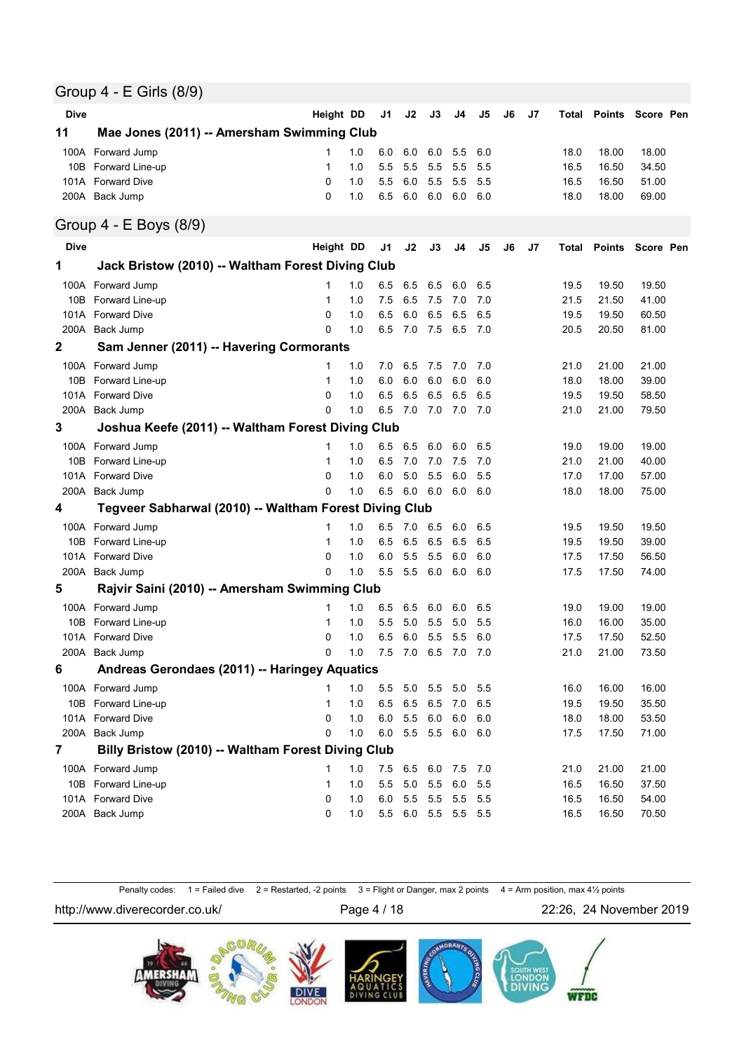### Group 4 - E Girls (8/9)

| <b>Dive</b> |                                                        | Height DD    |     | J1  | J2      | J3             | J4              | J5  | J6 | J7 | Total |               | Points Score Pen |
|-------------|--------------------------------------------------------|--------------|-----|-----|---------|----------------|-----------------|-----|----|----|-------|---------------|------------------|
| 11          | Mae Jones (2011) -- Amersham Swimming Club             |              |     |     |         |                |                 |     |    |    |       |               |                  |
| 100A        | Forward Jump                                           | 1            | 1.0 | 6.0 | 6.0     | 6.0            | 5.5             | 6.0 |    |    | 18.0  | 18.00         | 18.00            |
| 10B         | Forward Line-up                                        | 1            | 1.0 | 5.5 | 5.5     | 5.5            | 5.5             | 5.5 |    |    | 16.5  | 16.50         | 34.50            |
| 101A        | <b>Forward Dive</b>                                    | 0            | 1.0 | 5.5 | 6.0     | 5.5            | 5.5             | 5.5 |    |    | 16.5  | 16.50         | 51.00            |
|             | 200A Back Jump                                         | 0            | 1.0 | 6.5 | 6.0     | 6.0            | 6.0             | 6.0 |    |    | 18.0  | 18.00         | 69.00            |
|             | Group 4 - E Boys (8/9)                                 |              |     |     |         |                |                 |     |    |    |       |               |                  |
| <b>Dive</b> |                                                        | Height DD    |     | J1  | J2      | J3             | J4              | J5  | J6 | J7 | Total | <b>Points</b> | Score Pen        |
| 1           | Jack Bristow (2010) -- Waltham Forest Diving Club      |              |     |     |         |                |                 |     |    |    |       |               |                  |
| 100A        | Forward Jump                                           | 1            | 1.0 | 6.5 | 6.5     | 6.5            | 6.0             | 6.5 |    |    | 19.5  | 19.50         | 19.50            |
| 10B         | Forward Line-up                                        | 1            | 1.0 | 7.5 | 6.5     | 7.5            | 7.0             | 7.0 |    |    | 21.5  | 21.50         | 41.00            |
| 101A        | <b>Forward Dive</b>                                    | 0            | 1.0 | 6.5 | 6.0     | 6.5            | 6.5             | 6.5 |    |    | 19.5  | 19.50         | 60.50            |
| 200A        | Back Jump                                              | 0            | 1.0 | 6.5 | 7.0     | 7.5            | 6.5             | 7.0 |    |    | 20.5  | 20.50         | 81.00            |
| $\mathbf 2$ | Sam Jenner (2011) -- Havering Cormorants               |              |     |     |         |                |                 |     |    |    |       |               |                  |
| 100A        | Forward Jump                                           | 1            | 1.0 | 7.0 | 6.5     | 7.5            | 7.0             | 7.0 |    |    | 21.0  | 21.00         | 21.00            |
| 10B         | Forward Line-up                                        | 1            | 1.0 | 6.0 | 6.0     | 6.0            | 6.0             | 6.0 |    |    | 18.0  | 18.00         | 39.00            |
| 101A        | <b>Forward Dive</b>                                    | 0            | 1.0 | 6.5 | 6.5     | 6.5            | 6.5             | 6.5 |    |    | 19.5  | 19.50         | 58.50            |
| 200A        | Back Jump                                              | 0            | 1.0 | 6.5 | 7.0     | 7.0            | 7.0             | 7.0 |    |    | 21.0  | 21.00         | 79.50            |
| 3           | Joshua Keefe (2011) -- Waltham Forest Diving Club      |              |     |     |         |                |                 |     |    |    |       |               |                  |
|             | 100A Forward Jump                                      | 1            | 1.0 | 6.5 | 6.5     | 6.0            | 6.0             | 6.5 |    |    | 19.0  | 19.00         | 19.00            |
| 10B         | <b>Forward Line-up</b>                                 | 1            | 1.0 | 6.5 | 7.0     | 7.0            | 7.5             | 7.0 |    |    | 21.0  | 21.00         | 40.00            |
| 101A        | <b>Forward Dive</b>                                    | 0            | 1.0 | 6.0 | 5.0     | 5.5            | 6.0             | 5.5 |    |    | 17.0  | 17.00         | 57.00            |
|             | 200A Back Jump                                         | 0            | 1.0 | 6.5 | 6.0     | 6.0            | 6.0             | 6.0 |    |    | 18.0  | 18.00         | 75.00            |
| 4           | Tegveer Sabharwal (2010) -- Waltham Forest Diving Club |              |     |     |         |                |                 |     |    |    |       |               |                  |
| 100A        | Forward Jump                                           | 1            | 1.0 | 6.5 | 7.0     | 6.5            | 6.0             | 6.5 |    |    | 19.5  | 19.50         | 19.50            |
| 10B         | Forward Line-up                                        | 1            | 1.0 | 6.5 | 6.5     | 6.5            | 6.5             | 6.5 |    |    | 19.5  | 19.50         | 39.00            |
| 101A        | <b>Forward Dive</b>                                    | 0            | 1.0 | 6.0 | 5.5     | 5.5            | 6.0             | 6.0 |    |    | 17.5  | 17.50         | 56.50            |
| 200A        | Back Jump                                              | 0            | 1.0 | 5.5 | 5.5     | 6.0            | 6.0             | 6.0 |    |    | 17.5  | 17.50         | 74.00            |
| 5           | Rajvir Saini (2010) -- Amersham Swimming Club          |              |     |     |         |                |                 |     |    |    |       |               |                  |
| 100A        | Forward Jump                                           | 1            | 1.0 | 6.5 | 6.5     | 6.0            | 6.0             | 6.5 |    |    | 19.0  | 19.00         | 19.00            |
| 10B         | Forward Line-up                                        | 1            | 1.0 | 5.5 | 5.0     | 5.5            | 5.0             | 5.5 |    |    | 16.0  | 16.00         | 35.00            |
| 101A        | <b>Forward Dive</b>                                    | 0            | 1.0 | 6.5 | 6.0     | 5.5            | 5.5             | 6.0 |    |    | 17.5  | 17.50         | 52.50            |
|             | 200A Back Jump                                         | 0            | 1.0 | 7.5 | 7.0     | 6.5            | 7.0             | 7.0 |    |    | 21.0  | 21.00         | 73.50            |
| 6           | Andreas Gerondaes (2011) -- Haringey Aquatics          |              |     |     |         |                |                 |     |    |    |       |               |                  |
|             | 100A Forward Jump                                      | 1            | 1.0 | 5.5 | 5.0     | 5.5            | 5.0             | 5.5 |    |    | 16.0  | 16.00         | 16.00            |
|             | 10B Forward Line-up                                    | 1            | 1.0 | 6.5 | 6.5 6.5 |                | 7.0             | 6.5 |    |    | 19.5  | 19.50         | 35.50            |
| 101A        | <b>Forward Dive</b>                                    | 0            | 1.0 | 6.0 | 5.5     | 6.0            | 6.0             | 6.0 |    |    | 18.0  | 18.00         | 53.50            |
| 200A        | Back Jump                                              | 0            | 1.0 | 6.0 |         | 5.5 5.5        | 6.0             | 6.0 |    |    | 17.5  | 17.50         | 71.00            |
| 7           | Billy Bristow (2010) -- Waltham Forest Diving Club     |              |     |     |         |                |                 |     |    |    |       |               |                  |
|             | 100A Forward Jump                                      | 1            | 1.0 | 7.5 | 6.5     | 6.0            | 7.5             | 7.0 |    |    | 21.0  | 21.00         | 21.00            |
|             | 10B Forward Line-up                                    | $\mathbf{1}$ | 1.0 | 5.5 |         | $5.0\quad 5.5$ | 6.0             | 5.5 |    |    | 16.5  | 16.50         | 37.50            |
|             | 101A Forward Dive                                      | 0            | 1.0 | 6.0 |         | 5.5 5.5        | 5.5             | 5.5 |    |    | 16.5  | 16.50         | 54.00            |
|             | 200A Back Jump                                         | 0            | 1.0 | 5.5 |         |                | 6.0 5.5 5.5 5.5 |     |    |    | 16.5  | 16.50         | 70.50            |
|             |                                                        |              |     |     |         |                |                 |     |    |    |       |               |                  |

Penalty codes: 1 = Failed dive 2 = Restarted, -2 points 3 = Flight or Danger, max 2 points 4 = Arm position, max 4½ points

http://www.diverecorder.co.uk/ Page 4 / 18 22:26, 24 November 2019

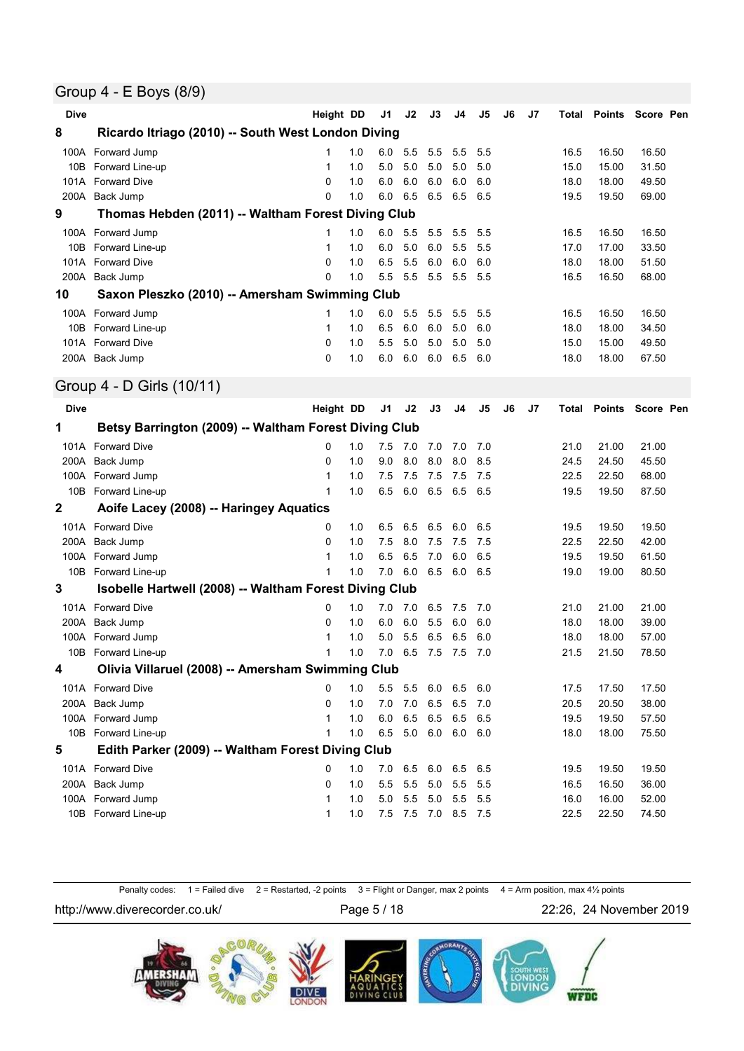#### Group 4 - E Boys (8/9)

| <b>Dive</b> |                                                        | Height DD    |     | J1  | J2      | J3             | J4             | J5             | J6 | J7 | Total | Points        | Score Pen |  |
|-------------|--------------------------------------------------------|--------------|-----|-----|---------|----------------|----------------|----------------|----|----|-------|---------------|-----------|--|
| 8           | Ricardo Itriago (2010) -- South West London Diving     |              |     |     |         |                |                |                |    |    |       |               |           |  |
| 100A        | Forward Jump                                           | 1            | 1.0 | 6.0 | 5.5     | 5.5            | 5.5            | 5.5            |    |    | 16.5  | 16.50         | 16.50     |  |
| 10B         | Forward Line-up                                        | 1            | 1.0 | 5.0 | 5.0     | 5.0            | 5.0            | 5.0            |    |    | 15.0  | 15.00         | 31.50     |  |
|             | 101A Forward Dive                                      | $\mathbf{0}$ | 1.0 | 6.0 | 6.0     | 6.0            | 6.0            | 6.0            |    |    | 18.0  | 18.00         | 49.50     |  |
| 200A        | Back Jump                                              | $\Omega$     | 1.0 | 6.0 | 6.5     | 6.5            | 6.5            | 6.5            |    |    | 19.5  | 19.50         | 69.00     |  |
| 9           | Thomas Hebden (2011) -- Waltham Forest Diving Club     |              |     |     |         |                |                |                |    |    |       |               |           |  |
| 100A        | Forward Jump                                           | 1            | 1.0 | 6.0 | 5.5     | 5.5            | 5.5            | 5.5            |    |    | 16.5  | 16.50         | 16.50     |  |
| 10B         | Forward Line-up                                        | 1            | 1.0 | 6.0 | 5.0     | 6.0            | 5.5            | 5.5            |    |    | 17.0  | 17.00         | 33.50     |  |
| 101A        | <b>Forward Dive</b>                                    | 0            | 1.0 | 6.5 | 5.5     | 6.0            | 6.0            | 6.0            |    |    | 18.0  | 18.00         | 51.50     |  |
| 200A        | Back Jump                                              | 0            | 1.0 | 5.5 | 5.5     | 5.5            | 5.5            | 5.5            |    |    | 16.5  | 16.50         | 68.00     |  |
| 10          | Saxon Pleszko (2010) -- Amersham Swimming Club         |              |     |     |         |                |                |                |    |    |       |               |           |  |
|             | 100A Forward Jump                                      | 1            | 1.0 | 6.0 | 5.5     | 5.5            | 5.5            | 5.5            |    |    | 16.5  | 16.50         | 16.50     |  |
|             | 10B Forward Line-up                                    | 1            | 1.0 | 6.5 | 6.0     | 6.0            | 5.0            | 6.0            |    |    | 18.0  | 18.00         | 34.50     |  |
|             | 101A Forward Dive                                      | $\mathbf 0$  | 1.0 | 5.5 | 5.0     | 5.0            | 5.0            | 5.0            |    |    | 15.0  | 15.00         | 49.50     |  |
|             | 200A Back Jump                                         | $\Omega$     | 1.0 | 6.0 | 6.0     | 6.0            | 6.5            | 6.0            |    |    | 18.0  | 18.00         | 67.50     |  |
|             | Group 4 - D Girls (10/11)                              |              |     |     |         |                |                |                |    |    |       |               |           |  |
| <b>Dive</b> |                                                        | Height DD    |     | J1  | J2      | J3             | J <sub>4</sub> | J <sub>5</sub> | J6 | J7 | Total | <b>Points</b> | Score Pen |  |
| 1           | Betsy Barrington (2009) -- Waltham Forest Diving Club  |              |     |     |         |                |                |                |    |    |       |               |           |  |
|             | 101A Forward Dive                                      | 0            | 1.0 | 7.5 | 7.0     | 7.0            | 7.0            | 7.0            |    |    | 21.0  | 21.00         | 21.00     |  |
| 200A        | Back Jump                                              | 0            | 1.0 | 9.0 | 8.0     | 8.0            | 8.0            | 8.5            |    |    | 24.5  | 24.50         | 45.50     |  |
| 100A        | Forward Jump                                           | 1            | 1.0 | 7.5 | 7.5     | 7.5            | 7.5            | 7.5            |    |    | 22.5  | 22.50         | 68.00     |  |
|             | 10B Forward Line-up                                    | 1            | 1.0 | 6.5 | 6.0     | 6.5            | 6.5            | 6.5            |    |    | 19.5  | 19.50         | 87.50     |  |
| $\mathbf 2$ | Aoife Lacey (2008) -- Haringey Aquatics                |              |     |     |         |                |                |                |    |    |       |               |           |  |
|             | 101A Forward Dive                                      | 0            | 1.0 | 6.5 | 6.5     | 6.5            | 6.0            | 6.5            |    |    | 19.5  | 19.50         | 19.50     |  |
| 200A        | Back Jump                                              | 0            | 1.0 | 7.5 | 8.0     | 7.5            | 7.5            | 7.5            |    |    | 22.5  | 22.50         | 42.00     |  |
|             | 100A Forward Jump                                      | 1            | 1.0 | 6.5 | 6.5     | 7.0            | 6.0            | 6.5            |    |    | 19.5  | 19.50         | 61.50     |  |
| 10B         | Forward Line-up                                        | 1            | 1.0 | 7.0 | 6.0     | 6.5            | 6.0            | 6.5            |    |    | 19.0  | 19.00         | 80.50     |  |
| 3           | Isobelle Hartwell (2008) -- Waltham Forest Diving Club |              |     |     |         |                |                |                |    |    |       |               |           |  |
|             | 101A Forward Dive                                      | 0            | 1.0 | 7.0 | 7.0     | 6.5            | 7.5            | 7.0            |    |    | 21.0  | 21.00         | 21.00     |  |
| 200A        | Back Jump                                              | 0            | 1.0 | 6.0 | 6.0     | 5.5            | 6.0            | 6.0            |    |    | 18.0  | 18.00         | 39.00     |  |
|             | 100A Forward Jump                                      | 1            | 1.0 | 5.0 | 5.5     | 6.5            | 6.5            | 6.0            |    |    | 18.0  | 18.00         | 57.00     |  |
|             | 10B Forward Line-up                                    | 1            | 1.0 | 7.0 | 6.5     | 7.5            | 7.5            | 7.0            |    |    | 21.5  | 21.50         | 78.50     |  |
| 4           | Olivia Villaruel (2008) -- Amersham Swimming Club      |              |     |     |         |                |                |                |    |    |       |               |           |  |
|             | 101A Forward Dive                                      | 0            | 1.0 | 5.5 | 5.5     | 6.0            | 6.5            | 6.0            |    |    | 17.5  | 17.50         | 17.50     |  |
|             | 200A Back Jump                                         | 0            | 1.0 | 7.0 | 7.0     | 6.5            | 6.5            | 7.0            |    |    | 20.5  | 20.50         | 38.00     |  |
|             | 100A Forward Jump                                      | 1            | 1.0 | 6.0 | 6.5     | 6.5            | 6.5            | 6.5            |    |    | 19.5  | 19.50         | 57.50     |  |
|             | 10B Forward Line-up                                    | 1            | 1.0 | 6.5 |         | $5.0\quad 6.0$ | 6.0            | 6.0            |    |    | 18.0  | 18.00         | 75.50     |  |
| 5           | Edith Parker (2009) -- Waltham Forest Diving Club      |              |     |     |         |                |                |                |    |    |       |               |           |  |
|             | 101A Forward Dive                                      | 0            | 1.0 | 7.0 | 6.5     | 6.0            | 6.5            | 6.5            |    |    | 19.5  | 19.50         | 19.50     |  |
|             | 200A Back Jump                                         | 0            | 1.0 | 5.5 | 5.5     | 5.0            | 5.5            | 5.5            |    |    | 16.5  | 16.50         | 36.00     |  |
|             | 100A Forward Jump                                      | 1            | 1.0 | 5.0 | 5.5     | 5.0            | 5.5            | 5.5            |    |    | 16.0  | 16.00         | 52.00     |  |
|             | 10B Forward Line-up                                    | 1            | 1.0 | 7.5 | 7.5 7.0 |                | 8.5            | 7.5            |    |    | 22.5  | 22.50         | 74.50     |  |

Penalty codes: 1 = Failed dive 2 = Restarted, -2 points 3 = Flight or Danger, max 2 points 4 = Arm position, max 41/<sub>2</sub> points

http://www.diverecorder.co.uk/ Page 5 / 18 22:26, 24 November 2019

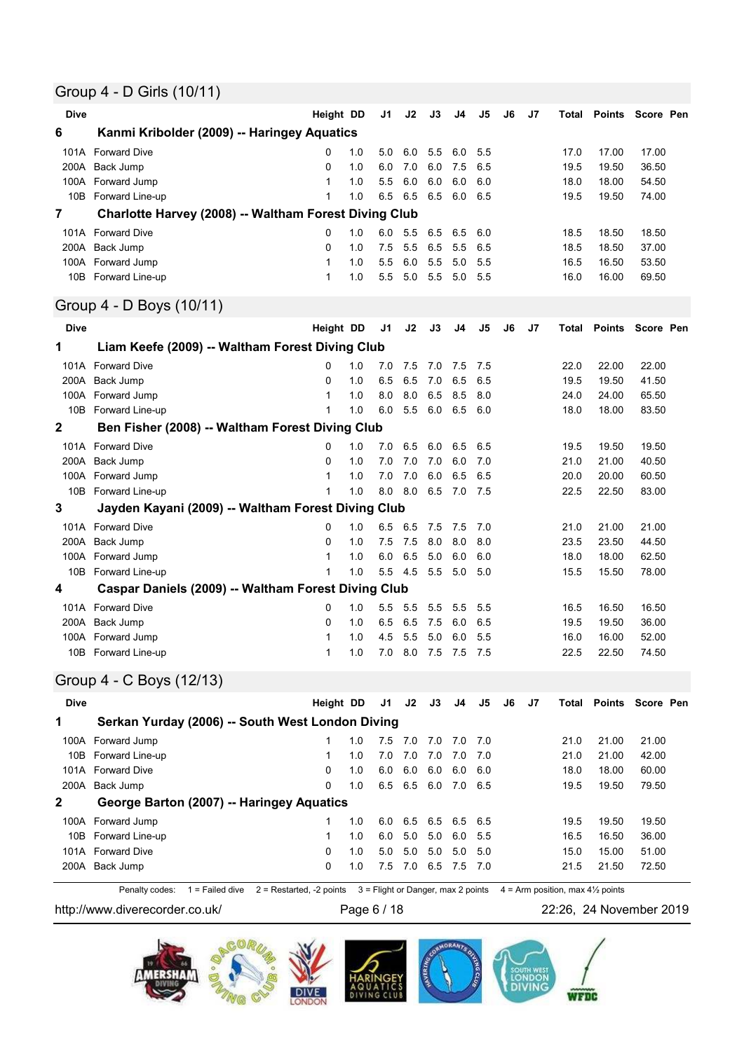## Group 4 - D Girls (10/11)

| <b>Dive</b>    |                                                       | Height DD |     | J1             | J2  | J3              | J4  | J5  | J6 | J7 | Total | Points        | Score Pen        |
|----------------|-------------------------------------------------------|-----------|-----|----------------|-----|-----------------|-----|-----|----|----|-------|---------------|------------------|
| 6              | Kanmi Kribolder (2009) -- Haringey Aquatics           |           |     |                |     |                 |     |     |    |    |       |               |                  |
| 101A           | <b>Forward Dive</b>                                   | 0         | 1.0 | 5.0            | 6.0 | 5.5             | 6.0 | 5.5 |    |    | 17.0  | 17.00         | 17.00            |
| 200A           | Back Jump                                             | $\Omega$  | 1.0 | 6.0            | 7.0 | 6.0             | 7.5 | 6.5 |    |    | 19.5  | 19.50         | 36.50            |
|                | 100A Forward Jump                                     | 1         | 1.0 | 5.5            | 6.0 | 6.0             | 6.0 | 6.0 |    |    | 18.0  | 18.00         | 54.50            |
|                | 10B Forward Line-up                                   | 1         | 1.0 | 6.5            | 6.5 | 6.5             | 6.0 | 6.5 |    |    | 19.5  | 19.50         | 74.00            |
| $\overline{7}$ | Charlotte Harvey (2008) -- Waltham Forest Diving Club |           |     |                |     |                 |     |     |    |    |       |               |                  |
|                | 101A Forward Dive                                     | 0         | 1.0 | 6.0            | 5.5 | 6.5             | 6.5 | 6.0 |    |    | 18.5  | 18.50         | 18.50            |
| 200A           | Back Jump                                             | 0         | 1.0 | 7.5            | 5.5 | 6.5             | 5.5 | 6.5 |    |    | 18.5  | 18.50         | 37.00            |
|                | 100A Forward Jump                                     | 1         | 1.0 | 5.5            | 6.0 | 5.5             | 5.0 | 5.5 |    |    | 16.5  | 16.50         | 53.50            |
|                | 10B Forward Line-up                                   | 1         | 1.0 | 5.5            | 5.0 | 5.5             | 5.0 | 5.5 |    |    | 16.0  | 16.00         | 69.50            |
|                | Group 4 - D Boys (10/11)                              |           |     |                |     |                 |     |     |    |    |       |               |                  |
| <b>Dive</b>    |                                                       | Height DD |     | J <sub>1</sub> | J2  | J3              | J4  | J5  | J6 | J7 | Total | <b>Points</b> | Score Pen        |
| 1              | Liam Keefe (2009) -- Waltham Forest Diving Club       |           |     |                |     |                 |     |     |    |    |       |               |                  |
|                | 101A Forward Dive                                     | 0         | 1.0 | 7.0            | 7.5 | 7.0             | 7.5 | 7.5 |    |    | 22.0  | 22.00         | 22.00            |
|                | 200A Back Jump                                        | 0         | 1.0 | 6.5            | 6.5 | 7.0             | 6.5 | 6.5 |    |    | 19.5  | 19.50         | 41.50            |
|                | 100A Forward Jump                                     | 1         | 1.0 | 8.0            | 8.0 | 6.5             | 8.5 | 8.0 |    |    | 24.0  | 24.00         | 65.50            |
|                | 10B Forward Line-up                                   | 1         | 1.0 | 6.0            | 5.5 | 6.0             | 6.5 | 6.0 |    |    | 18.0  | 18.00         | 83.50            |
| $\mathbf{2}$   | Ben Fisher (2008) -- Waltham Forest Diving Club       |           |     |                |     |                 |     |     |    |    |       |               |                  |
|                | 101A Forward Dive                                     | 0         | 1.0 | 7.0            | 6.5 | 6.0             | 6.5 | 6.5 |    |    | 19.5  | 19.50         | 19.50            |
|                | 200A Back Jump                                        | 0         | 1.0 | 7.0            | 7.0 | 7.0             | 6.0 | 7.0 |    |    | 21.0  | 21.00         | 40.50            |
|                | 100A Forward Jump                                     | 1         | 1.0 | 7.0            | 7.0 | 6.0             | 6.5 | 6.5 |    |    | 20.0  | 20.00         | 60.50            |
|                | 10B Forward Line-up                                   | 1         | 1.0 | 8.0            | 8.0 | 6.5             | 7.0 | 7.5 |    |    | 22.5  | 22.50         | 83.00            |
| 3              | Jayden Kayani (2009) -- Waltham Forest Diving Club    |           |     |                |     |                 |     |     |    |    |       |               |                  |
| 101A           | <b>Forward Dive</b>                                   | 0         | 1.0 | 6.5            | 6.5 | 7.5             | 7.5 | 7.0 |    |    | 21.0  | 21.00         | 21.00            |
| 200A           | Back Jump                                             | 0         | 1.0 | 7.5            | 7.5 | 8.0             | 8.0 | 8.0 |    |    | 23.5  | 23.50         | 44.50            |
|                | 100A Forward Jump                                     | 1         | 1.0 | 6.0            | 6.5 | 5.0             | 6.0 | 6.0 |    |    | 18.0  | 18.00         | 62.50            |
|                | 10B Forward Line-up                                   | 1         | 1.0 | 5.5            | 4.5 | 5.5             | 5.0 | 5.0 |    |    | 15.5  | 15.50         | 78.00            |
| 4              | Caspar Daniels (2009) -- Waltham Forest Diving Club   |           |     |                |     |                 |     |     |    |    |       |               |                  |
|                | 101A Forward Dive                                     | 0         | 1.0 | 5.5            | 5.5 | 5.5             | 5.5 | 5.5 |    |    | 16.5  | 16.50         | 16.50            |
| 200A           | Back Jump                                             | 0         | 1.0 | 6.5            | 6.5 | 7.5             | 6.0 | 6.5 |    |    | 19.5  | 19.50         | 36.00            |
| 100A           | Forward Jump                                          | 1         | 1.0 | 4.5            | 5.5 | 5.0             | 6.0 | 5.5 |    |    | 16.0  | 16.00         | 52.00            |
|                | 10B Forward Line-up                                   | 1         | 1.0 | 7.0            | 8.0 | 7.5             | 7.5 | 7.5 |    |    | 22.5  | 22.50         | 74.50            |
|                | Group 4 - C Boys (12/13)                              |           |     |                |     |                 |     |     |    |    |       |               |                  |
| <b>Dive</b>    |                                                       | Height DD |     | J1             | J2  | J3              | J4  | J5  | J6 | J7 | Total |               | Points Score Pen |
| 1              | Serkan Yurday (2006) -- South West London Diving      |           |     |                |     |                 |     |     |    |    |       |               |                  |
|                | 100A Forward Jump                                     | 1         | 1.0 | 7.5            | 7.0 | 7.0             | 7.0 | 7.0 |    |    | 21.0  | 21.00         | 21.00            |
|                | 10B Forward Line-up                                   | 1         | 1.0 | 7.0            |     | 7.0 7.0 7.0 7.0 |     |     |    |    | 21.0  | 21.00         | 42.00            |

| <b>IUD</b> I UIWAIU LIII <del>C</del> UP  |   | $\mathbf{L}$ |     |     |                     |                         | $\sim$ 1.0 | ZI.UU | <b>HL.UU</b> |  |
|-------------------------------------------|---|--------------|-----|-----|---------------------|-------------------------|------------|-------|--------------|--|
| 101A Forward Dive                         | 0 | 1.0          | 6.0 | 6.0 | 6.0                 | 6.0 6.0                 | 18.0       | 18.00 | 60.00        |  |
| 200A Back Jump                            | 0 | 1.0          |     |     | 6.5 6.5 6.0 7.0 6.5 |                         | 19.5       | 19.50 | 79.50        |  |
| George Barton (2007) -- Haringey Aquatics |   |              |     |     |                     |                         |            |       |              |  |
| 100A Forward Jump                         |   | 1.0          |     |     | 6.0 6.5 6.5 6.5 6.5 |                         | 19.5       | 19.50 | 19.50        |  |
| 10B Forward Line-up                       |   | 1.0          | 6.0 | 5.0 | 5.0 6.0 5.5         |                         | 16.5       | 16.50 | 36.00        |  |
| 101A Forward Dive                         | 0 | 1.0          | 5.0 | 5.0 |                     | $5.0\quad 5.0\quad 5.0$ | 15.0       | 15.00 | 51.00        |  |
| 200A Back Jump                            | 0 | 1.0          |     |     | 7.5 7.0 6.5 7.5 7.0 |                         | 21.5       | 21.50 | 72.50        |  |
|                                           |   |              |     |     |                     |                         |            |       |              |  |

Penalty codes:  $1 =$  Failed dive  $2 =$  Restarted, -2 points  $3 =$  Flight or Danger, max 2 points  $4 =$  Arm position, max 4½ points

http://www.diverecorder.co.uk/ Page 6 / 18 22:26, 24 November 2019

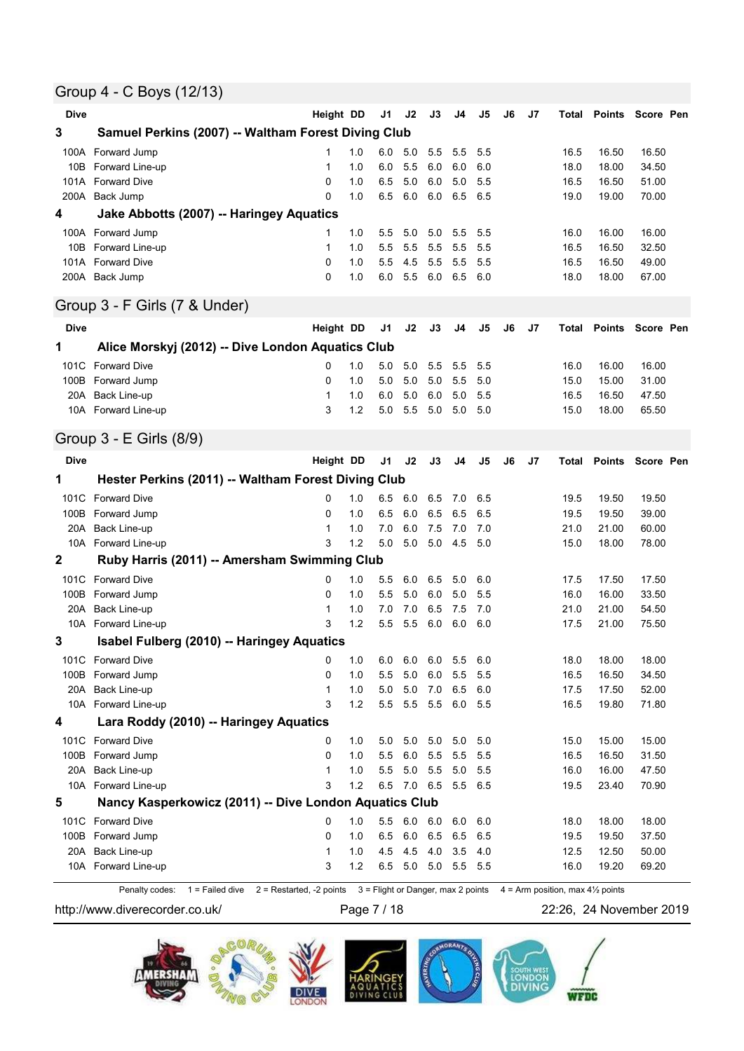### Group 4 - C Boys (12/13)

| <b>Dive</b> |                                                        | Height DD        |            | J1         | J2             | J3          | J4         | J5         | J6 | J7 |              | Total Points Score Pen |                |  |
|-------------|--------------------------------------------------------|------------------|------------|------------|----------------|-------------|------------|------------|----|----|--------------|------------------------|----------------|--|
| 3           | Samuel Perkins (2007) -- Waltham Forest Diving Club    |                  |            |            |                |             |            |            |    |    |              |                        |                |  |
| 100A        | Forward Jump                                           | 1                | 1.0        | 6.0        | 5.0            | 5.5         | 5.5        | 5.5        |    |    | 16.5         | 16.50                  | 16.50          |  |
| 10B         | Forward Line-up                                        | 1                | 1.0        | 6.0        | 5.5            | 6.0         | 6.0        | 6.0        |    |    | 18.0         | 18.00                  | 34.50          |  |
| 101A        | <b>Forward Dive</b>                                    | 0<br>0           | 1.0        | 6.5<br>6.5 | 5.0            | 6.0         | 5.0        | 5.5        |    |    | 16.5         | 16.50                  | 51.00          |  |
| 200A<br>4   | Back Jump                                              |                  | 1.0        |            | 6.0            | 6.0         | 6.5        | 6.5        |    |    | 19.0         | 19.00                  | 70.00          |  |
|             | Jake Abbotts (2007) -- Haringey Aquatics               |                  |            |            |                |             |            |            |    |    |              |                        |                |  |
| 10B         | 100A Forward Jump<br>Forward Line-up                   | 1<br>1           | 1.0<br>1.0 | 5.5<br>5.5 | 5.0<br>5.5     | 5.0<br>5.5  | 5.5<br>5.5 | 5.5<br>5.5 |    |    | 16.0<br>16.5 | 16.00<br>16.50         | 16.00<br>32.50 |  |
| 101A        | <b>Forward Dive</b>                                    | 0                | 1.0        | 5.5        | 4.5            | 5.5         | 5.5        | 5.5        |    |    | 16.5         | 16.50                  | 49.00          |  |
|             | 200A Back Jump                                         | 0                | 1.0        | 6.0        | 5.5            | 6.0         | 6.5        | 6.0        |    |    | 18.0         | 18.00                  | 67.00          |  |
|             |                                                        |                  |            |            |                |             |            |            |    |    |              |                        |                |  |
|             | Group 3 - F Girls (7 & Under)                          |                  |            |            |                |             |            |            |    |    |              |                        |                |  |
| Dive        |                                                        | Height DD        |            | J1         | J2             | J3          | J4         | J5         | J6 | J7 | Total        | Points                 | Score Pen      |  |
| 1           | Alice Morskyj (2012) -- Dive London Aquatics Club      |                  |            |            |                |             |            |            |    |    |              |                        |                |  |
| 101C        | <b>Forward Dive</b>                                    | 0                | 1.0        | 5.0        | 5.0            | 5.5         | 5.5        | 5.5        |    |    | 16.0         | 16.00                  | 16.00          |  |
|             | 100B Forward Jump<br>20A Back Line-up                  | 0<br>1           | 1.0<br>1.0 | 5.0<br>6.0 | 5.0<br>5.0     | 5.0<br>6.0  | 5.5<br>5.0 | 5.0<br>5.5 |    |    | 15.0<br>16.5 | 15.00<br>16.50         | 31.00<br>47.50 |  |
|             | 10A Forward Line-up                                    | 3                | 1.2        | 5.0        | 5.5            | 5.0         | 5.0        | 5.0        |    |    | 15.0         | 18.00                  | 65.50          |  |
|             |                                                        |                  |            |            |                |             |            |            |    |    |              |                        |                |  |
|             | Group 3 - E Girls (8/9)                                |                  |            |            |                |             |            |            |    |    |              |                        |                |  |
| Dive        |                                                        | <b>Height DD</b> |            | J1         | J2             | J3          | J4         | J5         | J6 | J7 | Total        | Points                 | Score Pen      |  |
| 1           | Hester Perkins (2011) -- Waltham Forest Diving Club    |                  |            |            |                |             |            |            |    |    |              |                        |                |  |
| 101C        | <b>Forward Dive</b>                                    | 0                | 1.0        | 6.5        | 6.0            | 6.5         | 7.0        | 6.5        |    |    | 19.5         | 19.50                  | 19.50          |  |
|             | 100B Forward Jump                                      | 0                | 1.0        | 6.5        | 6.0            | 6.5         | 6.5        | 6.5        |    |    | 19.5         | 19.50                  | 39.00          |  |
|             | 20A Back Line-up                                       | 1                | 1.0        | 7.0        | 6.0            | 7.5         | 7.0        | 7.0        |    |    | 21.0         | 21.00                  | 60.00          |  |
|             | 10A Forward Line-up                                    | 3                | 1.2        | 5.0        | 5.0            | 5.0         | 4.5        | 5.0        |    |    | 15.0         | 18.00                  | 78.00          |  |
| $\mathbf 2$ | Ruby Harris (2011) -- Amersham Swimming Club           |                  |            |            |                |             |            |            |    |    |              |                        |                |  |
| 101C        | <b>Forward Dive</b>                                    | 0                | 1.0        | 5.5        | 6.0            | 6.5         | 5.0        | 6.0        |    |    | 17.5         | 17.50                  | 17.50          |  |
| 100B<br>20A | Forward Jump<br>Back Line-up                           | 0<br>1           | 1.0<br>1.0 | 5.5<br>7.0 | 5.0<br>7.0     | 6.0<br>6.5  | 5.0<br>7.5 | 5.5<br>7.0 |    |    | 16.0<br>21.0 | 16.00<br>21.00         | 33.50<br>54.50 |  |
|             | 10A Forward Line-up                                    | 3                | 1.2        | 5.5        | 5.5            | 6.0         | 6.0        | 6.0        |    |    | 17.5         | 21.00                  | 75.50          |  |
| 3           | Isabel Fulberg (2010) -- Haringey Aquatics             |                  |            |            |                |             |            |            |    |    |              |                        |                |  |
|             | 101C Forward Dive                                      | 0                | 1.0        | 6.0        | 6.0            | 6.0         | 5.5        | 6.0        |    |    | 18.0         | 18.00                  | 18.00          |  |
| 100B        | Forward Jump                                           | 0                | 1.0        | 5.5        | 5.0            | 6.0         | 5.5        | 5.5        |    |    | 16.5         | 16.50                  | 34.50          |  |
| 20A         | Back Line-up                                           | 1                | 1.0        | 5.0        | 5.0            | 7.0         | 6.5        | 6.0        |    |    | 17.5         | 17.50                  | 52.00          |  |
|             | 10A Forward Line-up                                    | 3                | 1.2        | 5.5        | 5.5            | 5.5         | 6.0        | 5.5        |    |    | 16.5         | 19.80                  | 71.80          |  |
| 4           | Lara Roddy (2010) -- Haringey Aquatics                 |                  |            |            |                |             |            |            |    |    |              |                        |                |  |
|             | 101C Forward Dive                                      | 0                | 1.0        | 5.0        | 5.0            | 5.0         | 5.0        | 5.0        |    |    | 15.0         | 15.00                  | 15.00          |  |
|             | 100B Forward Jump                                      | 0                | 1.0        | 5.5        | 6.0            | 5.5         | 5.5        | 5.5        |    |    | 16.5         | 16.50                  | 31.50          |  |
|             | 20A Back Line-up                                       | 1                | 1.0        | 5.5        |                | $5.0$ $5.5$ | 5.0        | 5.5        |    |    | 16.0         | 16.00                  | 47.50          |  |
|             | 10A Forward Line-up                                    | 3                | 1.2        | 6.5        | 7.0 6.5        |             | 5.5 6.5    |            |    |    | 19.5         | 23.40                  | 70.90          |  |
| 5           | Nancy Kasperkowicz (2011) -- Dive London Aquatics Club |                  |            |            |                |             |            |            |    |    |              |                        |                |  |
|             | 101C Forward Dive                                      | 0                | 1.0        | 5.5        | 6.0 6.0        |             | 6.0        | 6.0        |    |    | 18.0         | 18.00                  | 18.00          |  |
| 100B<br>20A | Forward Jump<br>Back Line-up                           | 0<br>1           | 1.0<br>1.0 | 6.5<br>4.5 | 6.0 6.5<br>4.5 | 4.0         | 6.5<br>3.5 | 6.5<br>4.0 |    |    | 19.5<br>12.5 | 19.50<br>12.50         | 37.50<br>50.00 |  |
|             | 10A Forward Line-up                                    | 3                | 1.2        | 6.5        |                | 5.0 5.0     | 5.5 5.5    |            |    |    | 16.0         | 19.20                  | 69.20          |  |
|             |                                                        |                  |            |            |                |             |            |            |    |    |              |                        |                |  |

Penalty codes: 1 = Failed dive 2 = Restarted, -2 points 3 = Flight or Danger, max 2 points 4 = Arm position, max 4½ points

http://www.diverecorder.co.uk/ Page 7 / 18 22:26, 24 November 2019

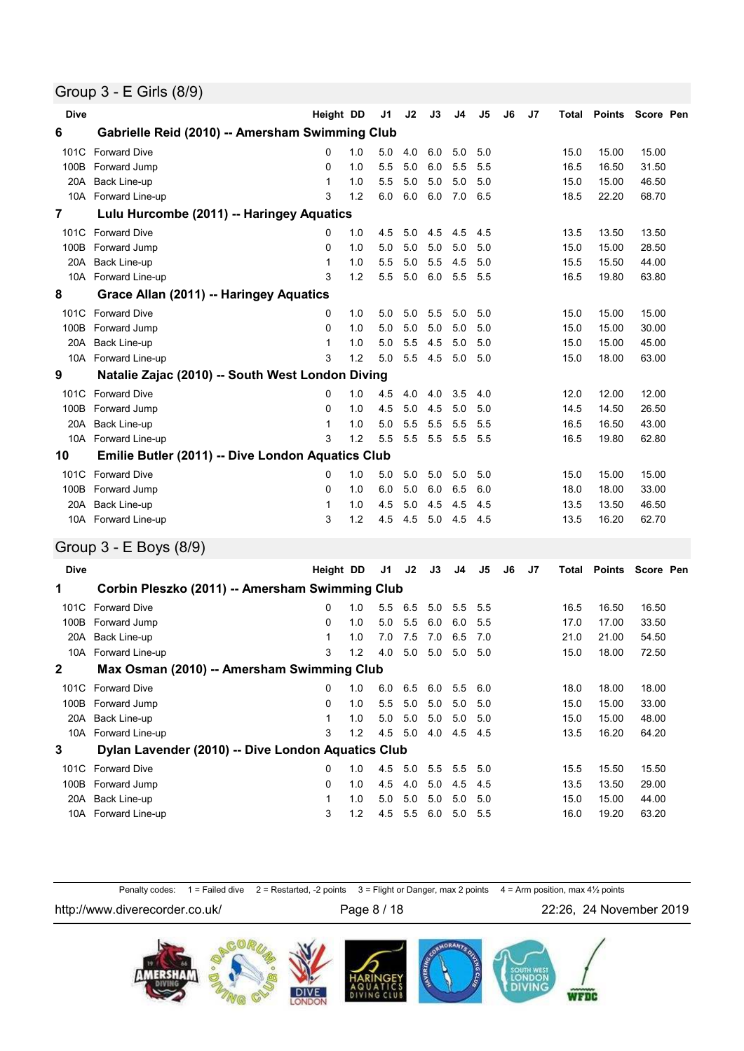### Group 3 - E Girls (8/9)

| <b>Dive</b>    |                                                   | Height DD    |     | J1  | J2  | J3  | J4  | J5             | J <sub>6</sub> | J7             |       | <b>Total Points Score Pen</b> |           |  |
|----------------|---------------------------------------------------|--------------|-----|-----|-----|-----|-----|----------------|----------------|----------------|-------|-------------------------------|-----------|--|
| 6              | Gabrielle Reid (2010) -- Amersham Swimming Club   |              |     |     |     |     |     |                |                |                |       |                               |           |  |
| 101C           | <b>Forward Dive</b>                               | 0            | 1.0 | 5.0 | 4.0 | 6.0 | 5.0 | 5.0            |                |                | 15.0  | 15.00                         | 15.00     |  |
| 100B           | Forward Jump                                      | 0            | 1.0 | 5.5 | 5.0 | 6.0 | 5.5 | 5.5            |                |                | 16.5  | 16.50                         | 31.50     |  |
| 20A            | Back Line-up                                      | 1            | 1.0 | 5.5 | 5.0 | 5.0 | 5.0 | 5.0            |                |                | 15.0  | 15.00                         | 46.50     |  |
|                | 10A Forward Line-up                               | 3            | 1.2 | 6.0 | 6.0 | 6.0 | 7.0 | 6.5            |                |                | 18.5  | 22.20                         | 68.70     |  |
| $\overline{7}$ | Lulu Hurcombe (2011) -- Haringey Aquatics         |              |     |     |     |     |     |                |                |                |       |                               |           |  |
| 101C           | <b>Forward Dive</b>                               | 0            | 1.0 | 4.5 | 5.0 | 4.5 | 4.5 | 4.5            |                |                | 13.5  | 13.50                         | 13.50     |  |
| 100B           | Forward Jump                                      | 0            | 1.0 | 5.0 | 5.0 | 5.0 | 5.0 | 5.0            |                |                | 15.0  | 15.00                         | 28.50     |  |
| 20A            | <b>Back Line-up</b>                               | 1            | 1.0 | 5.5 | 5.0 | 5.5 | 4.5 | 5.0            |                |                | 15.5  | 15.50                         | 44.00     |  |
|                | 10A Forward Line-up                               | 3            | 1.2 | 5.5 | 5.0 | 6.0 | 5.5 | 5.5            |                |                | 16.5  | 19.80                         | 63.80     |  |
| 8              | Grace Allan (2011) -- Haringey Aquatics           |              |     |     |     |     |     |                |                |                |       |                               |           |  |
| 101C           | <b>Forward Dive</b>                               | 0            | 1.0 | 5.0 | 5.0 | 5.5 | 5.0 | 5.0            |                |                | 15.0  | 15.00                         | 15.00     |  |
| 100B           | Forward Jump                                      | 0            | 1.0 | 5.0 | 5.0 | 5.0 | 5.0 | 5.0            |                |                | 15.0  | 15.00                         | 30.00     |  |
| 20A            | Back Line-up                                      | 1            | 1.0 | 5.0 | 5.5 | 4.5 | 5.0 | 5.0            |                |                | 15.0  | 15.00                         | 45.00     |  |
|                | 10A Forward Line-up                               | 3            | 1.2 | 5.0 | 5.5 | 4.5 | 5.0 | 5.0            |                |                | 15.0  | 18.00                         | 63.00     |  |
| 9              | Natalie Zajac (2010) -- South West London Diving  |              |     |     |     |     |     |                |                |                |       |                               |           |  |
| 101C           | <b>Forward Dive</b>                               | 0            | 1.0 | 4.5 | 4.0 | 4.0 | 3.5 | 4.0            |                |                | 12.0  | 12.00                         | 12.00     |  |
| 100B           | Forward Jump                                      | $\Omega$     | 1.0 | 4.5 | 5.0 | 4.5 | 5.0 | 5.0            |                |                | 14.5  | 14.50                         | 26.50     |  |
| 20A            | Back Line-up                                      | 1            | 1.0 | 5.0 | 5.5 | 5.5 | 5.5 | 5.5            |                |                | 16.5  | 16.50                         | 43.00     |  |
|                | 10A Forward Line-up                               | 3            | 1.2 | 5.5 | 5.5 | 5.5 | 5.5 | 5.5            |                |                | 16.5  | 19.80                         | 62.80     |  |
| 10             | Emilie Butler (2011) -- Dive London Aquatics Club |              |     |     |     |     |     |                |                |                |       |                               |           |  |
| 101C           | <b>Forward Dive</b>                               | 0            | 1.0 | 5.0 | 5.0 | 5.0 | 5.0 | 5.0            |                |                | 15.0  | 15.00                         | 15.00     |  |
| 100B           | Forward Jump                                      | 0            | 1.0 | 6.0 | 5.0 | 6.0 | 6.5 | 6.0            |                |                | 18.0  | 18.00                         | 33.00     |  |
| 20A            | Back Line-up                                      | $\mathbf{1}$ | 1.0 | 4.5 | 5.0 | 4.5 | 4.5 | 4.5            |                |                | 13.5  | 13.50                         | 46.50     |  |
|                | 10A Forward Line-up                               | 3            | 1.2 | 4.5 | 4.5 | 5.0 | 4.5 | 4.5            |                |                | 13.5  | 16.20                         | 62.70     |  |
|                | Group 3 - E Boys (8/9)                            |              |     |     |     |     |     |                |                |                |       |                               |           |  |
| <b>Dive</b>    |                                                   | Height DD    |     | J1  | J2  | J3  | J4  | J <sub>5</sub> | J6             | J <sub>7</sub> | Total | <b>Points</b>                 | Score Pen |  |
| 1              | Corbin Pleszko (2011) -- Amersham Swimming Club   |              |     |     |     |     |     |                |                |                |       |                               |           |  |
|                |                                                   |              |     |     |     |     |     |                |                |                |       |                               |           |  |

|              | Gorbin Pieszko (2011) -- Amersham Swimming Club    |   |     |     |     |     |                |     |      |       |       |
|--------------|----------------------------------------------------|---|-----|-----|-----|-----|----------------|-----|------|-------|-------|
|              | 101C Forward Dive                                  | 0 | 1.0 | 5.5 | 6.5 | 5.0 | 5.5 5.5        |     | 16.5 | 16.50 | 16.50 |
| 100B         | Forward Jump                                       | 0 | 1.0 | 5.0 | 5.5 | 6.0 | 6.0            | 5.5 | 17.0 | 17.00 | 33.50 |
| 20A          | Back Line-up                                       |   | 1.0 | 7.0 | 7.5 | 7.0 | 6.5 7.0        |     | 21.0 | 21.00 | 54.50 |
|              | 10A Forward Line-up                                | 3 | 1.2 | 4.0 | 5.0 | 5.0 | 5.0            | 5.0 | 15.0 | 18.00 | 72.50 |
| $\mathbf{2}$ | Max Osman (2010) -- Amersham Swimming Club         |   |     |     |     |     |                |     |      |       |       |
|              | 101C Forward Dive                                  | 0 | 1.0 | 6.0 | 6.5 | 6.0 | 5.5 6.0        |     | 18.0 | 18.00 | 18.00 |
| 100B         | Forward Jump                                       | 0 | 1.0 | 5.5 | 5.0 | 5.0 | 5.0            | 5.0 | 15.0 | 15.00 | 33.00 |
| 20A          | Back Line-up                                       |   | 1.0 | 5.0 | 5.0 | 5.0 | 5.0            | 5.0 | 15.0 | 15.00 | 48.00 |
|              | 10A Forward Line-up                                | 3 | 1.2 | 4.5 | 5.0 | 4.0 | 4.5 4.5        |     | 13.5 | 16.20 | 64.20 |
| 3            | Dylan Lavender (2010) -- Dive London Aquatics Club |   |     |     |     |     |                |     |      |       |       |
| 101C         | <b>Forward Dive</b>                                | 0 | 1.0 | 4.5 | 5.0 | 5.5 | $5.5\quad 5.0$ |     | 15.5 | 15.50 | 15.50 |
| 100B         | Forward Jump                                       | 0 | 1.0 | 4.5 | 4.0 | 5.0 | 4.5 4.5        |     | 13.5 | 13.50 | 29.00 |
| 20A          | Back Line-up                                       |   | 1.0 | 5.0 | 5.0 | 5.0 | 5.0            | 5.0 | 15.0 | 15.00 | 44.00 |
|              | 10A Forward Line-up                                | 3 | 1.2 | 4.5 | 5.5 | 6.0 | 5.0            | 5.5 | 16.0 | 19.20 | 63.20 |
|              |                                                    |   |     |     |     |     |                |     |      |       |       |

Penalty codes: 1 = Failed dive 2 = Restarted, -2 points 3 = Flight or Danger, max 2 points 4 = Arm position, max 4½ points

http://www.diverecorder.co.uk/ Page 8 / 18 22:26, 24 November 2019

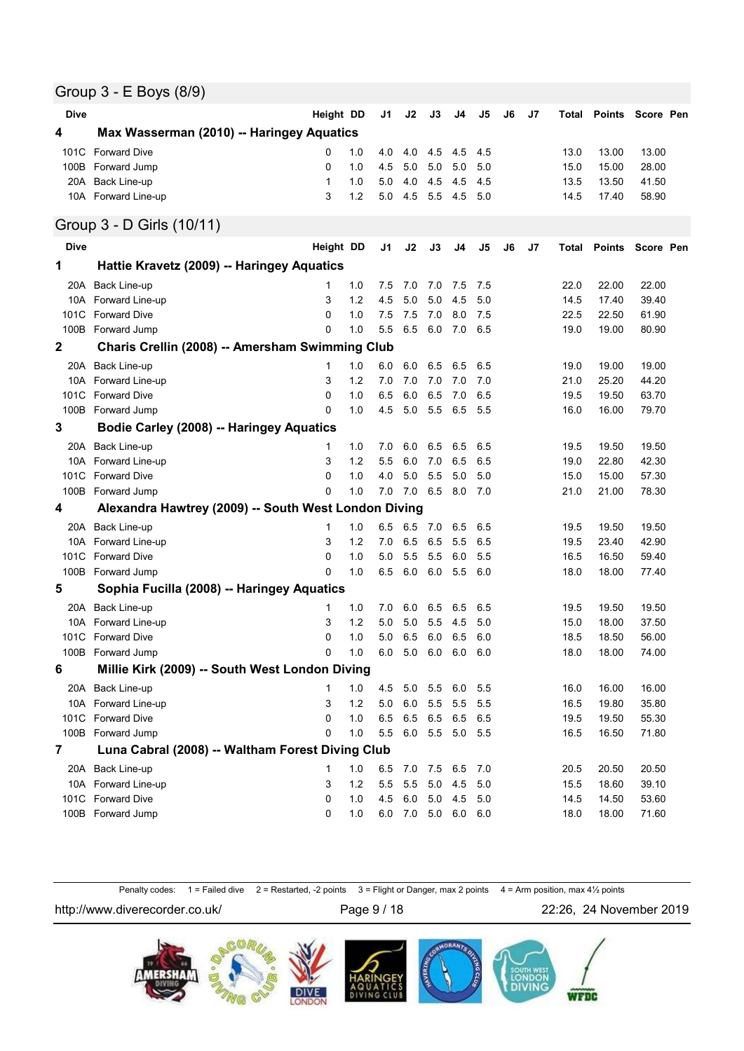### Group 3 - E Boys (8/9)

| <b>Dive</b>    |                                                      | <b>Height DD</b> |       | J1      | J2  | J3        | J4                  | J5  | J6 | J7 | Total |               | Points Score Pen |
|----------------|------------------------------------------------------|------------------|-------|---------|-----|-----------|---------------------|-----|----|----|-------|---------------|------------------|
| 4              | Max Wasserman (2010) -- Haringey Aquatics            |                  |       |         |     |           |                     |     |    |    |       |               |                  |
| 101C           | <b>Forward Dive</b>                                  | 0                | 1.0   | 4.0     | 4.0 | 4.5       | 4.5                 | 4.5 |    |    | 13.0  | 13.00         | 13.00            |
|                | 100B Forward Jump                                    | 0                | 1.0   | 4.5     | 5.0 | 5.0       | 5.0                 | 5.0 |    |    | 15.0  | 15.00         | 28.00            |
|                | 20A Back Line-up                                     | $\mathbf 1$      | 1.0   | 5.0     | 4.0 | 4.5       | 4.5                 | 4.5 |    |    | 13.5  | 13.50         | 41.50            |
|                | 10A Forward Line-up                                  | 3                | 1.2   | 5.0     | 4.5 | 5.5       | 4.5                 | 5.0 |    |    | 14.5  | 17.40         | 58.90            |
|                | Group 3 - D Girls (10/11)                            |                  |       |         |     |           |                     |     |    |    |       |               |                  |
| <b>Dive</b>    |                                                      | Height DD        |       | J1      | J2  | J3        | J4                  | J5  | J6 | J7 | Total | <b>Points</b> | Score Pen        |
| 1              | Hattie Kravetz (2009) -- Haringey Aquatics           |                  |       |         |     |           |                     |     |    |    |       |               |                  |
| 20A            | Back Line-up                                         | 1                | 1.0   | 7.5     | 7.0 | 7.0       | 7.5                 | 7.5 |    |    | 22.0  | 22.00         | 22.00            |
|                | 10A Forward Line-up                                  | 3                | 1.2   | 4.5     | 5.0 | 5.0       | 4.5                 | 5.0 |    |    | 14.5  | 17.40         | 39.40            |
| 101C           | <b>Forward Dive</b>                                  | $\Omega$         | 1.0   | 7.5     | 7.5 | 7.0       | 8.0                 | 7.5 |    |    | 22.5  | 22.50         | 61.90            |
|                | 100B Forward Jump                                    | $\Omega$         | 1.0   | 5.5     | 6.5 | 6.0       | 7.0                 | 6.5 |    |    | 19.0  | 19.00         | 80.90            |
| $\mathbf{2}$   | Charis Crellin (2008) -- Amersham Swimming Club      |                  |       |         |     |           |                     |     |    |    |       |               |                  |
| 20A            | Back Line-up                                         | 1                | 1.0   | 6.0     | 6.0 | 6.5       | 6.5                 | 6.5 |    |    | 19.0  | 19.00         | 19.00            |
|                | 10A Forward Line-up                                  | 3                | 1.2   | 7.0     | 7.0 | 7.0       | 7.0                 | 7.0 |    |    | 21.0  | 25.20         | 44.20            |
|                | 101C Forward Dive                                    | 0                | 1.0   | 6.5     | 6.0 | 6.5       | 7.0                 | 6.5 |    |    | 19.5  | 19.50         | 63.70            |
|                | 100B Forward Jump                                    | 0                | 1.0   | 4.5     | 5.0 | 5.5       | 6.5                 | 5.5 |    |    | 16.0  | 16.00         | 79.70            |
| 3              | <b>Bodie Carley (2008) -- Haringey Aquatics</b>      |                  |       |         |     |           |                     |     |    |    |       |               |                  |
|                | 20A Back Line-up                                     | 1                | 1.0   | 7.0     | 6.0 | 6.5       | 6.5                 | 6.5 |    |    | 19.5  | 19.50         | 19.50            |
|                | 10A Forward Line-up                                  | 3                | 1.2   | 5.5     | 6.0 | 7.0       | 6.5                 | 6.5 |    |    | 19.0  | 22.80         | 42.30            |
| 101C           | <b>Forward Dive</b>                                  | $\Omega$         | 1.0   | 4.0     | 5.0 | 5.5       | 5.0                 | 5.0 |    |    | 15.0  | 15.00         | 57.30            |
|                | 100B Forward Jump                                    | 0                | 1.0   | 7.0     | 7.0 | 6.5       | 8.0                 | 7.0 |    |    | 21.0  | 21.00         | 78.30            |
| 4              | Alexandra Hawtrey (2009) -- South West London Diving |                  |       |         |     |           |                     |     |    |    |       |               |                  |
| 20A            | Back Line-up                                         | 1                | 1.0   | 6.5     | 6.5 | 7.0       | 6.5                 | 6.5 |    |    | 19.5  | 19.50         | 19.50            |
| 10A            | Forward Line-up                                      | 3                | 1.2   | 7.0     | 6.5 | 6.5       | 5.5                 | 6.5 |    |    | 19.5  | 23.40         | 42.90            |
| 101C           | <b>Forward Dive</b>                                  | 0                | 1.0   | 5.0     | 5.5 | 5.5       | 6.0                 | 5.5 |    |    | 16.5  | 16.50         | 59.40            |
|                | 100B Forward Jump                                    | $\Omega$         | 1.0   | 6.5     | 6.0 | 6.0       | 5.5                 | 6.0 |    |    | 18.0  | 18.00         | 77.40            |
| 5              | Sophia Fucilla (2008) -- Haringey Aquatics           |                  |       |         |     |           |                     |     |    |    |       |               |                  |
| 20A            | Back Line-up                                         | 1                | 1.0   | 7.0     | 6.0 | 6.5       | 6.5                 | 6.5 |    |    | 19.5  | 19.50         | 19.50            |
| 10A            | Forward Line-up                                      | 3                | 1.2   | 5.0     | 5.0 | 5.5       | 4.5                 | 5.0 |    |    | 15.0  | 18.00         | 37.50            |
| 101C           | <b>Forward Dive</b>                                  | $\Omega$         | 1.0   | 5.0     | 6.5 | 6.0       | 6.5                 | 6.0 |    |    | 18.5  | 18.50         | 56.00            |
|                | 100B Forward Jump                                    | $\Omega$         | 1.0   | 6.0     | 5.0 | 6.0       | 6.0                 | 6.0 |    |    | 18.0  | 18.00         | 74.00            |
| 6              | Millie Kirk (2009) -- South West London Diving       |                  |       |         |     |           |                     |     |    |    |       |               |                  |
| 20A            | Back Line-up                                         | 1                | 1.0   | 4.5     | 5.0 | 5.5       | 6.0                 | 5.5 |    |    | 16.0  | 16.00         | 16.00            |
|                | 10A Forward Line-up                                  | 3                | $1.2$ | $5.0\,$ | 6.0 | 5.5       | 5.5                 | 5.5 |    |    | 16.5  | 19.80         | 35.80            |
| 101C           | <b>Forward Dive</b>                                  | 0                | 1.0   | 6.5     | 6.5 | 6.5       | 6.5                 | 6.5 |    |    | 19.5  | 19.50         | 55.30            |
|                | 100B Forward Jump                                    | 0                | 1.0   | 5.5     |     | $6.0$ 5.5 | 5.0 5.5             |     |    |    | 16.5  | 16.50         | 71.80            |
| $\overline{7}$ | Luna Cabral (2008) -- Waltham Forest Diving Club     |                  |       |         |     |           |                     |     |    |    |       |               |                  |
|                | 20A Back Line-up                                     | 1                | 1.0   | 6.5     |     | 7.0 7.5   | 6.5                 | 7.0 |    |    | 20.5  | 20.50         | 20.50            |
|                | 10A Forward Line-up                                  | 3                | 1.2   | 5.5     | 5.5 | 5.0       | 4.5                 | 5.0 |    |    | 15.5  | 18.60         | 39.10            |
|                | 101C Forward Dive                                    | 0                | 1.0   | 4.5     |     | 6.0 5.0   | 4.5                 | 5.0 |    |    | 14.5  | 14.50         | 53.60            |
|                | 100B Forward Jump                                    | 0                | 1.0   |         |     |           | 6.0 7.0 5.0 6.0 6.0 |     |    |    | 18.0  | 18.00         | 71.60            |

Penalty codes: 1 = Failed dive 2 = Restarted, -2 points 3 = Flight or Danger, max 2 points 4 = Arm position, max 4½ points

http://www.diverecorder.co.uk/ Page 9 / 18 22:26, 24 November 2019

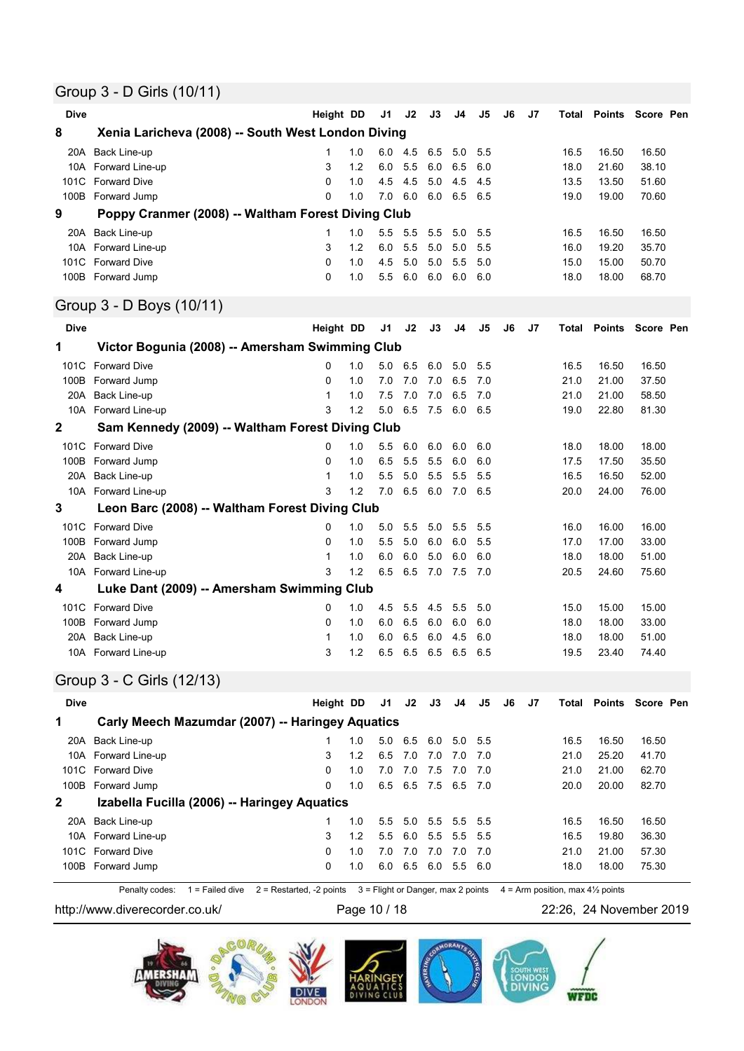## Group 3 - D Girls (10/11)

| <b>Dive</b>             |                                                    | <b>Height DD</b>        |     | J1  | J2   | J3  | J4  | J5             | J6 | J7 | Total | <b>Points</b> | Score Pen         |  |
|-------------------------|----------------------------------------------------|-------------------------|-----|-----|------|-----|-----|----------------|----|----|-------|---------------|-------------------|--|
| 8                       | Xenia Laricheva (2008) -- South West London Diving |                         |     |     |      |     |     |                |    |    |       |               |                   |  |
| 20A                     | Back Line-up                                       | 1                       | 1.0 | 6.0 | -4.5 | 6.5 | 5.0 | 5.5            |    |    | 16.5  | 16.50         | 16.50             |  |
|                         | 10A Forward Line-up                                | 3                       | 1.2 | 6.0 | 5.5  | 6.0 | 6.5 | 6.0            |    |    | 18.0  | 21.60         | 38.10             |  |
|                         | 101C Forward Dive                                  | $\Omega$                | 1.0 | 4.5 | 4.5  | 5.0 | 4.5 | 4.5            |    |    | 13.5  | 13.50         | 51.60             |  |
|                         | 100B Forward Jump                                  | $\Omega$                | 1.0 | 7.0 | 6.0  | 6.0 | 6.5 | 6.5            |    |    | 19.0  | 19.00         | 70.60             |  |
| 9                       | Poppy Cranmer (2008) -- Waltham Forest Diving Club |                         |     |     |      |     |     |                |    |    |       |               |                   |  |
|                         | 20A Back Line-up                                   | 1                       | 1.0 | 5.5 | 5.5  | 5.5 | 5.0 | 5.5            |    |    | 16.5  | 16.50         | 16.50             |  |
|                         | 10A Forward Line-up                                | 3                       | 1.2 | 6.0 | 5.5  | 5.0 | 5.0 | 5.5            |    |    | 16.0  | 19.20         | 35.70             |  |
|                         | 101C Forward Dive                                  | $\Omega$                | 1.0 | 4.5 | 5.0  | 5.0 | 5.5 | 5.0            |    |    | 15.0  | 15.00         | 50.70             |  |
|                         | 100B Forward Jump                                  | $\Omega$                | 1.0 | 5.5 | 6.0  | 6.0 | 6.0 | 6.0            |    |    | 18.0  | 18.00         | 68.70             |  |
|                         | Group 3 - D Boys (10/11)                           |                         |     |     |      |     |     |                |    |    |       |               |                   |  |
| <b>Dive</b>             |                                                    | Height DD               |     | J1  | J2   | J3  | J4  | J5             | J6 | J7 | Total | <b>Points</b> | Score Pen         |  |
| 1                       | Victor Bogunia (2008) -- Amersham Swimming Club    |                         |     |     |      |     |     |                |    |    |       |               |                   |  |
| 101C                    | <b>Forward Dive</b>                                | $\mathbf 0$             | 1.0 | 5.0 | 6.5  | 6.0 | 5.0 | 5.5            |    |    | 16.5  | 16.50         | 16.50             |  |
|                         | 100B Forward Jump                                  | 0                       | 1.0 | 7.0 | 7.0  | 7.0 | 6.5 | 7.0            |    |    | 21.0  | 21.00         | 37.50             |  |
| 20A                     | Back Line-up                                       | 1                       | 1.0 | 7.5 | 7.0  | 7.0 | 6.5 | 7.0            |    |    | 21.0  | 21.00         | 58.50             |  |
|                         | 10A Forward Line-up                                | 3                       | 1.2 | 5.0 | 6.5  | 7.5 | 6.0 | 6.5            |    |    | 19.0  | 22.80         | 81.30             |  |
| $\overline{\mathbf{2}}$ | Sam Kennedy (2009) -- Waltham Forest Diving Club   |                         |     |     |      |     |     |                |    |    |       |               |                   |  |
|                         | 101C Forward Dive                                  | $\mathbf 0$             | 1.0 | 5.5 | 6.0  | 6.0 | 6.0 | 6.0            |    |    | 18.0  | 18.00         | 18.00             |  |
|                         | 100B Forward Jump                                  | $\Omega$                | 1.0 | 6.5 | 5.5  | 5.5 | 6.0 | 6.0            |    |    | 17.5  | 17.50         | 35.50             |  |
| 20A                     | Back Line-up                                       | 1                       | 1.0 | 5.5 | 5.0  | 5.5 | 5.5 | 5.5            |    |    | 16.5  | 16.50         | 52.00             |  |
|                         | 10A Forward Line-up                                | 3                       | 1.2 | 7.0 | 6.5  | 6.0 | 7.0 | 6.5            |    |    | 20.0  | 24.00         | 76.00             |  |
| 3                       | Leon Barc (2008) -- Waltham Forest Diving Club     |                         |     |     |      |     |     |                |    |    |       |               |                   |  |
|                         | 101C Forward Dive                                  | $\Omega$                | 1.0 | 5.0 | 5.5  | 5.0 | 5.5 | 5.5            |    |    | 16.0  | 16.00         | 16.00             |  |
|                         | 100B Forward Jump                                  | $\Omega$                | 1.0 | 5.5 | 5.0  | 6.0 | 6.0 | 5.5            |    |    | 17.0  | 17.00         | 33.00             |  |
| 20A                     | Back Line-up                                       | 1                       | 1.0 | 6.0 | 6.0  | 5.0 | 6.0 | 6.0            |    |    | 18.0  | 18.00         | 51.00             |  |
|                         | 10A Forward Line-up                                | 3                       | 1.2 | 6.5 | 6.5  | 7.0 | 7.5 | 7.0            |    |    | 20.5  | 24.60         | 75.60             |  |
| 4                       | Luke Dant (2009) -- Amersham Swimming Club         |                         |     |     |      |     |     |                |    |    |       |               |                   |  |
|                         | 101C Forward Dive                                  | 0                       | 1.0 | 4.5 | 5.5  | 4.5 | 5.5 | 5.0            |    |    | 15.0  | 15.00         | 15.00             |  |
|                         | 100B Forward Jump                                  | $\Omega$                | 1.0 | 6.0 | 6.5  | 6.0 | 6.0 | 6.0            |    |    | 18.0  | 18.00         | 33.00             |  |
| 20A                     | Back Line-up                                       | 1                       | 1.0 | 6.0 | 6.5  | 6.0 | 4.5 | 6.0            |    |    | 18.0  | 18.00         | 51.00             |  |
|                         | 10A Forward Line-up                                | 3                       | 1.2 | 6.5 | 6.5  | 6.5 | 6.5 | 6.5            |    |    | 19.5  | 23.40         | 74.40             |  |
|                         | Group 3 - C Girls (12/13)                          |                         |     |     |      |     |     |                |    |    |       |               |                   |  |
| <b>Dive</b>             |                                                    | Height DD               |     | J1  | J2   | J3  | J4  | J <sub>5</sub> | J6 | J7 | Total | <b>Points</b> | Score Pen         |  |
| 1                       | Carly Meech Mazumdar (2007) -- Haringey Aquatics   |                         |     |     |      |     |     |                |    |    |       |               |                   |  |
|                         | $200 - 220$                                        | $1$ $10$ $50$ $65$ $60$ |     |     |      |     | 5 Q | 5 F            |    |    | 16E   | 16F           | 16 F <sub>0</sub> |  |

|              | 20A Back Line-up                             |   | 1.0 |     |             |     | 5.0 6.5 6.0 5.0 5.5 |       | 16.5 | 16.50 | 16.50 |
|--------------|----------------------------------------------|---|-----|-----|-------------|-----|---------------------|-------|------|-------|-------|
|              | 10A Forward Line-up                          | 3 | 1.2 |     | 6.5 7.0 7.0 |     | 7.0                 | - 7.0 | 21.0 | 25.20 | 41.70 |
|              | 101C Forward Dive                            | 0 | 1.0 | 7.0 | 7.0         | 7.5 | 7.0                 | - 70  | 21.0 | 21.00 | 62.70 |
|              | 100B Forward Jump                            | 0 | 1.0 |     |             |     | 6.5 6.5 7.5 6.5 7.0 |       | 20.0 | 20.00 | 82.70 |
| $\mathbf{2}$ | Izabella Fucilla (2006) -- Haringey Aquatics |   |     |     |             |     |                     |       |      |       |       |
|              |                                              |   |     |     |             |     |                     |       |      |       |       |
|              | 20A Back Line-up                             |   | 10  |     |             |     | 5.5 5.0 5.5 5.5 5.5 |       | 16.5 | 16.50 | 16.50 |
|              | 10A Forward Line-up                          | 3 | 1.2 |     |             |     | 5.5 6.0 5.5 5.5 5.5 |       | 16.5 | 19.80 | 36.30 |
|              | 101C Forward Dive                            | 0 | 1.0 | 7.0 | 7.0 7.0     |     | 70                  | - 70  | 21.0 | 21.00 | 57.30 |
|              | 100B Forward Jump                            | 0 | 1.0 | 60  | 6.5 6.0     |     | 5.5                 | -6.0  | 18.0 | 18.00 | 75.30 |

Penalty codes:  $1 =$  Failed dive  $2 =$  Restarted, -2 points  $3 =$  Flight or Danger, max 2 points  $4 =$  Arm position, max 4½ points

http://www.diverecorder.co.uk/ Page 10 / 18 22:26, 24 November 2019

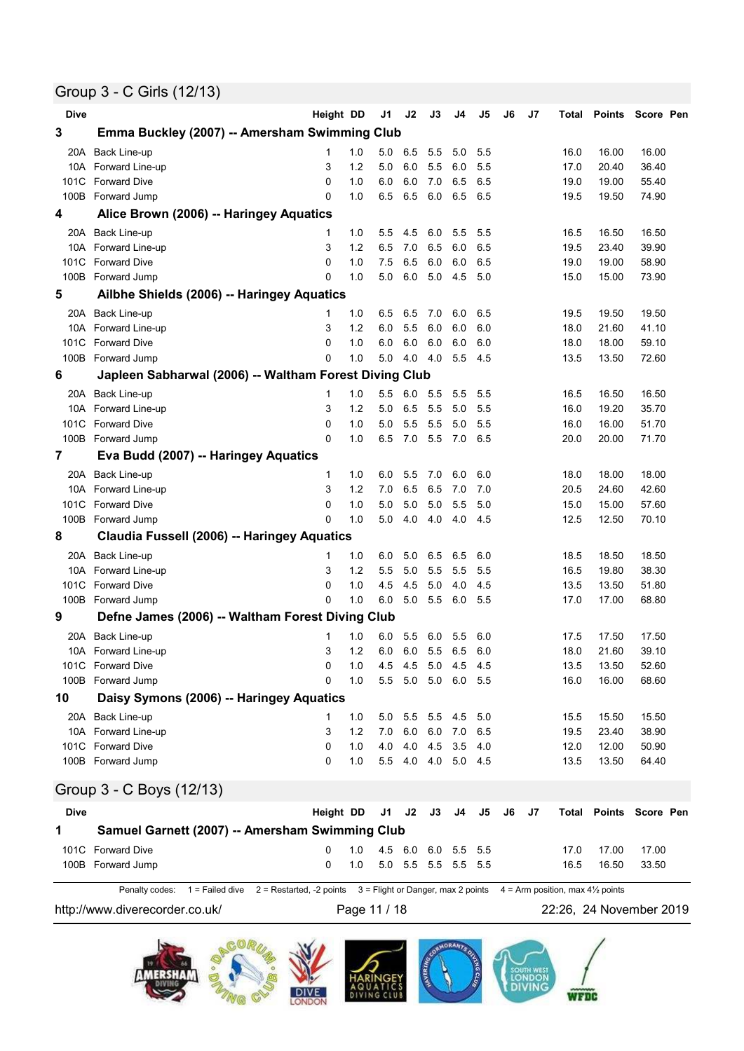## Group 3 - C Girls (12/13)

| 3<br>Emma Buckley (2007) -- Amersham Swimming Club<br>Back Line-up<br>16.00<br>16.00<br>20A<br>1<br>1.0<br>5.0<br>6.5<br>5.5<br>5.0<br>5.5<br>16.0<br>3<br>1.2<br>6.0<br>5.5<br>6.0<br>5.5<br>Forward Line-up<br>5.0<br>20.40<br>36.40<br>10A<br>17.0<br>$\mathbf 0$<br>6.0<br>6.5<br>55.40<br>101C<br><b>Forward Dive</b><br>1.0<br>6.0<br>7.0<br>6.5<br>19.00<br>19.0<br>$\Omega$<br>6.5<br>6.0<br>100B<br>Forward Jump<br>1.0<br>6.5<br>6.5<br>6.5<br>19.50<br>74.90<br>19.5<br>4<br>Alice Brown (2006) -- Haringey Aquatics<br>20A Back Line-up<br>16.50<br>16.50<br>1.0<br>5.5<br>4.5<br>6.0<br>5.5<br>5.5<br>16.5<br>1<br>6.5<br>10A Forward Line-up<br>3<br>1.2<br>6.5<br>7.0<br>6.0<br>6.5<br>23.40<br>39.90<br>19.5<br>7.5<br>6.5<br>6.0<br>58.90<br>101C<br><b>Forward Dive</b><br>0<br>1.0<br>6.0<br>6.5<br>19.0<br>19.00<br>$\Omega$<br>5.0<br>6.0<br>5.0<br>4.5<br>5.0<br>100B Forward Jump<br>1.0<br>15.00<br>73.90<br>15.0<br>5<br>Ailbhe Shields (2006) -- Haringey Aquatics<br>1.0<br>19.50<br>19.50<br>20A Back Line-up<br>1<br>6.5<br>6.5<br>7.0<br>6.0<br>6.5<br>19.5<br>1.2<br>5.5<br>10A Forward Line-up<br>3<br>6.0<br>6.0<br>6.0<br>6.0<br>21.60<br>41.10<br>18.0<br>101C Forward Dive<br>0<br>1.0<br>6.0<br>6.0<br>6.0<br>6.0<br>6.0<br>18.00<br>59.10<br>18.0<br>1.0<br>4.0<br>5.5<br>100B Forward Jump<br>0<br>5.0<br>4.0<br>4.5<br>13.5<br>13.50<br>72.60<br>6<br>Japleen Sabharwal (2006) -- Waltham Forest Diving Club<br>Back Line-up<br>1.0<br>5.5<br>6.0<br>5.5<br>5.5<br>5.5<br>16.5<br>16.50<br>16.50<br>20A<br>1<br>1.2<br>35.70<br>10A<br>Forward Line-up<br>3<br>5.0<br>6.5<br>5.5<br>5.0<br>5.5<br>16.0<br>19.20<br><b>Forward Dive</b><br>5.5<br>51.70<br>101C<br>0<br>1.0<br>5.0<br>5.5<br>5.0<br>5.5<br>16.0<br>16.00<br>$\Omega$<br>1.0<br>100B Forward Jump<br>6.5<br>7.0<br>5.5<br>7.0<br>6.5<br>20.0<br>20.00<br>71.70<br>7<br>Eva Budd (2007) -- Haringey Aquatics<br>18.00<br>Back Line-up<br>5.5<br>6.0<br>6.0<br>18.00<br>20A<br>1<br>1.0<br>6.0<br>7.0<br>18.0<br>42.60<br>10A<br>Forward Line-up<br>3<br>1.2<br>7.0<br>6.5<br>6.5<br>7.0<br>7.0<br>20.5<br>24.60<br>101C<br><b>Forward Dive</b><br>$\Omega$<br>1.0<br>5.0<br>5.0<br>5.0<br>5.5<br>5.0<br>15.00<br>57.60<br>15.0<br>4.0<br>100B<br>Forward Jump<br>0<br>1.0<br>5.0<br>4.0<br>4.0<br>4.5<br>12.5<br>12.50<br>70.10<br>8<br>Claudia Fussell (2006) -- Haringey Aquatics<br>18.50<br>20A<br>Back Line-up<br>1.0<br>5.0<br>6.5<br>6.5<br>6.0<br>18.50<br>6.0<br>18.5<br>1<br>3<br>1.2<br>5.0<br>5.5<br>5.5<br>5.5<br>38.30<br>10A Forward Line-up<br>5.5<br>16.5<br>19.80<br>101C<br>$\Omega$<br>4.5<br>5.0<br>4.0<br>4.5<br>51.80<br><b>Forward Dive</b><br>1.0<br>4.5<br>13.5<br>13.50<br>1.0<br>6.0<br>5.0<br>5.5<br>5.5<br>100B Forward Jump<br>0<br>6.0<br>17.00<br>68.80<br>17.0<br>9<br>Defne James (2006) -- Waltham Forest Diving Club<br>20A Back Line-up<br>1.0<br>5.5<br>17.50<br>17.50<br>1<br>6.0<br>6.0<br>5.5<br>6.0<br>17.5<br>1.2<br>6.0 5.5 6.5<br>10A Forward Line-up<br>3<br>6.0<br>6.0<br>21.60<br>39.10<br>18.0<br>101C Forward Dive<br>0<br>1.0<br>4.5 4.5 5.0<br>4.5 4.5<br>13.5<br>13.50<br>52.60<br>100B Forward Jump<br>0<br>1.0<br>5.5 5.0 5.0 6.0 5.5<br>16.00<br>68.60<br>16.0<br>10<br>Daisy Symons (2006) -- Haringey Aquatics<br>20A Back Line-up<br>5.5 5.5<br>15.50<br>1.0<br>5.0<br>4.5<br>5.0<br>15.5<br>15.50<br>1<br>6.0 6.0 7.0 6.5<br>3<br>1.2<br>7.0<br>38.90<br>10A Forward Line-up<br>23.40<br>19.5<br>4.0 4.5 3.5 4.0<br>101C Forward Dive<br>0<br>1.0<br>4.0<br>12.00<br>50.90<br>12.0<br>5.5 4.0 4.0 5.0 4.5<br>100B Forward Jump<br>0<br>1.0<br>13.5<br>13.50<br>64.40<br>Group 3 - C Boys (12/13)<br>Height DD<br>J1<br>J2<br>J3<br>J6<br>Dive<br>J4<br>J5<br>J7<br><b>Total Points Score Pen</b><br>1<br>Samuel Garnett (2007) -- Amersham Swimming Club<br>101C Forward Dive<br>0<br>1.0<br>45 6.0 6.0 5.5 5.5<br>17.00<br>17.00<br>17.0<br>5.0 5.5 5.5 5.5 5.5<br>100B Forward Jump<br>0<br>1.0<br>16.50<br>33.50<br>16.5 | Dive | Height DD | J1 | J2 | J3 | J4 | J5 | J6 | J7 | Total | <b>Points</b> | Score Pen |
|-----------------------------------------------------------------------------------------------------------------------------------------------------------------------------------------------------------------------------------------------------------------------------------------------------------------------------------------------------------------------------------------------------------------------------------------------------------------------------------------------------------------------------------------------------------------------------------------------------------------------------------------------------------------------------------------------------------------------------------------------------------------------------------------------------------------------------------------------------------------------------------------------------------------------------------------------------------------------------------------------------------------------------------------------------------------------------------------------------------------------------------------------------------------------------------------------------------------------------------------------------------------------------------------------------------------------------------------------------------------------------------------------------------------------------------------------------------------------------------------------------------------------------------------------------------------------------------------------------------------------------------------------------------------------------------------------------------------------------------------------------------------------------------------------------------------------------------------------------------------------------------------------------------------------------------------------------------------------------------------------------------------------------------------------------------------------------------------------------------------------------------------------------------------------------------------------------------------------------------------------------------------------------------------------------------------------------------------------------------------------------------------------------------------------------------------------------------------------------------------------------------------------------------------------------------------------------------------------------------------------------------------------------------------------------------------------------------------------------------------------------------------------------------------------------------------------------------------------------------------------------------------------------------------------------------------------------------------------------------------------------------------------------------------------------------------------------------------------------------------------------------------------------------------------------------------------------------------------------------------------------------------------------------------------------------------------------------------------------------------------------------------------------------------------------------------------------------------------------------------------------------------------------------------------------------------------------------------------------------------------------------------------------------------------------------------------------------------------------------------------------------------------------------------------------------------------------------------------------------------------------------------------------------------------------------------------------------------------------------------------|------|-----------|----|----|----|----|----|----|----|-------|---------------|-----------|
|                                                                                                                                                                                                                                                                                                                                                                                                                                                                                                                                                                                                                                                                                                                                                                                                                                                                                                                                                                                                                                                                                                                                                                                                                                                                                                                                                                                                                                                                                                                                                                                                                                                                                                                                                                                                                                                                                                                                                                                                                                                                                                                                                                                                                                                                                                                                                                                                                                                                                                                                                                                                                                                                                                                                                                                                                                                                                                                                                                                                                                                                                                                                                                                                                                                                                                                                                                                                                                                                                                                                                                                                                                                                                                                                                                                                                                                                                                                                                                                               |      |           |    |    |    |    |    |    |    |       |               |           |
|                                                                                                                                                                                                                                                                                                                                                                                                                                                                                                                                                                                                                                                                                                                                                                                                                                                                                                                                                                                                                                                                                                                                                                                                                                                                                                                                                                                                                                                                                                                                                                                                                                                                                                                                                                                                                                                                                                                                                                                                                                                                                                                                                                                                                                                                                                                                                                                                                                                                                                                                                                                                                                                                                                                                                                                                                                                                                                                                                                                                                                                                                                                                                                                                                                                                                                                                                                                                                                                                                                                                                                                                                                                                                                                                                                                                                                                                                                                                                                                               |      |           |    |    |    |    |    |    |    |       |               |           |
|                                                                                                                                                                                                                                                                                                                                                                                                                                                                                                                                                                                                                                                                                                                                                                                                                                                                                                                                                                                                                                                                                                                                                                                                                                                                                                                                                                                                                                                                                                                                                                                                                                                                                                                                                                                                                                                                                                                                                                                                                                                                                                                                                                                                                                                                                                                                                                                                                                                                                                                                                                                                                                                                                                                                                                                                                                                                                                                                                                                                                                                                                                                                                                                                                                                                                                                                                                                                                                                                                                                                                                                                                                                                                                                                                                                                                                                                                                                                                                                               |      |           |    |    |    |    |    |    |    |       |               |           |
|                                                                                                                                                                                                                                                                                                                                                                                                                                                                                                                                                                                                                                                                                                                                                                                                                                                                                                                                                                                                                                                                                                                                                                                                                                                                                                                                                                                                                                                                                                                                                                                                                                                                                                                                                                                                                                                                                                                                                                                                                                                                                                                                                                                                                                                                                                                                                                                                                                                                                                                                                                                                                                                                                                                                                                                                                                                                                                                                                                                                                                                                                                                                                                                                                                                                                                                                                                                                                                                                                                                                                                                                                                                                                                                                                                                                                                                                                                                                                                                               |      |           |    |    |    |    |    |    |    |       |               |           |
|                                                                                                                                                                                                                                                                                                                                                                                                                                                                                                                                                                                                                                                                                                                                                                                                                                                                                                                                                                                                                                                                                                                                                                                                                                                                                                                                                                                                                                                                                                                                                                                                                                                                                                                                                                                                                                                                                                                                                                                                                                                                                                                                                                                                                                                                                                                                                                                                                                                                                                                                                                                                                                                                                                                                                                                                                                                                                                                                                                                                                                                                                                                                                                                                                                                                                                                                                                                                                                                                                                                                                                                                                                                                                                                                                                                                                                                                                                                                                                                               |      |           |    |    |    |    |    |    |    |       |               |           |
|                                                                                                                                                                                                                                                                                                                                                                                                                                                                                                                                                                                                                                                                                                                                                                                                                                                                                                                                                                                                                                                                                                                                                                                                                                                                                                                                                                                                                                                                                                                                                                                                                                                                                                                                                                                                                                                                                                                                                                                                                                                                                                                                                                                                                                                                                                                                                                                                                                                                                                                                                                                                                                                                                                                                                                                                                                                                                                                                                                                                                                                                                                                                                                                                                                                                                                                                                                                                                                                                                                                                                                                                                                                                                                                                                                                                                                                                                                                                                                                               |      |           |    |    |    |    |    |    |    |       |               |           |
|                                                                                                                                                                                                                                                                                                                                                                                                                                                                                                                                                                                                                                                                                                                                                                                                                                                                                                                                                                                                                                                                                                                                                                                                                                                                                                                                                                                                                                                                                                                                                                                                                                                                                                                                                                                                                                                                                                                                                                                                                                                                                                                                                                                                                                                                                                                                                                                                                                                                                                                                                                                                                                                                                                                                                                                                                                                                                                                                                                                                                                                                                                                                                                                                                                                                                                                                                                                                                                                                                                                                                                                                                                                                                                                                                                                                                                                                                                                                                                                               |      |           |    |    |    |    |    |    |    |       |               |           |
|                                                                                                                                                                                                                                                                                                                                                                                                                                                                                                                                                                                                                                                                                                                                                                                                                                                                                                                                                                                                                                                                                                                                                                                                                                                                                                                                                                                                                                                                                                                                                                                                                                                                                                                                                                                                                                                                                                                                                                                                                                                                                                                                                                                                                                                                                                                                                                                                                                                                                                                                                                                                                                                                                                                                                                                                                                                                                                                                                                                                                                                                                                                                                                                                                                                                                                                                                                                                                                                                                                                                                                                                                                                                                                                                                                                                                                                                                                                                                                                               |      |           |    |    |    |    |    |    |    |       |               |           |
|                                                                                                                                                                                                                                                                                                                                                                                                                                                                                                                                                                                                                                                                                                                                                                                                                                                                                                                                                                                                                                                                                                                                                                                                                                                                                                                                                                                                                                                                                                                                                                                                                                                                                                                                                                                                                                                                                                                                                                                                                                                                                                                                                                                                                                                                                                                                                                                                                                                                                                                                                                                                                                                                                                                                                                                                                                                                                                                                                                                                                                                                                                                                                                                                                                                                                                                                                                                                                                                                                                                                                                                                                                                                                                                                                                                                                                                                                                                                                                                               |      |           |    |    |    |    |    |    |    |       |               |           |
|                                                                                                                                                                                                                                                                                                                                                                                                                                                                                                                                                                                                                                                                                                                                                                                                                                                                                                                                                                                                                                                                                                                                                                                                                                                                                                                                                                                                                                                                                                                                                                                                                                                                                                                                                                                                                                                                                                                                                                                                                                                                                                                                                                                                                                                                                                                                                                                                                                                                                                                                                                                                                                                                                                                                                                                                                                                                                                                                                                                                                                                                                                                                                                                                                                                                                                                                                                                                                                                                                                                                                                                                                                                                                                                                                                                                                                                                                                                                                                                               |      |           |    |    |    |    |    |    |    |       |               |           |
|                                                                                                                                                                                                                                                                                                                                                                                                                                                                                                                                                                                                                                                                                                                                                                                                                                                                                                                                                                                                                                                                                                                                                                                                                                                                                                                                                                                                                                                                                                                                                                                                                                                                                                                                                                                                                                                                                                                                                                                                                                                                                                                                                                                                                                                                                                                                                                                                                                                                                                                                                                                                                                                                                                                                                                                                                                                                                                                                                                                                                                                                                                                                                                                                                                                                                                                                                                                                                                                                                                                                                                                                                                                                                                                                                                                                                                                                                                                                                                                               |      |           |    |    |    |    |    |    |    |       |               |           |
|                                                                                                                                                                                                                                                                                                                                                                                                                                                                                                                                                                                                                                                                                                                                                                                                                                                                                                                                                                                                                                                                                                                                                                                                                                                                                                                                                                                                                                                                                                                                                                                                                                                                                                                                                                                                                                                                                                                                                                                                                                                                                                                                                                                                                                                                                                                                                                                                                                                                                                                                                                                                                                                                                                                                                                                                                                                                                                                                                                                                                                                                                                                                                                                                                                                                                                                                                                                                                                                                                                                                                                                                                                                                                                                                                                                                                                                                                                                                                                                               |      |           |    |    |    |    |    |    |    |       |               |           |
|                                                                                                                                                                                                                                                                                                                                                                                                                                                                                                                                                                                                                                                                                                                                                                                                                                                                                                                                                                                                                                                                                                                                                                                                                                                                                                                                                                                                                                                                                                                                                                                                                                                                                                                                                                                                                                                                                                                                                                                                                                                                                                                                                                                                                                                                                                                                                                                                                                                                                                                                                                                                                                                                                                                                                                                                                                                                                                                                                                                                                                                                                                                                                                                                                                                                                                                                                                                                                                                                                                                                                                                                                                                                                                                                                                                                                                                                                                                                                                                               |      |           |    |    |    |    |    |    |    |       |               |           |
|                                                                                                                                                                                                                                                                                                                                                                                                                                                                                                                                                                                                                                                                                                                                                                                                                                                                                                                                                                                                                                                                                                                                                                                                                                                                                                                                                                                                                                                                                                                                                                                                                                                                                                                                                                                                                                                                                                                                                                                                                                                                                                                                                                                                                                                                                                                                                                                                                                                                                                                                                                                                                                                                                                                                                                                                                                                                                                                                                                                                                                                                                                                                                                                                                                                                                                                                                                                                                                                                                                                                                                                                                                                                                                                                                                                                                                                                                                                                                                                               |      |           |    |    |    |    |    |    |    |       |               |           |
|                                                                                                                                                                                                                                                                                                                                                                                                                                                                                                                                                                                                                                                                                                                                                                                                                                                                                                                                                                                                                                                                                                                                                                                                                                                                                                                                                                                                                                                                                                                                                                                                                                                                                                                                                                                                                                                                                                                                                                                                                                                                                                                                                                                                                                                                                                                                                                                                                                                                                                                                                                                                                                                                                                                                                                                                                                                                                                                                                                                                                                                                                                                                                                                                                                                                                                                                                                                                                                                                                                                                                                                                                                                                                                                                                                                                                                                                                                                                                                                               |      |           |    |    |    |    |    |    |    |       |               |           |
|                                                                                                                                                                                                                                                                                                                                                                                                                                                                                                                                                                                                                                                                                                                                                                                                                                                                                                                                                                                                                                                                                                                                                                                                                                                                                                                                                                                                                                                                                                                                                                                                                                                                                                                                                                                                                                                                                                                                                                                                                                                                                                                                                                                                                                                                                                                                                                                                                                                                                                                                                                                                                                                                                                                                                                                                                                                                                                                                                                                                                                                                                                                                                                                                                                                                                                                                                                                                                                                                                                                                                                                                                                                                                                                                                                                                                                                                                                                                                                                               |      |           |    |    |    |    |    |    |    |       |               |           |
|                                                                                                                                                                                                                                                                                                                                                                                                                                                                                                                                                                                                                                                                                                                                                                                                                                                                                                                                                                                                                                                                                                                                                                                                                                                                                                                                                                                                                                                                                                                                                                                                                                                                                                                                                                                                                                                                                                                                                                                                                                                                                                                                                                                                                                                                                                                                                                                                                                                                                                                                                                                                                                                                                                                                                                                                                                                                                                                                                                                                                                                                                                                                                                                                                                                                                                                                                                                                                                                                                                                                                                                                                                                                                                                                                                                                                                                                                                                                                                                               |      |           |    |    |    |    |    |    |    |       |               |           |
|                                                                                                                                                                                                                                                                                                                                                                                                                                                                                                                                                                                                                                                                                                                                                                                                                                                                                                                                                                                                                                                                                                                                                                                                                                                                                                                                                                                                                                                                                                                                                                                                                                                                                                                                                                                                                                                                                                                                                                                                                                                                                                                                                                                                                                                                                                                                                                                                                                                                                                                                                                                                                                                                                                                                                                                                                                                                                                                                                                                                                                                                                                                                                                                                                                                                                                                                                                                                                                                                                                                                                                                                                                                                                                                                                                                                                                                                                                                                                                                               |      |           |    |    |    |    |    |    |    |       |               |           |
|                                                                                                                                                                                                                                                                                                                                                                                                                                                                                                                                                                                                                                                                                                                                                                                                                                                                                                                                                                                                                                                                                                                                                                                                                                                                                                                                                                                                                                                                                                                                                                                                                                                                                                                                                                                                                                                                                                                                                                                                                                                                                                                                                                                                                                                                                                                                                                                                                                                                                                                                                                                                                                                                                                                                                                                                                                                                                                                                                                                                                                                                                                                                                                                                                                                                                                                                                                                                                                                                                                                                                                                                                                                                                                                                                                                                                                                                                                                                                                                               |      |           |    |    |    |    |    |    |    |       |               |           |
|                                                                                                                                                                                                                                                                                                                                                                                                                                                                                                                                                                                                                                                                                                                                                                                                                                                                                                                                                                                                                                                                                                                                                                                                                                                                                                                                                                                                                                                                                                                                                                                                                                                                                                                                                                                                                                                                                                                                                                                                                                                                                                                                                                                                                                                                                                                                                                                                                                                                                                                                                                                                                                                                                                                                                                                                                                                                                                                                                                                                                                                                                                                                                                                                                                                                                                                                                                                                                                                                                                                                                                                                                                                                                                                                                                                                                                                                                                                                                                                               |      |           |    |    |    |    |    |    |    |       |               |           |
|                                                                                                                                                                                                                                                                                                                                                                                                                                                                                                                                                                                                                                                                                                                                                                                                                                                                                                                                                                                                                                                                                                                                                                                                                                                                                                                                                                                                                                                                                                                                                                                                                                                                                                                                                                                                                                                                                                                                                                                                                                                                                                                                                                                                                                                                                                                                                                                                                                                                                                                                                                                                                                                                                                                                                                                                                                                                                                                                                                                                                                                                                                                                                                                                                                                                                                                                                                                                                                                                                                                                                                                                                                                                                                                                                                                                                                                                                                                                                                                               |      |           |    |    |    |    |    |    |    |       |               |           |
|                                                                                                                                                                                                                                                                                                                                                                                                                                                                                                                                                                                                                                                                                                                                                                                                                                                                                                                                                                                                                                                                                                                                                                                                                                                                                                                                                                                                                                                                                                                                                                                                                                                                                                                                                                                                                                                                                                                                                                                                                                                                                                                                                                                                                                                                                                                                                                                                                                                                                                                                                                                                                                                                                                                                                                                                                                                                                                                                                                                                                                                                                                                                                                                                                                                                                                                                                                                                                                                                                                                                                                                                                                                                                                                                                                                                                                                                                                                                                                                               |      |           |    |    |    |    |    |    |    |       |               |           |
|                                                                                                                                                                                                                                                                                                                                                                                                                                                                                                                                                                                                                                                                                                                                                                                                                                                                                                                                                                                                                                                                                                                                                                                                                                                                                                                                                                                                                                                                                                                                                                                                                                                                                                                                                                                                                                                                                                                                                                                                                                                                                                                                                                                                                                                                                                                                                                                                                                                                                                                                                                                                                                                                                                                                                                                                                                                                                                                                                                                                                                                                                                                                                                                                                                                                                                                                                                                                                                                                                                                                                                                                                                                                                                                                                                                                                                                                                                                                                                                               |      |           |    |    |    |    |    |    |    |       |               |           |
|                                                                                                                                                                                                                                                                                                                                                                                                                                                                                                                                                                                                                                                                                                                                                                                                                                                                                                                                                                                                                                                                                                                                                                                                                                                                                                                                                                                                                                                                                                                                                                                                                                                                                                                                                                                                                                                                                                                                                                                                                                                                                                                                                                                                                                                                                                                                                                                                                                                                                                                                                                                                                                                                                                                                                                                                                                                                                                                                                                                                                                                                                                                                                                                                                                                                                                                                                                                                                                                                                                                                                                                                                                                                                                                                                                                                                                                                                                                                                                                               |      |           |    |    |    |    |    |    |    |       |               |           |
|                                                                                                                                                                                                                                                                                                                                                                                                                                                                                                                                                                                                                                                                                                                                                                                                                                                                                                                                                                                                                                                                                                                                                                                                                                                                                                                                                                                                                                                                                                                                                                                                                                                                                                                                                                                                                                                                                                                                                                                                                                                                                                                                                                                                                                                                                                                                                                                                                                                                                                                                                                                                                                                                                                                                                                                                                                                                                                                                                                                                                                                                                                                                                                                                                                                                                                                                                                                                                                                                                                                                                                                                                                                                                                                                                                                                                                                                                                                                                                                               |      |           |    |    |    |    |    |    |    |       |               |           |
|                                                                                                                                                                                                                                                                                                                                                                                                                                                                                                                                                                                                                                                                                                                                                                                                                                                                                                                                                                                                                                                                                                                                                                                                                                                                                                                                                                                                                                                                                                                                                                                                                                                                                                                                                                                                                                                                                                                                                                                                                                                                                                                                                                                                                                                                                                                                                                                                                                                                                                                                                                                                                                                                                                                                                                                                                                                                                                                                                                                                                                                                                                                                                                                                                                                                                                                                                                                                                                                                                                                                                                                                                                                                                                                                                                                                                                                                                                                                                                                               |      |           |    |    |    |    |    |    |    |       |               |           |
|                                                                                                                                                                                                                                                                                                                                                                                                                                                                                                                                                                                                                                                                                                                                                                                                                                                                                                                                                                                                                                                                                                                                                                                                                                                                                                                                                                                                                                                                                                                                                                                                                                                                                                                                                                                                                                                                                                                                                                                                                                                                                                                                                                                                                                                                                                                                                                                                                                                                                                                                                                                                                                                                                                                                                                                                                                                                                                                                                                                                                                                                                                                                                                                                                                                                                                                                                                                                                                                                                                                                                                                                                                                                                                                                                                                                                                                                                                                                                                                               |      |           |    |    |    |    |    |    |    |       |               |           |
|                                                                                                                                                                                                                                                                                                                                                                                                                                                                                                                                                                                                                                                                                                                                                                                                                                                                                                                                                                                                                                                                                                                                                                                                                                                                                                                                                                                                                                                                                                                                                                                                                                                                                                                                                                                                                                                                                                                                                                                                                                                                                                                                                                                                                                                                                                                                                                                                                                                                                                                                                                                                                                                                                                                                                                                                                                                                                                                                                                                                                                                                                                                                                                                                                                                                                                                                                                                                                                                                                                                                                                                                                                                                                                                                                                                                                                                                                                                                                                                               |      |           |    |    |    |    |    |    |    |       |               |           |
|                                                                                                                                                                                                                                                                                                                                                                                                                                                                                                                                                                                                                                                                                                                                                                                                                                                                                                                                                                                                                                                                                                                                                                                                                                                                                                                                                                                                                                                                                                                                                                                                                                                                                                                                                                                                                                                                                                                                                                                                                                                                                                                                                                                                                                                                                                                                                                                                                                                                                                                                                                                                                                                                                                                                                                                                                                                                                                                                                                                                                                                                                                                                                                                                                                                                                                                                                                                                                                                                                                                                                                                                                                                                                                                                                                                                                                                                                                                                                                                               |      |           |    |    |    |    |    |    |    |       |               |           |
|                                                                                                                                                                                                                                                                                                                                                                                                                                                                                                                                                                                                                                                                                                                                                                                                                                                                                                                                                                                                                                                                                                                                                                                                                                                                                                                                                                                                                                                                                                                                                                                                                                                                                                                                                                                                                                                                                                                                                                                                                                                                                                                                                                                                                                                                                                                                                                                                                                                                                                                                                                                                                                                                                                                                                                                                                                                                                                                                                                                                                                                                                                                                                                                                                                                                                                                                                                                                                                                                                                                                                                                                                                                                                                                                                                                                                                                                                                                                                                                               |      |           |    |    |    |    |    |    |    |       |               |           |
|                                                                                                                                                                                                                                                                                                                                                                                                                                                                                                                                                                                                                                                                                                                                                                                                                                                                                                                                                                                                                                                                                                                                                                                                                                                                                                                                                                                                                                                                                                                                                                                                                                                                                                                                                                                                                                                                                                                                                                                                                                                                                                                                                                                                                                                                                                                                                                                                                                                                                                                                                                                                                                                                                                                                                                                                                                                                                                                                                                                                                                                                                                                                                                                                                                                                                                                                                                                                                                                                                                                                                                                                                                                                                                                                                                                                                                                                                                                                                                                               |      |           |    |    |    |    |    |    |    |       |               |           |
|                                                                                                                                                                                                                                                                                                                                                                                                                                                                                                                                                                                                                                                                                                                                                                                                                                                                                                                                                                                                                                                                                                                                                                                                                                                                                                                                                                                                                                                                                                                                                                                                                                                                                                                                                                                                                                                                                                                                                                                                                                                                                                                                                                                                                                                                                                                                                                                                                                                                                                                                                                                                                                                                                                                                                                                                                                                                                                                                                                                                                                                                                                                                                                                                                                                                                                                                                                                                                                                                                                                                                                                                                                                                                                                                                                                                                                                                                                                                                                                               |      |           |    |    |    |    |    |    |    |       |               |           |
|                                                                                                                                                                                                                                                                                                                                                                                                                                                                                                                                                                                                                                                                                                                                                                                                                                                                                                                                                                                                                                                                                                                                                                                                                                                                                                                                                                                                                                                                                                                                                                                                                                                                                                                                                                                                                                                                                                                                                                                                                                                                                                                                                                                                                                                                                                                                                                                                                                                                                                                                                                                                                                                                                                                                                                                                                                                                                                                                                                                                                                                                                                                                                                                                                                                                                                                                                                                                                                                                                                                                                                                                                                                                                                                                                                                                                                                                                                                                                                                               |      |           |    |    |    |    |    |    |    |       |               |           |
|                                                                                                                                                                                                                                                                                                                                                                                                                                                                                                                                                                                                                                                                                                                                                                                                                                                                                                                                                                                                                                                                                                                                                                                                                                                                                                                                                                                                                                                                                                                                                                                                                                                                                                                                                                                                                                                                                                                                                                                                                                                                                                                                                                                                                                                                                                                                                                                                                                                                                                                                                                                                                                                                                                                                                                                                                                                                                                                                                                                                                                                                                                                                                                                                                                                                                                                                                                                                                                                                                                                                                                                                                                                                                                                                                                                                                                                                                                                                                                                               |      |           |    |    |    |    |    |    |    |       |               |           |
|                                                                                                                                                                                                                                                                                                                                                                                                                                                                                                                                                                                                                                                                                                                                                                                                                                                                                                                                                                                                                                                                                                                                                                                                                                                                                                                                                                                                                                                                                                                                                                                                                                                                                                                                                                                                                                                                                                                                                                                                                                                                                                                                                                                                                                                                                                                                                                                                                                                                                                                                                                                                                                                                                                                                                                                                                                                                                                                                                                                                                                                                                                                                                                                                                                                                                                                                                                                                                                                                                                                                                                                                                                                                                                                                                                                                                                                                                                                                                                                               |      |           |    |    |    |    |    |    |    |       |               |           |
|                                                                                                                                                                                                                                                                                                                                                                                                                                                                                                                                                                                                                                                                                                                                                                                                                                                                                                                                                                                                                                                                                                                                                                                                                                                                                                                                                                                                                                                                                                                                                                                                                                                                                                                                                                                                                                                                                                                                                                                                                                                                                                                                                                                                                                                                                                                                                                                                                                                                                                                                                                                                                                                                                                                                                                                                                                                                                                                                                                                                                                                                                                                                                                                                                                                                                                                                                                                                                                                                                                                                                                                                                                                                                                                                                                                                                                                                                                                                                                                               |      |           |    |    |    |    |    |    |    |       |               |           |
|                                                                                                                                                                                                                                                                                                                                                                                                                                                                                                                                                                                                                                                                                                                                                                                                                                                                                                                                                                                                                                                                                                                                                                                                                                                                                                                                                                                                                                                                                                                                                                                                                                                                                                                                                                                                                                                                                                                                                                                                                                                                                                                                                                                                                                                                                                                                                                                                                                                                                                                                                                                                                                                                                                                                                                                                                                                                                                                                                                                                                                                                                                                                                                                                                                                                                                                                                                                                                                                                                                                                                                                                                                                                                                                                                                                                                                                                                                                                                                                               |      |           |    |    |    |    |    |    |    |       |               |           |
|                                                                                                                                                                                                                                                                                                                                                                                                                                                                                                                                                                                                                                                                                                                                                                                                                                                                                                                                                                                                                                                                                                                                                                                                                                                                                                                                                                                                                                                                                                                                                                                                                                                                                                                                                                                                                                                                                                                                                                                                                                                                                                                                                                                                                                                                                                                                                                                                                                                                                                                                                                                                                                                                                                                                                                                                                                                                                                                                                                                                                                                                                                                                                                                                                                                                                                                                                                                                                                                                                                                                                                                                                                                                                                                                                                                                                                                                                                                                                                                               |      |           |    |    |    |    |    |    |    |       |               |           |
|                                                                                                                                                                                                                                                                                                                                                                                                                                                                                                                                                                                                                                                                                                                                                                                                                                                                                                                                                                                                                                                                                                                                                                                                                                                                                                                                                                                                                                                                                                                                                                                                                                                                                                                                                                                                                                                                                                                                                                                                                                                                                                                                                                                                                                                                                                                                                                                                                                                                                                                                                                                                                                                                                                                                                                                                                                                                                                                                                                                                                                                                                                                                                                                                                                                                                                                                                                                                                                                                                                                                                                                                                                                                                                                                                                                                                                                                                                                                                                                               |      |           |    |    |    |    |    |    |    |       |               |           |
|                                                                                                                                                                                                                                                                                                                                                                                                                                                                                                                                                                                                                                                                                                                                                                                                                                                                                                                                                                                                                                                                                                                                                                                                                                                                                                                                                                                                                                                                                                                                                                                                                                                                                                                                                                                                                                                                                                                                                                                                                                                                                                                                                                                                                                                                                                                                                                                                                                                                                                                                                                                                                                                                                                                                                                                                                                                                                                                                                                                                                                                                                                                                                                                                                                                                                                                                                                                                                                                                                                                                                                                                                                                                                                                                                                                                                                                                                                                                                                                               |      |           |    |    |    |    |    |    |    |       |               |           |
|                                                                                                                                                                                                                                                                                                                                                                                                                                                                                                                                                                                                                                                                                                                                                                                                                                                                                                                                                                                                                                                                                                                                                                                                                                                                                                                                                                                                                                                                                                                                                                                                                                                                                                                                                                                                                                                                                                                                                                                                                                                                                                                                                                                                                                                                                                                                                                                                                                                                                                                                                                                                                                                                                                                                                                                                                                                                                                                                                                                                                                                                                                                                                                                                                                                                                                                                                                                                                                                                                                                                                                                                                                                                                                                                                                                                                                                                                                                                                                                               |      |           |    |    |    |    |    |    |    |       |               |           |
|                                                                                                                                                                                                                                                                                                                                                                                                                                                                                                                                                                                                                                                                                                                                                                                                                                                                                                                                                                                                                                                                                                                                                                                                                                                                                                                                                                                                                                                                                                                                                                                                                                                                                                                                                                                                                                                                                                                                                                                                                                                                                                                                                                                                                                                                                                                                                                                                                                                                                                                                                                                                                                                                                                                                                                                                                                                                                                                                                                                                                                                                                                                                                                                                                                                                                                                                                                                                                                                                                                                                                                                                                                                                                                                                                                                                                                                                                                                                                                                               |      |           |    |    |    |    |    |    |    |       |               |           |
|                                                                                                                                                                                                                                                                                                                                                                                                                                                                                                                                                                                                                                                                                                                                                                                                                                                                                                                                                                                                                                                                                                                                                                                                                                                                                                                                                                                                                                                                                                                                                                                                                                                                                                                                                                                                                                                                                                                                                                                                                                                                                                                                                                                                                                                                                                                                                                                                                                                                                                                                                                                                                                                                                                                                                                                                                                                                                                                                                                                                                                                                                                                                                                                                                                                                                                                                                                                                                                                                                                                                                                                                                                                                                                                                                                                                                                                                                                                                                                                               |      |           |    |    |    |    |    |    |    |       |               |           |
|                                                                                                                                                                                                                                                                                                                                                                                                                                                                                                                                                                                                                                                                                                                                                                                                                                                                                                                                                                                                                                                                                                                                                                                                                                                                                                                                                                                                                                                                                                                                                                                                                                                                                                                                                                                                                                                                                                                                                                                                                                                                                                                                                                                                                                                                                                                                                                                                                                                                                                                                                                                                                                                                                                                                                                                                                                                                                                                                                                                                                                                                                                                                                                                                                                                                                                                                                                                                                                                                                                                                                                                                                                                                                                                                                                                                                                                                                                                                                                                               |      |           |    |    |    |    |    |    |    |       |               |           |
|                                                                                                                                                                                                                                                                                                                                                                                                                                                                                                                                                                                                                                                                                                                                                                                                                                                                                                                                                                                                                                                                                                                                                                                                                                                                                                                                                                                                                                                                                                                                                                                                                                                                                                                                                                                                                                                                                                                                                                                                                                                                                                                                                                                                                                                                                                                                                                                                                                                                                                                                                                                                                                                                                                                                                                                                                                                                                                                                                                                                                                                                                                                                                                                                                                                                                                                                                                                                                                                                                                                                                                                                                                                                                                                                                                                                                                                                                                                                                                                               |      |           |    |    |    |    |    |    |    |       |               |           |
| Penalty codes: $1 =$ Failed dive $2 =$ Restarted, -2 points $3 =$ Flight or Danger, max 2 points $4 =$ Arm position, max $4\frac{1}{2}$ points                                                                                                                                                                                                                                                                                                                                                                                                                                                                                                                                                                                                                                                                                                                                                                                                                                                                                                                                                                                                                                                                                                                                                                                                                                                                                                                                                                                                                                                                                                                                                                                                                                                                                                                                                                                                                                                                                                                                                                                                                                                                                                                                                                                                                                                                                                                                                                                                                                                                                                                                                                                                                                                                                                                                                                                                                                                                                                                                                                                                                                                                                                                                                                                                                                                                                                                                                                                                                                                                                                                                                                                                                                                                                                                                                                                                                                                |      |           |    |    |    |    |    |    |    |       |               |           |

 $\overline{a}$ 

http://www.diverecorder.co.uk/ Page 11 / 18 22:26, 24 November 2019

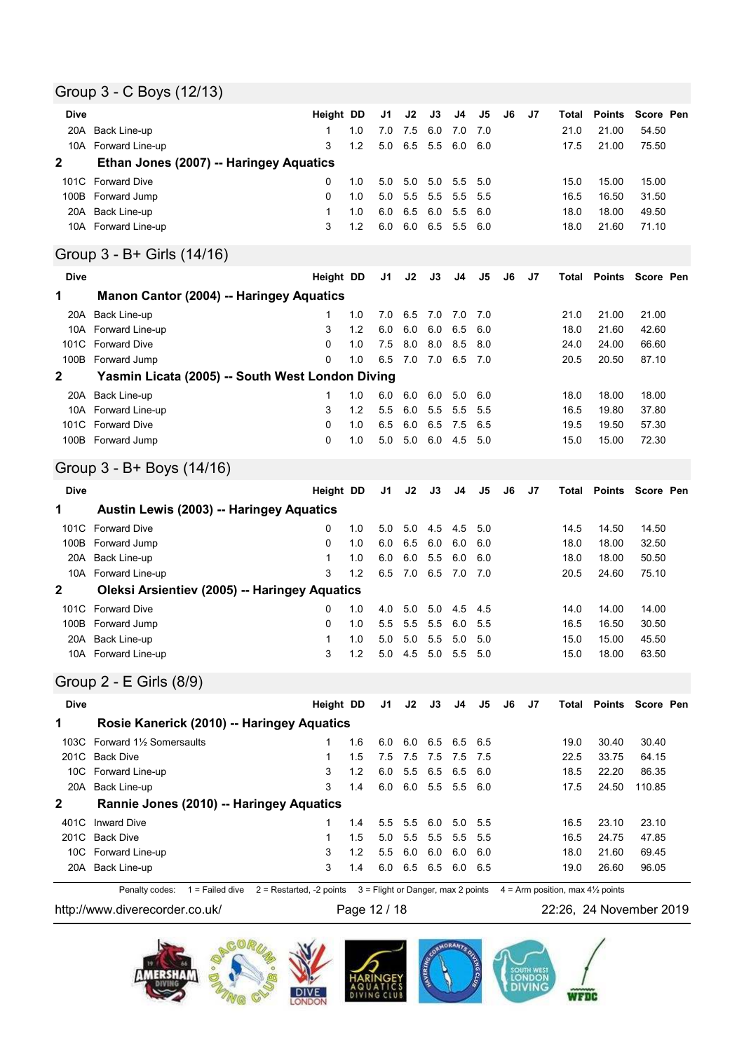## Group 3 - C Boys (12/13)

| Dive        |                                                      | Height DD |     | J1  | J2  | J3  | J4  | J5  | J6 | J7 | Total | <b>Points</b> | Score Pen                     |  |
|-------------|------------------------------------------------------|-----------|-----|-----|-----|-----|-----|-----|----|----|-------|---------------|-------------------------------|--|
| 20A         | Back Line-up                                         | 1         | 1.0 | 7.0 | 7.5 | 6.0 | 7.0 | 7.0 |    |    | 21.0  | 21.00         | 54.50                         |  |
|             | 10A Forward Line-up                                  | 3         | 1.2 | 5.0 | 6.5 | 5.5 | 6.0 | 6.0 |    |    | 17.5  | 21.00         | 75.50                         |  |
| $\mathbf 2$ | Ethan Jones (2007) -- Haringey Aquatics              |           |     |     |     |     |     |     |    |    |       |               |                               |  |
|             | 101C Forward Dive                                    | 0         | 1.0 | 5.0 | 5.0 | 5.0 | 5.5 | 5.0 |    |    | 15.0  | 15.00         | 15.00                         |  |
| 100B        | Forward Jump                                         | 0         | 1.0 | 5.0 | 5.5 | 5.5 | 5.5 | 5.5 |    |    | 16.5  | 16.50         | 31.50                         |  |
| 20A         | Back Line-up                                         | 1         | 1.0 | 6.0 | 6.5 | 6.0 | 5.5 | 6.0 |    |    | 18.0  | 18.00         | 49.50                         |  |
|             | 10A Forward Line-up                                  | 3         | 1.2 | 6.0 | 6.0 | 6.5 | 5.5 | 6.0 |    |    | 18.0  | 21.60         | 71.10                         |  |
|             | Group 3 - B+ Girls (14/16)                           |           |     |     |     |     |     |     |    |    |       |               |                               |  |
| <b>Dive</b> |                                                      | Height DD |     | J1  | J2  | J3  | J4  | J5  | J6 | J7 | Total | <b>Points</b> | Score Pen                     |  |
| 1           | <b>Manon Cantor (2004) -- Haringey Aquatics</b>      |           |     |     |     |     |     |     |    |    |       |               |                               |  |
| 20A         | Back Line-up                                         | 1         | 1.0 | 7.0 | 6.5 | 7.0 | 7.0 | 7.0 |    |    | 21.0  | 21.00         | 21.00                         |  |
|             | 10A Forward Line-up                                  | 3         | 1.2 | 6.0 | 6.0 | 6.0 | 6.5 | 6.0 |    |    | 18.0  | 21.60         | 42.60                         |  |
| 101C        | <b>Forward Dive</b>                                  | $\Omega$  | 1.0 | 7.5 | 8.0 | 8.0 | 8.5 | 8.0 |    |    | 24.0  | 24.00         | 66.60                         |  |
|             | 100B Forward Jump                                    | 0         | 1.0 | 6.5 | 7.0 | 7.0 | 6.5 | 7.0 |    |    | 20.5  | 20.50         | 87.10                         |  |
| 2           | Yasmin Licata (2005) -- South West London Diving     |           |     |     |     |     |     |     |    |    |       |               |                               |  |
|             | 20A Back Line-up                                     | 1         | 1.0 | 6.0 | 6.0 | 6.0 | 5.0 | 6.0 |    |    | 18.0  | 18.00         | 18.00                         |  |
|             | 10A Forward Line-up                                  | 3         | 1.2 | 5.5 | 6.0 | 5.5 | 5.5 | 5.5 |    |    | 16.5  | 19.80         | 37.80                         |  |
|             | 101C Forward Dive                                    | 0         | 1.0 | 6.5 | 6.0 | 6.5 | 7.5 | 6.5 |    |    | 19.5  | 19.50         | 57.30                         |  |
|             | 100B Forward Jump                                    | $\Omega$  | 1.0 | 5.0 | 5.0 | 6.0 | 4.5 | 5.0 |    |    | 15.0  | 15.00         | 72.30                         |  |
|             | Group 3 - B+ Boys (14/16)                            |           |     |     |     |     |     |     |    |    |       |               |                               |  |
| <b>Dive</b> |                                                      | Height DD |     | J1  | J2  | J3  | J4  | J5  | J6 | J7 | Total | <b>Points</b> | Score Pen                     |  |
|             |                                                      |           |     |     |     |     |     |     |    |    |       |               |                               |  |
| 1           | Austin Lewis (2003) -- Haringey Aquatics             |           |     |     |     |     |     |     |    |    |       |               |                               |  |
| 101C        | <b>Forward Dive</b>                                  | 0         | 1.0 | 5.0 | 5.0 | 4.5 | 4.5 | 5.0 |    |    | 14.5  | 14.50         | 14.50                         |  |
| 100B        | Forward Jump                                         | 0         | 1.0 | 6.0 | 6.5 | 6.0 | 6.0 | 6.0 |    |    | 18.0  | 18.00         | 32.50                         |  |
| 20A         | Back Line-up                                         | 1         | 1.0 | 6.0 | 6.0 | 5.5 | 6.0 | 6.0 |    |    | 18.0  | 18.00         | 50.50                         |  |
|             | 10A Forward Line-up                                  | 3         | 1.2 | 6.5 | 7.0 | 6.5 | 7.0 | 7.0 |    |    | 20.5  | 24.60         | 75.10                         |  |
| $\mathbf 2$ | <b>Oleksi Arsientiev (2005) -- Haringey Aquatics</b> |           |     |     |     |     |     |     |    |    |       |               |                               |  |
|             | 101C Forward Dive                                    | 0         | 1.0 | 4.0 | 5.0 | 5.0 | 4.5 | 4.5 |    |    | 14.0  | 14.00         | 14.00                         |  |
| 100B        | Forward Jump                                         | 0         | 1.0 | 5.5 | 5.5 | 5.5 | 6.0 | 5.5 |    |    | 16.5  | 16.50         | 30.50                         |  |
| 20A         | Back Line-up                                         | 1         | 1.0 | 5.0 | 5.0 | 5.5 | 5.0 | 5.0 |    |    | 15.0  | 15.00         | 45.50                         |  |
|             | 10A Forward Line-up                                  | 3         | 1.2 | 5.0 | 4.5 | 5.0 | 5.5 | 5.0 |    |    | 15.0  | 18.00         | 63.50                         |  |
|             | Group 2 - E Girls (8/9)                              |           |     |     |     |     |     |     |    |    |       |               |                               |  |
| <b>Dive</b> |                                                      | Height DD |     | J1  | J2  | J3  | J4  | J5  | J6 | J7 |       |               | <b>Total Points Score Pen</b> |  |
| 1           | Rosie Kanerick (2010) -- Haringey Aquatics           |           |     |     |     |     |     |     |    |    |       |               |                               |  |
|             | 103C Forward 11/2 Somersaults                        | 1         | 1.6 | 6.0 | 6.0 | 6.5 | 6.5 | 6.5 |    |    | 19.0  | 30.40         | 30.40                         |  |
|             | 201C Back Dive                                       | 1         | 1.5 | 7.5 | 7.5 | 7.5 | 7.5 | 7.5 |    |    | 22.5  | 33.75         | 64.15                         |  |
|             | 10C Forward Line-up                                  | 3         | 1.2 | 6.0 | 5.5 | 6.5 | 6.5 | 6.0 |    |    | 18.5  | 22.20         | 86.35                         |  |
|             | 20A Back Line-up                                     | 3         | 1.4 | 6.0 | 6.0 | 5.5 | 5.5 | 6.0 |    |    | 17.5  | 24.50         | 110.85                        |  |
| 2           | Rannie Jones (2010) -- Haringey Aquatics             |           |     |     |     |     |     |     |    |    |       |               |                               |  |
|             | 401C Inward Dive                                     | 1         | 1.4 | 5.5 | 5.5 | 6.0 | 5.0 | 5.5 |    |    | 16.5  | 23.10         | 23.10                         |  |
|             | 201C Back Dive                                       | 1         | 1.5 | 5.0 | 5.5 | 5.5 | 5.5 | 5.5 |    |    | 16.5  | 24.75         | 47.85                         |  |
|             | 10C Forward Line-up                                  | 3         | 1.2 | 5.5 | 6.0 | 6.0 | 6.0 | 6.0 |    |    | 18.0  | 21.60         | 69.45                         |  |
|             | 20A Back Line-up                                     | 3         | 1.4 | 6.0 | 6.5 | 6.5 | 6.0 | 6.5 |    |    | 19.0  | 26.60         | 96.05                         |  |

http://www.diverecorder.co.uk/ Page 12 / 18 22:26, 24 November 2019

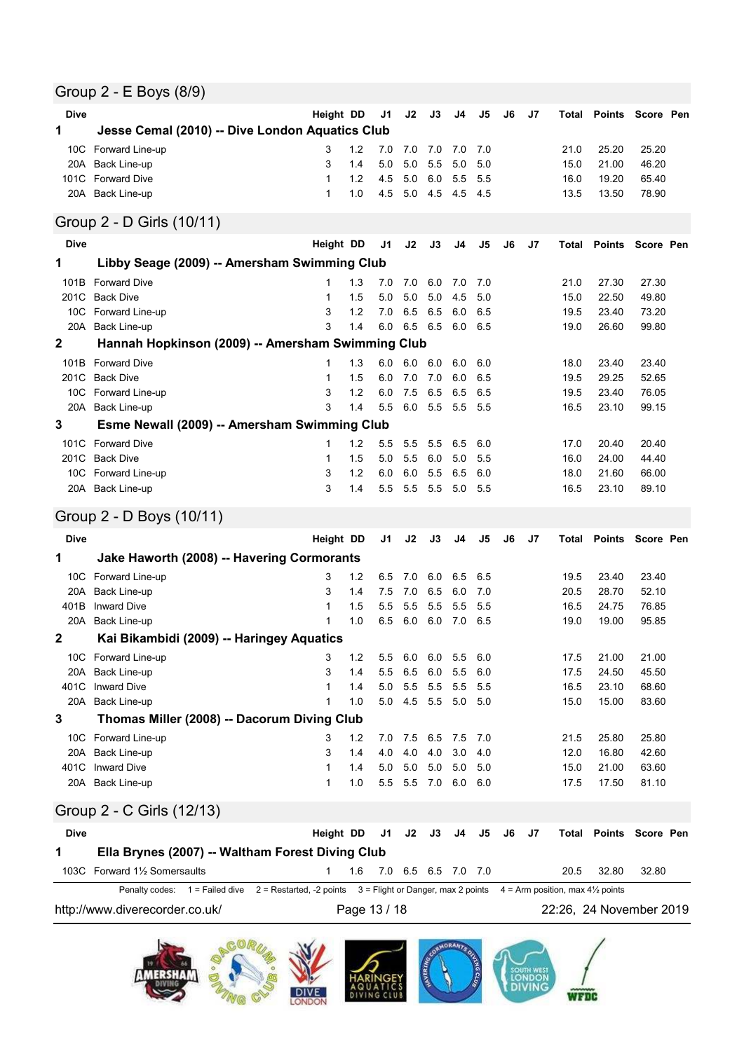### Group 2 - E Boys (8/9)

| <b>Dive</b>  |                                                   | Height DD |     | J1             | J2  | J3  | J4  | J5  | J6 | J7 | Total | <b>Points</b>                 | Score Pen |  |
|--------------|---------------------------------------------------|-----------|-----|----------------|-----|-----|-----|-----|----|----|-------|-------------------------------|-----------|--|
| 1            | Jesse Cemal (2010) -- Dive London Aquatics Club   |           |     |                |     |     |     |     |    |    |       |                               |           |  |
|              | 10C Forward Line-up                               | 3         | 1.2 | 7.0            | 7.0 | 7.0 | 7.0 | 7.0 |    |    | 21.0  | 25.20                         | 25.20     |  |
| 20A          | Back Line-up                                      | 3         | 1.4 | 5.0            | 5.0 | 5.5 | 5.0 | 5.0 |    |    | 15.0  | 21.00                         | 46.20     |  |
| 101C         | <b>Forward Dive</b>                               | 1         | 1.2 | 4.5            | 5.0 | 6.0 | 5.5 | 5.5 |    |    | 16.0  | 19.20                         | 65.40     |  |
|              | 20A Back Line-up                                  | 1         | 1.0 | 4.5            | 5.0 | 4.5 | 4.5 | 4.5 |    |    | 13.5  | 13.50                         | 78.90     |  |
|              | Group 2 - D Girls (10/11)                         |           |     |                |     |     |     |     |    |    |       |                               |           |  |
| <b>Dive</b>  |                                                   | Height DD |     | J <sub>1</sub> | J2  | J3  | J4  | J5  | J6 | J7 | Total | Points                        | Score Pen |  |
| 1            | Libby Seage (2009) -- Amersham Swimming Club      |           |     |                |     |     |     |     |    |    |       |                               |           |  |
| 101B         | <b>Forward Dive</b>                               | 1         | 1.3 | 7.0            | 7.0 | 6.0 | 7.0 | 7.0 |    |    | 21.0  | 27.30                         | 27.30     |  |
| 201C         | <b>Back Dive</b>                                  | 1         | 1.5 | 5.0            | 5.0 | 5.0 | 4.5 | 5.0 |    |    | 15.0  | 22.50                         | 49.80     |  |
|              | 10C Forward Line-up                               | 3         | 1.2 | 7.0            | 6.5 | 6.5 | 6.0 | 6.5 |    |    | 19.5  | 23.40                         | 73.20     |  |
|              | 20A Back Line-up                                  | 3         | 1.4 | 6.0            | 6.5 | 6.5 | 6.0 | 6.5 |    |    | 19.0  | 26.60                         | 99.80     |  |
| $\mathbf{2}$ | Hannah Hopkinson (2009) -- Amersham Swimming Club |           |     |                |     |     |     |     |    |    |       |                               |           |  |
| 101B         | <b>Forward Dive</b>                               | 1         | 1.3 | 6.0            | 6.0 | 6.0 | 6.0 | 6.0 |    |    | 18.0  | 23.40                         | 23.40     |  |
| 201C         | <b>Back Dive</b>                                  | 1         | 1.5 | 6.0            | 7.0 | 7.0 | 6.0 | 6.5 |    |    | 19.5  | 29.25                         | 52.65     |  |
|              | 10C Forward Line-up                               | 3         | 1.2 | 6.0            | 7.5 | 6.5 | 6.5 | 6.5 |    |    | 19.5  | 23.40                         | 76.05     |  |
|              | 20A Back Line-up                                  | 3         | 1.4 | 5.5            | 6.0 | 5.5 | 5.5 | 5.5 |    |    | 16.5  | 23.10                         | 99.15     |  |
| 3            | Esme Newall (2009) -- Amersham Swimming Club      |           |     |                |     |     |     |     |    |    |       |                               |           |  |
|              | 101C Forward Dive                                 | 1         | 1.2 | 5.5            | 5.5 | 5.5 | 6.5 | 6.0 |    |    | 17.0  | 20.40                         | 20.40     |  |
| 201C         | <b>Back Dive</b>                                  | 1         | 1.5 | 5.0            | 5.5 | 6.0 | 5.0 | 5.5 |    |    | 16.0  | 24.00                         | 44.40     |  |
|              | 10C Forward Line-up                               | 3         | 1.2 | 6.0            | 6.0 | 5.5 | 6.5 | 6.0 |    |    | 18.0  | 21.60                         | 66.00     |  |
|              | 20A Back Line-up                                  | 3         | 1.4 | 5.5            | 5.5 | 5.5 | 5.0 | 5.5 |    |    | 16.5  | 23.10                         | 89.10     |  |
|              | Group 2 - D Boys (10/11)                          |           |     |                |     |     |     |     |    |    |       |                               |           |  |
| <b>Dive</b>  |                                                   | Height DD |     | J1             | J2  | J3  | J4  | J5  | J6 | J7 |       | <b>Total Points Score Pen</b> |           |  |

| nne          |                                             | Height DD   |     | JΙ  |     | JZ JJ J <del>4</del> |         | . კუ | JO | JI |      |       | TOIAL POINTS SCOTE PEN |
|--------------|---------------------------------------------|-------------|-----|-----|-----|----------------------|---------|------|----|----|------|-------|------------------------|
| 1            | Jake Haworth (2008) -- Havering Cormorants  |             |     |     |     |                      |         |      |    |    |      |       |                        |
|              | 10C Forward Line-up                         | 3           | 1.2 | 6.5 | 7.0 | 6.0                  | 6.5 6.5 |      |    |    | 19.5 | 23.40 | 23.40                  |
| 20A          | Back Line-up                                | 3           | 1.4 | 7.5 | 7.0 | 6.5                  | 6.0     | 7.0  |    |    | 20.5 | 28.70 | 52.10                  |
| 401B         | <b>Inward Dive</b>                          |             | 1.5 | 5.5 | 5.5 | 5.5                  | 5.5     | 5.5  |    |    | 16.5 | 24.75 | 76.85                  |
| 20A          | Back Line-up                                |             | 1.0 | 6.5 | 6.0 | 6.0                  | 7.0 6.5 |      |    |    | 19.0 | 19.00 | 95.85                  |
| $\mathbf{2}$ | Kai Bikambidi (2009) -- Haringey Aquatics   |             |     |     |     |                      |         |      |    |    |      |       |                        |
|              | 10C Forward Line-up                         | 3           | 1.2 | 5.5 | 6.0 | 6.0                  | 5.5 6.0 |      |    |    | 17.5 | 21.00 | 21.00                  |
|              | 20A Back Line-up                            | 3           | 1.4 | 5.5 | 6.5 | 6.0                  | 5.5     | 6.0  |    |    | 17.5 | 24.50 | 45.50                  |
| 401C         | <b>Inward Dive</b>                          | $\mathbf 1$ | 1.4 | 5.0 | 5.5 | 5.5                  | 5.5     | 5.5  |    |    | 16.5 | 23.10 | 68.60                  |
| 20A          | Back Line-up                                |             | 1.0 | 5.0 | 4.5 | 5.5                  | 5.0     | 5.0  |    |    | 15.0 | 15.00 | 83.60                  |
| 3            | Thomas Miller (2008) -- Dacorum Diving Club |             |     |     |     |                      |         |      |    |    |      |       |                        |
| 10C          | Forward Line-up                             | 3           | 1.2 | 7.0 | 7.5 | 6.5                  | 7.5     | 7.0  |    |    | 21.5 | 25.80 | 25.80                  |
|              | 20A Back Line-up                            | 3           | 1.4 | 4.0 | 4.0 | 4.0                  | 3.0     | 4.0  |    |    | 12.0 | 16.80 | 42.60                  |
| 401C         | <b>Inward Dive</b>                          |             | 1.4 | 5.0 | 5.0 | 5.0                  | 5.0     | 5.0  |    |    | 15.0 | 21.00 | 63.60                  |
|              | 20A Back Line-up                            | 1           | 1.0 | 5.5 | 5.5 | 7.0                  | 6.0     | 6.0  |    |    | 17.5 | 17.50 | 81.10                  |

## Group 2 - C Girls (12/13)

| <b>Dive</b> |                                                  |                                                                                                                                                 |  |                         |  |  |  |      | Height DD J1 J2 J3 J4 J5 J6 J7 Total Points Score Pen |       |  |
|-------------|--------------------------------------------------|-------------------------------------------------------------------------------------------------------------------------------------------------|--|-------------------------|--|--|--|------|-------------------------------------------------------|-------|--|
|             | Ella Brynes (2007) -- Waltham Forest Diving Club |                                                                                                                                                 |  |                         |  |  |  |      |                                                       |       |  |
|             | 103C Forward 11/2 Somersaults                    |                                                                                                                                                 |  | 1.6 7.0 6.5 6.5 7.0 7.0 |  |  |  | 20.5 | 32.80                                                 | 32.80 |  |
|             |                                                  | Penalty codes: $1 =$ Failed dive $2 =$ Restarted, -2 points $3 =$ Flight or Danger, max 2 points $4 =$ Arm position, max 4 $\frac{1}{2}$ points |  |                         |  |  |  |      |                                                       |       |  |
|             | http://www.diverecorder.co.uk/                   |                                                                                                                                                 |  | Page 13 / 18            |  |  |  |      | 22:26, 24 November 2019                               |       |  |

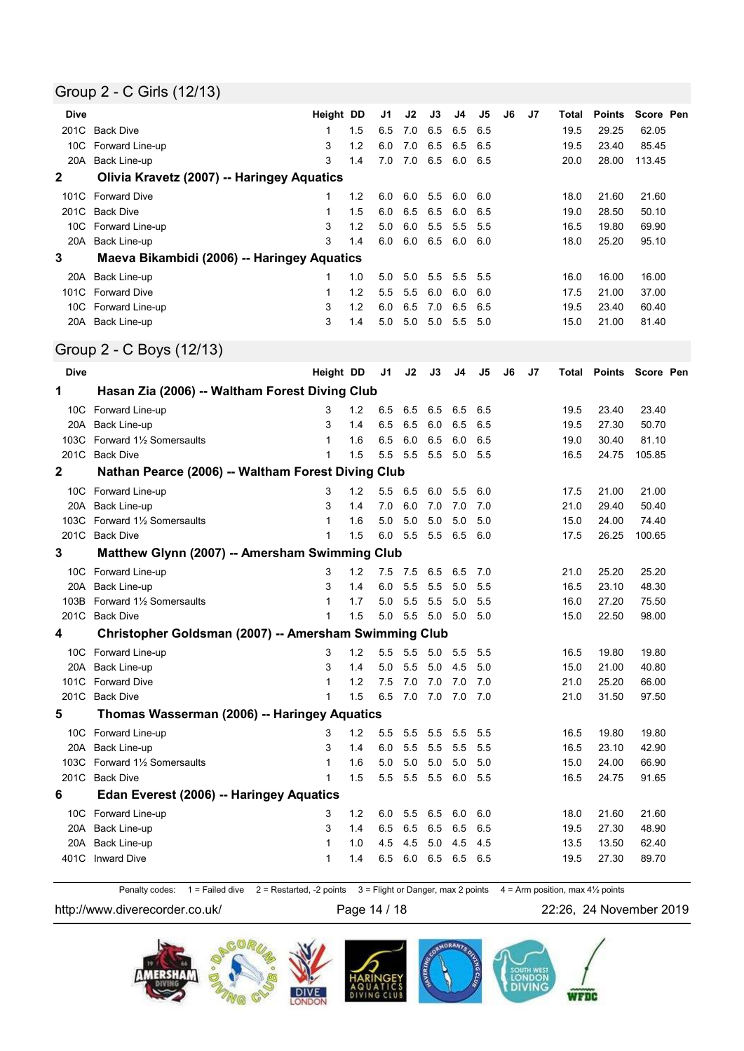### Group 2 - C Girls (12/13)

| <b>Dive</b> |                                                       | Height DD    |       | J1  | J2          | J3          | J4      | J5  | J6 | J7 | Total | <b>Points</b> | Score Pen |  |
|-------------|-------------------------------------------------------|--------------|-------|-----|-------------|-------------|---------|-----|----|----|-------|---------------|-----------|--|
|             | 201C Back Dive                                        | 1            | 1.5   | 6.5 | 7.0         | 6.5         | 6.5     | 6.5 |    |    | 19.5  | 29.25         | 62.05     |  |
|             | 10C Forward Line-up                                   | 3            | 1.2   | 6.0 | 7.0         | 6.5         | 6.5     | 6.5 |    |    | 19.5  | 23.40         | 85.45     |  |
|             | 20A Back Line-up                                      | 3            | 1.4   | 7.0 | 7.0         | 6.5         | 6.0     | 6.5 |    |    | 20.0  | 28.00         | 113.45    |  |
| 2           | Olivia Kravetz (2007) -- Haringey Aquatics            |              |       |     |             |             |         |     |    |    |       |               |           |  |
|             | 101C Forward Dive                                     | 1            | 1.2   | 6.0 | 6.0         | 5.5         | 6.0     | 6.0 |    |    | 18.0  | 21.60         | 21.60     |  |
| 201C        | Back Dive                                             | 1            | 1.5   | 6.0 | 6.5         | 6.5         | 6.0     | 6.5 |    |    | 19.0  | 28.50         | 50.10     |  |
|             | 10C Forward Line-up                                   | 3            | 1.2   | 5.0 | 6.0         | 5.5         | 5.5     | 5.5 |    |    | 16.5  | 19.80         | 69.90     |  |
|             | 20A Back Line-up                                      | 3            | 1.4   | 6.0 | 6.0         | 6.5         | 6.0     | 6.0 |    |    | 18.0  | 25.20         | 95.10     |  |
| 3           | Maeva Bikambidi (2006) -- Haringey Aquatics           |              |       |     |             |             |         |     |    |    |       |               |           |  |
| 20A         | Back Line-up                                          | 1            | 1.0   | 5.0 | 5.0         | 5.5         | 5.5     | 5.5 |    |    | 16.0  | 16.00         | 16.00     |  |
|             | 101C Forward Dive                                     | $\mathbf{1}$ | 1.2   | 5.5 | 5.5         | 6.0         | 6.0     | 6.0 |    |    | 17.5  | 21.00         | 37.00     |  |
|             | 10C Forward Line-up                                   | 3            | 1.2   | 6.0 | 6.5         | 7.0         | 6.5     | 6.5 |    |    | 19.5  | 23.40         | 60.40     |  |
|             | 20A Back Line-up                                      | 3            | 1.4   | 5.0 | 5.0         | 5.0         | 5.5     | 5.0 |    |    | 15.0  | 21.00         | 81.40     |  |
|             | Group 2 - C Boys (12/13)                              |              |       |     |             |             |         |     |    |    |       |               |           |  |
| <b>Dive</b> |                                                       | Height DD    |       | J1  | J2          | J3          | J4      | J5  | J6 | J7 | Total | <b>Points</b> | Score Pen |  |
| 1           | Hasan Zia (2006) -- Waltham Forest Diving Club        |              |       |     |             |             |         |     |    |    |       |               |           |  |
|             | 10C Forward Line-up                                   | 3            | 1.2   | 6.5 | 6.5         | 6.5         | 6.5     | 6.5 |    |    | 19.5  | 23.40         | 23.40     |  |
|             | 20A Back Line-up                                      | 3            | 1.4   | 6.5 | 6.5         | 6.0         | 6.5     | 6.5 |    |    | 19.5  | 27.30         | 50.70     |  |
|             | 103C Forward 11/2 Somersaults                         | 1            | 1.6   | 6.5 | 6.0         | 6.5         | 6.0     | 6.5 |    |    | 19.0  | 30.40         | 81.10     |  |
|             | 201C Back Dive                                        | 1            | 1.5   | 5.5 | 5.5         | 5.5         | 5.0     | 5.5 |    |    | 16.5  | 24.75         | 105.85    |  |
| 2           | Nathan Pearce (2006) -- Waltham Forest Diving Club    |              |       |     |             |             |         |     |    |    |       |               |           |  |
|             | 10C Forward Line-up                                   | 3            | 1.2   | 5.5 | 6.5         | 6.0         | 5.5     | 6.0 |    |    | 17.5  | 21.00         | 21.00     |  |
|             | 20A Back Line-up                                      | 3            | 1.4   | 7.0 | 6.0         | 7.0         | 7.0     | 7.0 |    |    | 21.0  | 29.40         | 50.40     |  |
|             | 103C Forward 11/2 Somersaults                         | 1            | 1.6   | 5.0 | 5.0         | 5.0         | 5.0     | 5.0 |    |    | 15.0  | 24.00         | 74.40     |  |
|             | 201C Back Dive                                        | 1            | 1.5   | 6.0 | 5.5         | 5.5         | 6.5     | 6.0 |    |    | 17.5  | 26.25         | 100.65    |  |
| 3           | Matthew Glynn (2007) -- Amersham Swimming Club        |              |       |     |             |             |         |     |    |    |       |               |           |  |
|             | 10C Forward Line-up                                   | 3            | 1.2   | 7.5 | 7.5         | 6.5         | 6.5     | 7.0 |    |    | 21.0  | 25.20         | 25.20     |  |
|             | 20A Back Line-up                                      | 3            | 1.4   | 6.0 | 5.5         | 5.5         | 5.0     | 5.5 |    |    | 16.5  | 23.10         | 48.30     |  |
|             | 103B Forward 11/2 Somersaults                         | 1            | 1.7   | 5.0 | 5.5         | 5.5         | 5.0     | 5.5 |    |    | 16.0  | 27.20         | 75.50     |  |
|             | 201C Back Dive                                        | 1            | 1.5   | 5.0 | 5.5         | 5.0         | 5.0     | 5.0 |    |    | 15.0  | 22.50         | 98.00     |  |
| 4           | Christopher Goldsman (2007) -- Amersham Swimming Club |              |       |     |             |             |         |     |    |    |       |               |           |  |
|             | 10C Forward Line-up                                   | 3            | 1.2   |     | 5.5 5.5 5.0 |             | 5.5     | 5.5 |    |    | 16.5  | 19.80         | 19.80     |  |
|             | 20A Back Line-up                                      | 3            | 1.4   | 5.0 | 5.5         | 5.0         | 4.5     | 5.0 |    |    | 15.0  | 21.00         | 40.80     |  |
|             | 101C Forward Dive                                     | 1            | 1.2   | 7.5 | 7.0         | 7.0         | 7.0     | 7.0 |    |    | 21.0  | 25.20         | 66.00     |  |
|             | 201C Back Dive                                        | 1            | 1.5   | 6.5 | 7.0         | 7.0         | 7.0 7.0 |     |    |    | 21.0  | 31.50         | 97.50     |  |
| 5           | Thomas Wasserman (2006) -- Haringey Aquatics          |              |       |     |             |             |         |     |    |    |       |               |           |  |
|             | 10C Forward Line-up                                   | 3            | $1.2$ | 5.5 | 5.5         | 5.5         | 5.5     | 5.5 |    |    | 16.5  | 19.80         | 19.80     |  |
|             | 20A Back Line-up                                      | 3            | 1.4   | 6.0 | 5.5         | 5.5         | 5.5     | 5.5 |    |    | 16.5  | 23.10         | 42.90     |  |
|             | 103C Forward 11/2 Somersaults                         | 1            | 1.6   | 5.0 | 5.0         | 5.0         | 5.0     | 5.0 |    |    | 15.0  | 24.00         | 66.90     |  |
|             | 201C Back Dive                                        | 1            | 1.5   | 5.5 |             | 5.5 5.5 6.0 |         | 5.5 |    |    | 16.5  | 24.75         | 91.65     |  |
| 6           | Edan Everest (2006) -- Haringey Aquatics              |              |       |     |             |             |         |     |    |    |       |               |           |  |
|             | 10C Forward Line-up                                   | 3            | $1.2$ | 6.0 | 5.5         | 6.5         | 6.0     | 6.0 |    |    | 18.0  | 21.60         | 21.60     |  |
|             | 20A Back Line-up                                      | 3            | 1.4   | 6.5 |             | 6.5 6.5     | 6.5     | 6.5 |    |    | 19.5  | 27.30         | 48.90     |  |
| 20A         | Back Line-up                                          | 1            | 1.0   | 4.5 | 4.5         | 5.0         | 4.5     | 4.5 |    |    | 13.5  | 13.50         | 62.40     |  |
| 401C        | <b>Inward Dive</b>                                    | 1            | 1.4   | 6.5 |             | 6.0 6.5 6.5 |         | 6.5 |    |    | 19.5  | 27.30         | 89.70     |  |
|             |                                                       |              |       |     |             |             |         |     |    |    |       |               |           |  |

Penalty codes:  $1 =$  Failed dive  $2 =$  Restarted, -2 points  $3 =$  Flight or Danger, max 2 points  $4 =$  Arm position, max 4½ points

http://www.diverecorder.co.uk/ Page 14 / 18 22:26, 24 November 2019

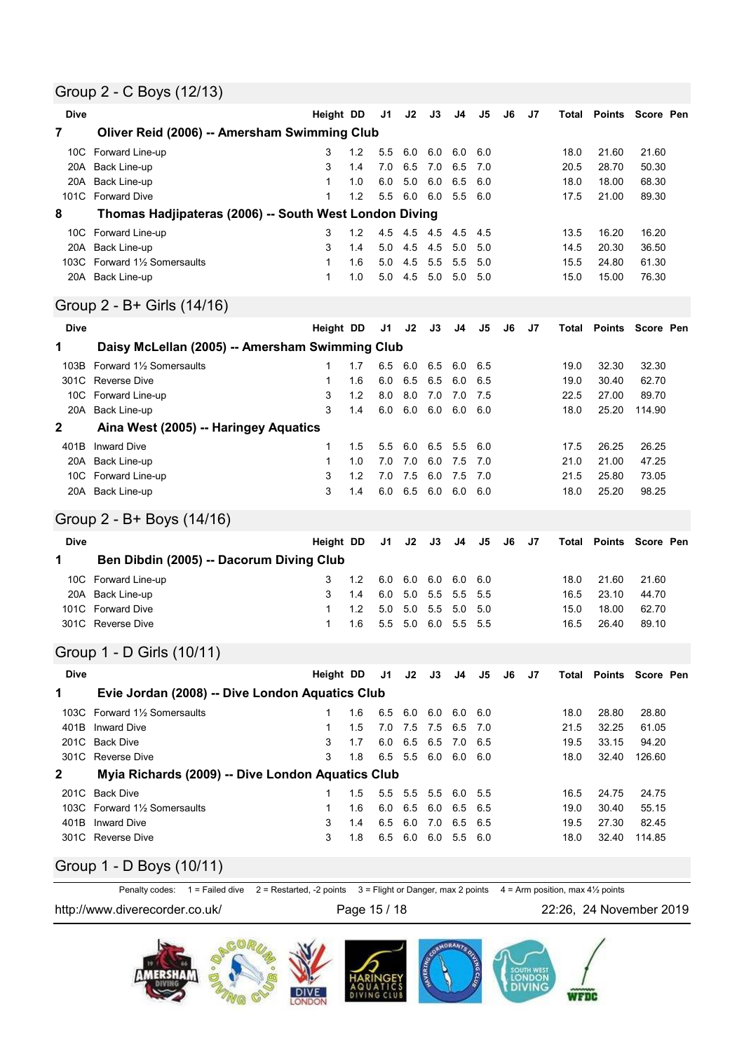### Group 2 - C Boys (12/13)

| <b>Dive</b>     |                                                        | Height DD    |     | J1  | J2             | J3  | J4      | J5  | J6 | J7 | Total | <b>Points</b>    | Score Pen |  |
|-----------------|--------------------------------------------------------|--------------|-----|-----|----------------|-----|---------|-----|----|----|-------|------------------|-----------|--|
| 7               | Oliver Reid (2006) -- Amersham Swimming Club           |              |     |     |                |     |         |     |    |    |       |                  |           |  |
| 10C             | Forward Line-up                                        | 3            | 1.2 | 5.5 | 6.0            | 6.0 | 6.0     | 6.0 |    |    | 18.0  | 21.60            | 21.60     |  |
| 20A             | Back Line-up                                           | 3            | 1.4 | 7.0 | 6.5            | 7.0 | 6.5     | 7.0 |    |    | 20.5  | 28.70            | 50.30     |  |
| 20A             | Back Line-up                                           | 1            | 1.0 | 6.0 | 5.0            | 6.0 | 6.5     | 6.0 |    |    | 18.0  | 18.00            | 68.30     |  |
|                 | 101C Forward Dive                                      | 1            | 1.2 | 5.5 | 6.0            | 6.0 | 5.5     | 6.0 |    |    | 17.5  | 21.00            | 89.30     |  |
| 8               | Thomas Hadjipateras (2006) -- South West London Diving |              |     |     |                |     |         |     |    |    |       |                  |           |  |
|                 | 10C Forward Line-up                                    | 3            | 1.2 | 4.5 | 4.5            | 4.5 | 4.5     | 4.5 |    |    | 13.5  | 16.20            | 16.20     |  |
|                 | 20A Back Line-up                                       | 3            | 1.4 | 5.0 | 4.5            | 4.5 | 5.0     | 5.0 |    |    | 14.5  | 20.30            | 36.50     |  |
|                 | 103C Forward 11/2 Somersaults                          | 1            | 1.6 | 5.0 | 4.5            | 5.5 | 5.5     | 5.0 |    |    | 15.5  | 24.80            | 61.30     |  |
|                 | 20A Back Line-up                                       | 1            | 1.0 | 5.0 | 4.5            | 5.0 | 5.0     | 5.0 |    |    | 15.0  | 15.00            | 76.30     |  |
|                 | Group 2 - B+ Girls (14/16)                             |              |     |     |                |     |         |     |    |    |       |                  |           |  |
| Dive            |                                                        | Height DD    |     | J1  | J2             | J3  | J4      | J5  | J6 | J7 | Total | <b>Points</b>    | Score Pen |  |
| 1               | Daisy McLellan (2005) -- Amersham Swimming Club        |              |     |     |                |     |         |     |    |    |       |                  |           |  |
| 103B            | Forward 11/2 Somersaults                               | 1            | 1.7 | 6.5 | 6.0            | 6.5 | 6.0     | 6.5 |    |    | 19.0  | 32.30            | 32.30     |  |
| 301C            | <b>Reverse Dive</b>                                    | 1            | 1.6 | 6.0 | 6.5            | 6.5 | 6.0     | 6.5 |    |    | 19.0  | 30.40            | 62.70     |  |
| 10C             | Forward Line-up                                        | 3            | 1.2 | 8.0 | 8.0            | 7.0 | 7.0     | 7.5 |    |    | 22.5  | 27.00            | 89.70     |  |
|                 | 20A Back Line-up                                       | 3            | 1.4 | 6.0 | 6.0            | 6.0 | 6.0     | 6.0 |    |    | 18.0  | 25.20            | 114.90    |  |
| $\mathbf 2$     | Aina West (2005) -- Haringey Aquatics                  |              |     |     |                |     |         |     |    |    |       |                  |           |  |
| 401B            | <b>Inward Dive</b>                                     | 1            | 1.5 | 5.5 | 6.0            | 6.5 | 5.5     | 6.0 |    |    | 17.5  | 26.25            | 26.25     |  |
| 20A             | Back Line-up                                           | $\mathbf{1}$ | 1.0 | 7.0 | 7.0            | 6.0 | 7.5     | 7.0 |    |    | 21.0  | 21.00            | 47.25     |  |
| 10 <sup>C</sup> | Forward Line-up                                        | 3            | 1.2 | 7.0 | 7.5            | 6.0 | 7.5     | 7.0 |    |    | 21.5  | 25.80            | 73.05     |  |
|                 | 20A Back Line-up                                       | 3            | 1.4 | 6.0 | 6.5            | 6.0 | 6.0     | 6.0 |    |    | 18.0  | 25.20            | 98.25     |  |
|                 | Group 2 - B+ Boys (14/16)                              |              |     |     |                |     |         |     |    |    |       |                  |           |  |
| <b>Dive</b>     |                                                        | Height DD    |     | J1  | J2             | J3  | J4      | J5  | J6 | J7 | Total | <b>Points</b>    | Score Pen |  |
| 1               | Ben Dibdin (2005) -- Dacorum Diving Club               |              |     |     |                |     |         |     |    |    |       |                  |           |  |
|                 | 10C Forward Line-up                                    | 3            | 1.2 | 6.0 | 6.0            | 6.0 | 6.0     | 6.0 |    |    | 18.0  | 21.60            | 21.60     |  |
| 20A             | Back Line-up                                           | 3            | 1.4 | 6.0 | 5.0            | 5.5 | 5.5     | 5.5 |    |    | 16.5  | 23.10            | 44.70     |  |
| 101C            | <b>Forward Dive</b>                                    | $\mathbf{1}$ | 1.2 | 5.0 | 5.0            | 5.5 | 5.0     | 5.0 |    |    | 15.0  | 18.00            | 62.70     |  |
|                 | 301C Reverse Dive                                      | $\mathbf{1}$ | 1.6 | 5.5 | 5.0            | 6.0 | 5.5     | 5.5 |    |    | 16.5  | 26.40            | 89.10     |  |
|                 |                                                        |              |     |     |                |     |         |     |    |    |       |                  |           |  |
|                 | Group 1 - D Girls (10/11)                              |              |     |     |                |     |         |     |    |    |       |                  |           |  |
| Dive            |                                                        | Height DD    |     | J1  | J2             | J3  | J4      | J5  | J6 | J7 | Total | Points Score Pen |           |  |
| 1               | Evie Jordan (2008) -- Dive London Aquatics Club        |              |     |     |                |     |         |     |    |    |       |                  |           |  |
|                 | 103C Forward 11/2 Somersaults                          | 1            | 1.6 | 6.5 | 6.0            | 6.0 | 6.0     | 6.0 |    |    | 18.0  | 28.80            | 28.80     |  |
|                 | 401B Inward Dive                                       | 1            | 1.5 | 7.0 | 7.5 7.5        |     | 6.5     | 7.0 |    |    | 21.5  | 32.25            | 61.05     |  |
|                 | 201C Back Dive                                         | 3            | 1.7 | 6.0 | 6.5            | 6.5 | 7.0     | 6.5 |    |    | 19.5  | 33.15            | 94.20     |  |
|                 | 301C Reverse Dive                                      | 3            | 1.8 | 6.5 | 5.5            | 6.0 | 6.0 6.0 |     |    |    | 18.0  | 32.40            | 126.60    |  |
| 2               | Myia Richards (2009) -- Dive London Aquatics Club      |              |     |     |                |     |         |     |    |    |       |                  |           |  |
|                 | 201C Back Dive                                         | 1            | 1.5 | 5.5 | 5.5            | 5.5 | 6.0     | 5.5 |    |    | 16.5  | 24.75            | 24.75     |  |
|                 | 103C Forward 11/2 Somersaults                          | 1            | 1.6 | 6.0 | 6.5            | 6.0 | 6.5     | 6.5 |    |    | 19.0  | 30.40            | 55.15     |  |
|                 | 401B Inward Dive                                       | 3            | 1.4 | 6.5 | 6.0            | 7.0 | 6.5     | 6.5 |    |    | 19.5  | 27.30            | 82.45     |  |
|                 | 301C Reverse Dive                                      | 3            | 1.8 | 6.5 | $6.0\quad 6.0$ |     | 5.5 6.0 |     |    |    | 18.0  | 32.40            | 114.85    |  |
|                 |                                                        |              |     |     |                |     |         |     |    |    |       |                  |           |  |

#### Group 1 - D Boys (10/11)

Penalty codes:  $1 =$  Failed dive  $2 =$  Restarted, -2 points  $3 =$  Flight or Danger, max 2 points  $4 =$  Arm position, max 4½ points

http://www.diverecorder.co.uk/ Page 15 / 18 22:26, 24 November 2019

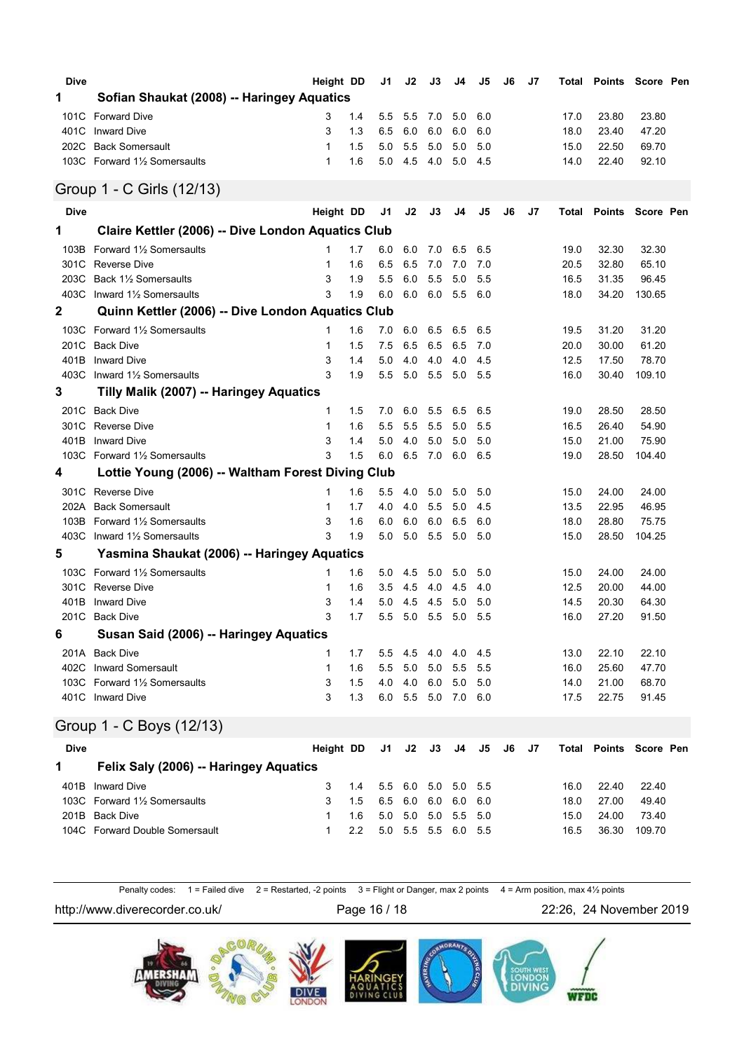| Dive         |                                                    | Height DD    |            | J1         | J2         | J3          | J4         | J5         | J6 | J7 | Total        |                  | <b>Points Score Pen</b> |  |
|--------------|----------------------------------------------------|--------------|------------|------------|------------|-------------|------------|------------|----|----|--------------|------------------|-------------------------|--|
| 1            | Sofian Shaukat (2008) -- Haringey Aquatics         |              |            |            |            |             |            |            |    |    |              |                  |                         |  |
| 101C         | <b>Forward Dive</b>                                | 3            | 1.4        | 5.5        | 5.5        | 7.0         | 5.0        | 6.0        |    |    | 17.0         | 23.80            | 23.80                   |  |
| 401C         | <b>Inward Dive</b>                                 | 3            | 1.3        | 6.5        | 6.0        | 6.0         | 6.0        | 6.0        |    |    | 18.0         | 23.40            | 47.20                   |  |
|              | 202C Back Somersault                               | $\mathbf{1}$ | 1.5        | 5.0        | 5.5        | 5.0         | 5.0        | 5.0        |    |    | 15.0         | 22.50            | 69.70                   |  |
|              | 103C Forward 11/2 Somersaults                      | $\mathbf{1}$ | 1.6        | 5.0        | 4.5        | 4.0         | 5.0        | 4.5        |    |    | 14.0         | 22.40            | 92.10                   |  |
|              | Group 1 - C Girls (12/13)                          |              |            |            |            |             |            |            |    |    |              |                  |                         |  |
| <b>Dive</b>  |                                                    | Height DD    |            | J1         | J2         | J3          | J4         | J5         | J6 | J7 | Total        | <b>Points</b>    | Score Pen               |  |
| 1            | Claire Kettler (2006) -- Dive London Aquatics Club |              |            |            |            |             |            |            |    |    |              |                  |                         |  |
| 103B         | Forward 1% Somersaults                             | 1            | 1.7        | 6.0        | 6.0        | 7.0         | 6.5        | 6.5        |    |    | 19.0         | 32.30            | 32.30                   |  |
|              | 301C Reverse Dive                                  | 1            | 1.6        | 6.5        | 6.5        | 7.0         | 7.0        | 7.0        |    |    | 20.5         | 32.80            | 65.10                   |  |
|              | 203C Back 11/2 Somersaults                         | 3            | 1.9        | 5.5        | 6.0        | 5.5         | 5.0        | 5.5        |    |    | 16.5         | 31.35            | 96.45                   |  |
| 403C         | Inward 11/2 Somersaults                            | 3            | 1.9        | 6.0        | 6.0        | 6.0         | 5.5        | 6.0        |    |    | 18.0         | 34.20            | 130.65                  |  |
| $\mathbf 2$  | Quinn Kettler (2006) -- Dive London Aquatics Club  |              |            |            |            |             |            |            |    |    |              |                  |                         |  |
| 103C         | Forward 11/2 Somersaults                           | 1            | 1.6        | 7.0        | 6.0        | 6.5         | 6.5        | 6.5        |    |    | 19.5         | 31.20            | 31.20                   |  |
| 201C         | <b>Back Dive</b>                                   | 1            | 1.5        | 7.5        | 6.5        | 6.5         | 6.5        | 7.0        |    |    | 20.0         | 30.00            | 61.20                   |  |
| 401B         | <b>Inward Dive</b><br>Inward 11/2 Somersaults      | 3<br>3       | 1.4<br>1.9 | 5.0<br>5.5 | 4.0<br>5.0 | 4.0<br>5.5  | 4.0        | 4.5        |    |    | 12.5         | 17.50            | 78.70                   |  |
| 403C<br>3    |                                                    |              |            |            |            |             | 5.0        | 5.5        |    |    | 16.0         | 30.40            | 109.10                  |  |
|              | Tilly Malik (2007) -- Haringey Aquatics            |              |            |            |            |             |            |            |    |    |              |                  |                         |  |
| 201C         | <b>Back Dive</b>                                   | 1            | 1.5        | 7.0        | 6.0        | 5.5         | 6.5        | 6.5        |    |    | 19.0         | 28.50<br>26.40   | 28.50                   |  |
| 301C<br>401B | <b>Reverse Dive</b><br><b>Inward Dive</b>          | 1<br>3       | 1.6<br>1.4 | 5.5<br>5.0 | 5.5<br>4.0 | 5.5<br>5.0  | 5.0<br>5.0 | 5.5<br>5.0 |    |    | 16.5<br>15.0 | 21.00            | 54.90<br>75.90          |  |
| 103C         | Forward 11/2 Somersaults                           | 3            | 1.5        | 6.0        | 6.5        | 7.0         | 6.0        | 6.5        |    |    | 19.0         | 28.50            | 104.40                  |  |
| 4            | Lottie Young (2006) -- Waltham Forest Diving Club  |              |            |            |            |             |            |            |    |    |              |                  |                         |  |
| 301C         | <b>Reverse Dive</b>                                | 1            | 1.6        | 5.5        | 4.0        | 5.0         | 5.0        | 5.0        |    |    | 15.0         | 24.00            | 24.00                   |  |
| 202A         | <b>Back Somersault</b>                             | 1            | 1.7        | 4.0        | 4.0        | 5.5         | 5.0        | 4.5        |    |    | 13.5         | 22.95            | 46.95                   |  |
| 103B         | Forward 11/2 Somersaults                           | 3            | 1.6        | 6.0        | 6.0        | 6.0         | 6.5        | 6.0        |    |    | 18.0         | 28.80            | 75.75                   |  |
| 403C         | Inward 1 <sup>1</sup> / <sub>2</sub> Somersaults   | 3            | 1.9        | 5.0        | 5.0        | 5.5         | 5.0        | 5.0        |    |    | 15.0         | 28.50            | 104.25                  |  |
| 5            | Yasmina Shaukat (2006) -- Haringey Aquatics        |              |            |            |            |             |            |            |    |    |              |                  |                         |  |
|              | 103C Forward 1% Somersaults                        | 1            | 1.6        | 5.0        | 4.5        | 5.0         | 5.0        | 5.0        |    |    | 15.0         | 24.00            | 24.00                   |  |
| 301C         | Reverse Dive                                       | 1            | 1.6        | 3.5        | 4.5        | 4.0         | 4.5        | 4.0        |    |    | 12.5         | 20.00            | 44.00                   |  |
| 401B         | <b>Inward Dive</b>                                 | 3            | 1.4        | 5.0        | 4.5        | 4.5         | 5.0        | 5.0        |    |    | 14.5         | 20.30            | 64.30                   |  |
| 201C         | <b>Back Dive</b>                                   | 3            | 1.7        | 5.5        | 5.0        | 5.5         | 5.0        | 5.5        |    |    | 16.0         | 27.20            | 91.50                   |  |
| 6            | Susan Said (2006) -- Haringey Aquatics             |              |            |            |            |             |            |            |    |    |              |                  |                         |  |
|              | 201A Back Dive                                     | 1            | 1.7        | 5.5        | 4.5        | 4.0         | 4.0        | 4.5        |    |    | 13.0         | 22.10            | 22.10                   |  |
|              | 402C Inward Somersault                             | 1            | 1.6        | 5.5        | 5.0        | 5.0         | 5.5        | 5.5        |    |    | 16.0         | 25.60            | 47.70                   |  |
|              | 103C Forward 11/2 Somersaults                      | 3            | 1.5        | 4.0        | 4.0        | 6.0         | 5.0        | 5.0        |    |    | 14.0         | 21.00            | 68.70                   |  |
|              | 401C Inward Dive                                   | 3            | 1.3        | 6.0        | 5.5        | 5.0         | 7.0 6.0    |            |    |    | 17.5         | 22.75            | 91.45                   |  |
|              | Group 1 - C Boys (12/13)                           |              |            |            |            |             |            |            |    |    |              |                  |                         |  |
| Dive         |                                                    | Height DD    |            | J1         | J2         | J3          | J4         | J5         | J6 | J7 | Total        | Points Score Pen |                         |  |
| 1            | Felix Saly (2006) -- Haringey Aquatics             |              |            |            |            |             |            |            |    |    |              |                  |                         |  |
|              | 401B Inward Dive                                   | 3            | 1.4        | 5.5        | 6.0        | 5.0         | 5.0        | 5.5        |    |    | 16.0         | 22.40            | 22.40                   |  |
|              | 103C Forward 11/2 Somersaults                      | 3            | 1.5        | 6.5        | 6.0        | 6.0         | 6.0        | 6.0        |    |    | 18.0         | 27.00            | 49.40                   |  |
|              | 201B Back Dive                                     | 1            | 1.6        | 5.0        | 5.0        | 5.0         | 5.5        | 5.0        |    |    | 15.0         | 24.00            | 73.40                   |  |
|              | 104C Forward Double Somersault                     | 1            | 2.2        | 5.0        |            | 5.5 5.5 6.0 |            | 5.5        |    |    | 16.5         | 36.30            | 109.70                  |  |

Penalty codes: 1 = Failed dive 2 = Restarted, -2 points 3 = Flight or Danger, max 2 points 4 = Arm position, max 4½ points

http://www.diverecorder.co.uk/ Page 16 / 18 22:26, 24 November 2019

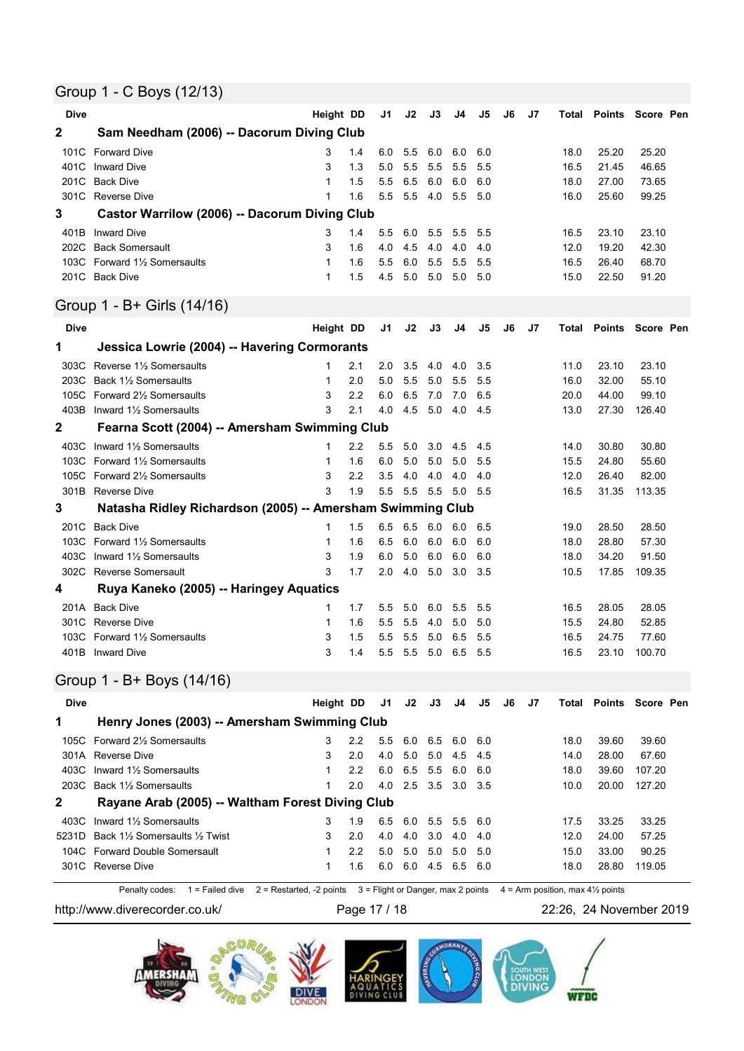### Group 1 - C Boys (12/13)

| <b>Dive</b> |                                                                | Height DD |            | J1             | J2         | J3         | J4              | J5         | J6            | J7 | Total        |                               | Points Score Pen |  |
|-------------|----------------------------------------------------------------|-----------|------------|----------------|------------|------------|-----------------|------------|---------------|----|--------------|-------------------------------|------------------|--|
| 2           | Sam Needham (2006) -- Dacorum Diving Club                      |           |            |                |            |            |                 |            |               |    |              |                               |                  |  |
| 101C        | <b>Forward Dive</b>                                            | 3         | 1.4        | 6.0            | 5.5        | 6.0        | 6.0             | 6.0        |               |    | 18.0         | 25.20                         | 25.20            |  |
| 401C        | <b>Inward Dive</b>                                             | 3         | 1.3        | 5.0            | 5.5        | 5.5        | 5.5             | 5.5        |               |    | 16.5         | 21.45                         | 46.65            |  |
| 201C        | <b>Back Dive</b>                                               | 1         | 1.5        | 5.5            | 6.5        | 6.0        | 6.0             | 6.0        |               |    | 18.0         | 27.00                         | 73.65            |  |
|             | 301C Reverse Dive                                              | 1         | 1.6        | 5.5            | 5.5        | 4.0        | 5.5             | 5.0        |               |    | 16.0         | 25.60                         | 99.25            |  |
| 3           | Castor Warrilow (2006) -- Dacorum Diving Club                  |           |            |                |            |            |                 |            |               |    |              |                               |                  |  |
| 401B        | <b>Inward Dive</b>                                             | 3         | 1.4        | 5.5            | 6.0        | 5.5        | 5.5             | 5.5        |               |    | 16.5         | 23.10                         | 23.10            |  |
| 202C        | <b>Back Somersault</b>                                         | 3         | 1.6        | 4.0            | 4.5        | 4.0        | 4.0             | 4.0        |               |    | 12.0         | 19.20                         | 42.30            |  |
|             | 103C Forward 11/2 Somersaults                                  | 1         | 1.6        | 5.5            | 6.0        | 5.5        | 5.5             | 5.5        |               |    | 16.5         | 26.40                         | 68.70            |  |
|             | 201C Back Dive                                                 | 1         | 1.5        | 4.5            | 5.0        | 5.0        | 5.0             | 5.0        |               |    | 15.0         | 22.50                         | 91.20            |  |
|             | Group 1 - B+ Girls (14/16)                                     |           |            |                |            |            |                 |            |               |    |              |                               |                  |  |
| <b>Dive</b> |                                                                | Height DD |            | J1             | J2         | J3         | J4              | J5         | J6            | J7 | Total        | Points                        | Score Pen        |  |
| 1           | Jessica Lowrie (2004) -- Havering Cormorants                   |           |            |                |            |            |                 |            |               |    |              |                               |                  |  |
| 303C        | Reverse 11/2 Somersaults                                       | 1         | 2.1        | 2.0            | 3.5        | 4.0        | 4.0             | 3.5        |               |    | 11.0         | 23.10                         | 23.10            |  |
| 203C        | Back 11/2 Somersaults                                          | 1         | 2.0        | 5.0            | 5.5        | 5.0        | 5.5             | 5.5        |               |    | 16.0         | 32.00                         | 55.10            |  |
|             | 105C Forward 21/2 Somersaults                                  | 3         | 2.2        | 6.0            | 6.5        | 7.0        | 7.0             | 6.5        |               |    | 20.0         | 44.00                         | 99.10            |  |
| 403B        | Inward 11/2 Somersaults                                        | 3         | 2.1        | 4.0            | 4.5        | 5.0        | 4.0             | 4.5        |               |    | 13.0         | 27.30                         | 126.40           |  |
| 2           | Fearna Scott (2004) -- Amersham Swimming Club                  |           |            |                |            |            |                 |            |               |    |              |                               |                  |  |
|             |                                                                |           |            |                |            |            |                 |            |               |    |              |                               |                  |  |
|             | 403C Inward 11/2 Somersaults                                   | 1         | 2.2        | 5.5            | 5.0        | 3.0        | 4.5             | 4.5        |               |    | 14.0         | 30.80                         | 30.80            |  |
|             | 103C Forward 11/2 Somersaults<br>105C Forward 21/2 Somersaults | 1<br>3    | 1.6<br>2.2 | 6.0<br>3.5     | 5.0<br>4.0 | 5.0<br>4.0 | 5.0<br>4.0      | 5.5<br>4.0 |               |    | 15.5<br>12.0 | 24.80<br>26.40                | 55.60<br>82.00   |  |
|             | 301B Reverse Dive                                              | 3         | 1.9        | 5.5            | 5.5        | 5.5        | 5.0             | 5.5        |               |    | 16.5         | 31.35                         | 113.35           |  |
| 3           | Natasha Ridley Richardson (2005) -- Amersham Swimming Club     |           |            |                |            |            |                 |            |               |    |              |                               |                  |  |
|             |                                                                |           |            |                |            |            |                 |            |               |    |              |                               |                  |  |
|             | 201C Back Dive                                                 | 1         | 1.5        | 6.5            | 6.5        | 6.0        | 6.0             | 6.5        |               |    | 19.0         | 28.50                         | 28.50            |  |
|             | 103C Forward 11/2 Somersaults                                  | 1         | 1.6        | 6.5            | 6.0        | 6.0        | 6.0             | 6.0        |               |    | 18.0         | 28.80                         | 57.30            |  |
| 403C        | Inward 11/2 Somersaults                                        | 3         | 1.9        | 6.0            | 5.0        | 6.0        | 6.0             | 6.0        |               |    | 18.0         | 34.20                         | 91.50            |  |
|             | 302C Reverse Somersault                                        | 3         | 1.7        | 2.0            | 4.0        | 5.0        | 3.0             | 3.5        |               |    | 10.5         | 17.85                         | 109.35           |  |
| 4           | Ruya Kaneko (2005) -- Haringey Aquatics                        |           |            |                |            |            |                 |            |               |    |              |                               |                  |  |
|             | 201A Back Dive                                                 | 1         | 1.7        | 5.5            | 5.0        | 6.0        | 5.5             | 5.5        |               |    | 16.5         | 28.05                         | 28.05            |  |
| 301C        | Reverse Dive                                                   | 1         | 1.6        | 5.5            | 5.5        | 4.0        | 5.0             | 5.0        |               |    | 15.5         | 24.80                         | 52.85            |  |
| 103C        | Forward 1½ Somersaults                                         | 3         | 1.5        | 5.5            | 5.5        | 5.0        | 6.5             | 5.5        |               |    | 16.5         | 24.75                         | 77.60            |  |
|             | 401B Inward Dive                                               | 3         | 1.4        | 5.5            | 5.5        | 5.0        | 6.5             | 5.5        |               |    | 16.5         | 23.10                         | 100.70           |  |
|             | Group 1 - B+ Boys (14/16)                                      |           |            |                |            |            |                 |            |               |    |              |                               |                  |  |
| <b>Dive</b> |                                                                | Height DD |            | J <sub>1</sub> | J2         | J3         | J <sub>4</sub>  | J5         | $\mathsf{J6}$ | J7 |              | <b>Total Points Score Pen</b> |                  |  |
| 1           | Henry Jones (2003) -- Amersham Swimming Club                   |           |            |                |            |            |                 |            |               |    |              |                               |                  |  |
|             | 105C Forward 21/2 Somersaults                                  | 3         | 2.2        | 5.5            | 6.0        | 6.5        | 6.0             | 6.0        |               |    | 18.0         | 39.60                         | 39.60            |  |
|             | 301A Reverse Dive                                              | 3         | 2.0        | 4.0            | 5.0        | 5.0        | 4.5             | 4.5        |               |    | 14.0         | 28.00                         | 67.60            |  |
|             | 403C Inward 11/2 Somersaults                                   | 1         | 2.2        | 6.0            | 6.5        | 5.5        | 6.0             | 6.0        |               |    | 18.0         | 39.60                         | 107.20           |  |
|             | 203C Back 11/2 Somersaults                                     | 1         | 2.0        | 4.0            | 2.5        | 3.5        | 3.0             | 3.5        |               |    | 10.0         | 20.00                         | 127.20           |  |
| 2           | Rayane Arab (2005) -- Waltham Forest Diving Club               |           |            |                |            |            |                 |            |               |    |              |                               |                  |  |
|             | 403C Inward 11/2 Somersaults                                   | 3         | 1.9        | 6.5            | 6.0        | 5.5        | 5.5             | 6.0        |               |    | 17.5         | 33.25                         | 33.25            |  |
|             | 5231D Back 11/2 Somersaults 1/2 Twist                          | 3         | 2.0        | 4.0            | 4.0        | 3.0        | 4.0             | 4.0        |               |    | 12.0         | 24.00                         | 57.25            |  |
|             | 104C Forward Double Somersault                                 | 1         | 2.2        | 5.0            | 5.0        | 5.0        | 5.0             | 5.0        |               |    | 15.0         | 33.00                         | 90.25            |  |
|             | 301C Reverse Dive                                              | 1         | 1.6        | 6.0            |            |            | 6.0 4.5 6.5 6.0 |            |               |    | 18.0         | 28.80                         | 119.05           |  |

Penalty codes:  $1 =$  Failed dive  $2 =$  Restarted, -2 points  $3 =$  Flight or Danger, max 2 points  $4 =$  Arm position, max 4½ points

http://www.diverecorder.co.uk/ Page 17 / 18 22:26, 24 November 2019